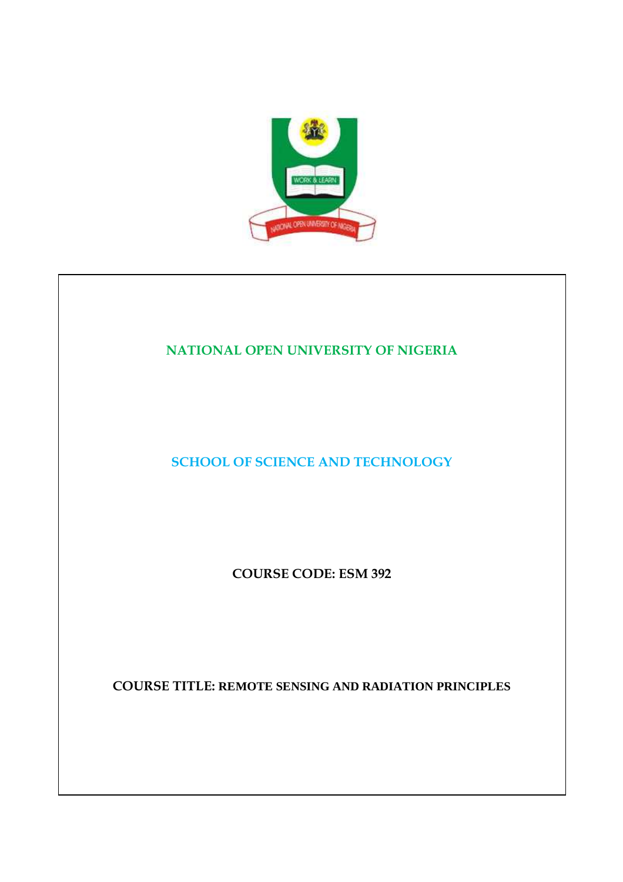

## **NATIONAL OPEN UNIVERSITY OF NIGERIA**

**SCHOOL OF SCIENCE AND TECHNOLOGY** 

**COURSE CODE: ESM 392** 

**COURSE TITLE: REMOTE SENSING AND RADIATION PRINCIPLES**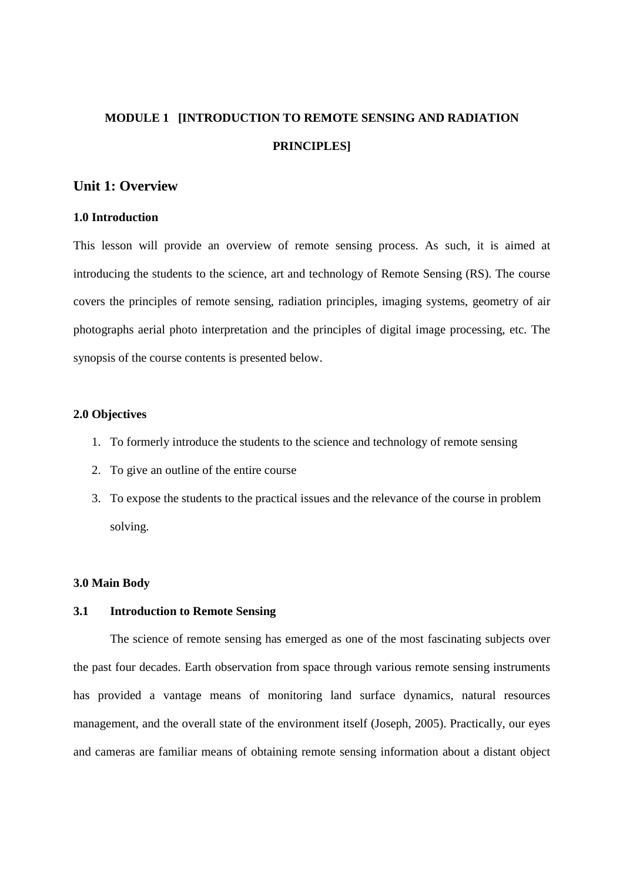## **MODULE 1 [INTRODUCTION TO REMOTE SENSING AND RADIATION PRINCIPLES]**

## **Unit 1: Overview**

#### **1.0 Introduction**

This lesson will provide an overview of remote sensing process. As such, it is aimed at introducing the students to the science, art and technology of Remote Sensing (RS). The course covers the principles of remote sensing, radiation principles, imaging systems, geometry of air photographs aerial photo interpretation and the principles of digital image processing, etc. The synopsis of the course contents is presented below.

#### **2.0 Objectives**

- 1. To formerly introduce the students to the science and technology of remote sensing
- 2. To give an outline of the entire course
- 3. To expose the students to the practical issues and the relevance of the course in problem solving.

#### **3.0 Main Body**

#### **3.1 Introduction to Remote Sensing**

The science of remote sensing has emerged as one of the most fascinating subjects over the past four decades. Earth observation from space through various remote sensing instruments has provided a vantage means of monitoring land surface dynamics, natural resources management, and the overall state of the environment itself (Joseph, 2005). Practically, our eyes and cameras are familiar means of obtaining remote sensing information about a distant object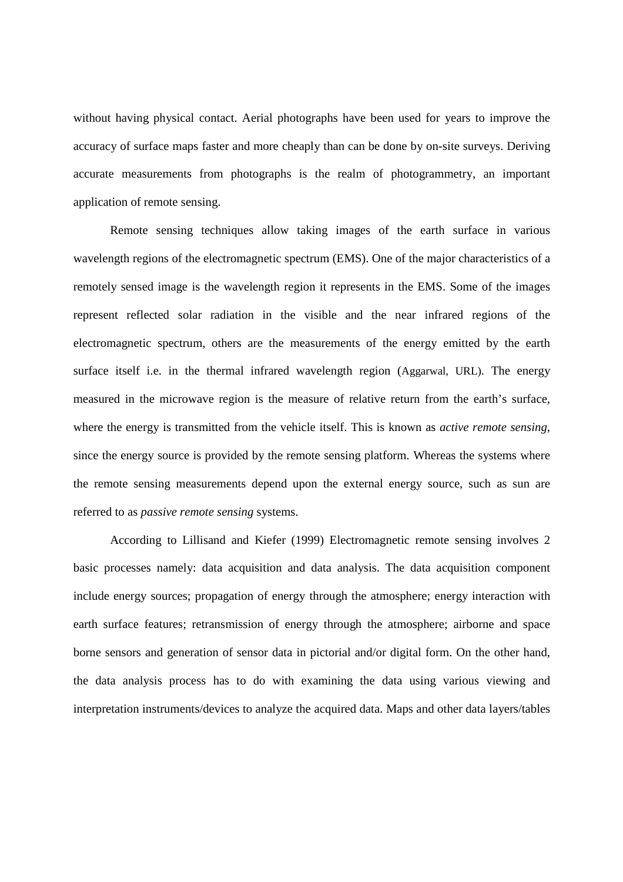without having physical contact. Aerial photographs have been used for years to improve the accuracy of surface maps faster and more cheaply than can be done by on-site surveys. Deriving accurate measurements from photographs is the realm of photogrammetry, an important application of remote sensing.

Remote sensing techniques allow taking images of the earth surface in various wavelength regions of the electromagnetic spectrum (EMS). One of the major characteristics of a remotely sensed image is the wavelength region it represents in the EMS. Some of the images represent reflected solar radiation in the visible and the near infrared regions of the electromagnetic spectrum, others are the measurements of the energy emitted by the earth surface itself i.e. in the thermal infrared wavelength region (Aggarwal, URL). The energy measured in the microwave region is the measure of relative return from the earth's surface, where the energy is transmitted from the vehicle itself. This is known as *active remote sensing,*  since the energy source is provided by the remote sensing platform. Whereas the systems where the remote sensing measurements depend upon the external energy source, such as sun are referred to as *passive remote sensing* systems.

 According to Lillisand and Kiefer (1999) Electromagnetic remote sensing involves 2 basic processes namely: data acquisition and data analysis. The data acquisition component include energy sources; propagation of energy through the atmosphere; energy interaction with earth surface features; retransmission of energy through the atmosphere; airborne and space borne sensors and generation of sensor data in pictorial and/or digital form. On the other hand, the data analysis process has to do with examining the data using various viewing and interpretation instruments/devices to analyze the acquired data. Maps and other data layers/tables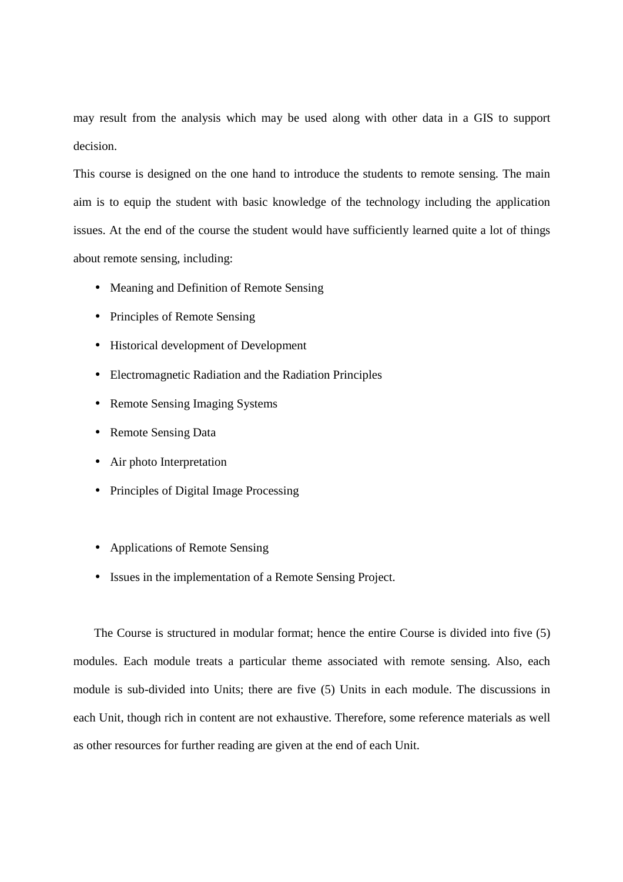may result from the analysis which may be used along with other data in a GIS to support decision.

This course is designed on the one hand to introduce the students to remote sensing. The main aim is to equip the student with basic knowledge of the technology including the application issues. At the end of the course the student would have sufficiently learned quite a lot of things about remote sensing, including:

- Meaning and Definition of Remote Sensing
- Principles of Remote Sensing
- Historical development of Development
- Electromagnetic Radiation and the Radiation Principles
- Remote Sensing Imaging Systems
- Remote Sensing Data
- Air photo Interpretation
- Principles of Digital Image Processing
- Applications of Remote Sensing
- Issues in the implementation of a Remote Sensing Project.

The Course is structured in modular format; hence the entire Course is divided into five (5) modules. Each module treats a particular theme associated with remote sensing. Also, each module is sub-divided into Units; there are five (5) Units in each module. The discussions in each Unit, though rich in content are not exhaustive. Therefore, some reference materials as well as other resources for further reading are given at the end of each Unit.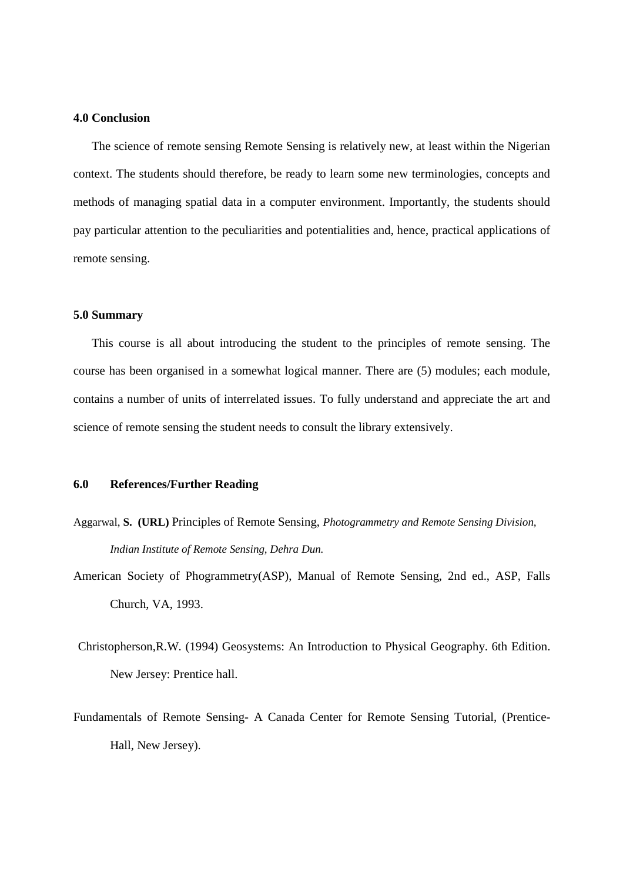#### **4.0 Conclusion**

The science of remote sensing Remote Sensing is relatively new, at least within the Nigerian context. The students should therefore, be ready to learn some new terminologies, concepts and methods of managing spatial data in a computer environment. Importantly, the students should pay particular attention to the peculiarities and potentialities and, hence, practical applications of remote sensing.

#### **5.0 Summary**

This course is all about introducing the student to the principles of remote sensing. The course has been organised in a somewhat logical manner. There are (5) modules; each module, contains a number of units of interrelated issues. To fully understand and appreciate the art and science of remote sensing the student needs to consult the library extensively.

#### **6.0 References/Further Reading**

- Aggarwal, **S. (URL)** Principles of Remote Sensing, *Photogrammetry and Remote Sensing Division, Indian Institute of Remote Sensing, Dehra Dun.*
- American Society of Phogrammetry(ASP), Manual of Remote Sensing, 2nd ed., ASP, Falls Church, VA, 1993.
- Christopherson,R.W. (1994) Geosystems: An Introduction to Physical Geography. 6th Edition. New Jersey: Prentice hall.
- Fundamentals of Remote Sensing- A Canada Center for Remote Sensing Tutorial, (Prentice-Hall, New Jersey).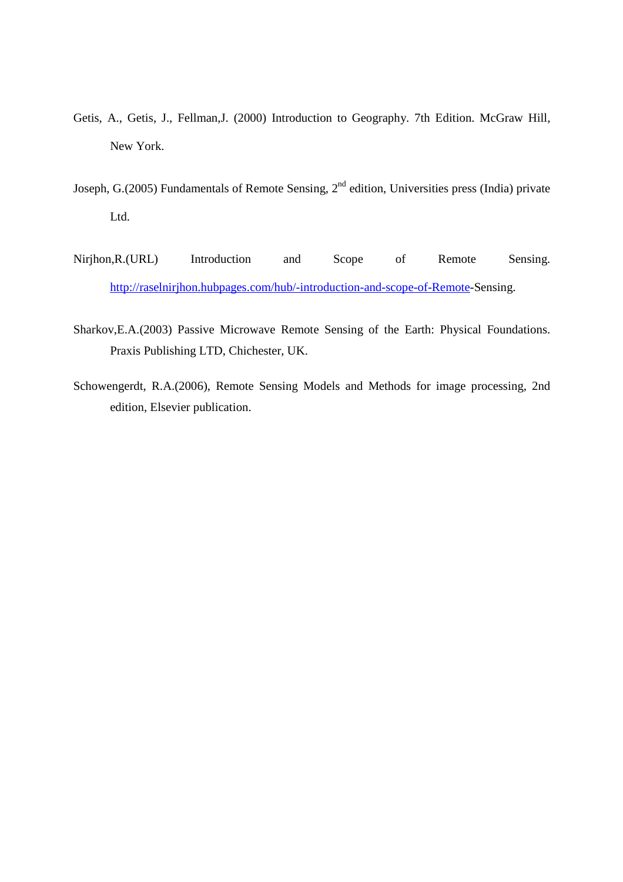- Getis, A., Getis, J., Fellman,J. (2000) Introduction to Geography. 7th Edition. McGraw Hill, New York.
- Joseph, G.(2005) Fundamentals of Remote Sensing, 2<sup>nd</sup> edition, Universities press (India) private Ltd.
- Nirjhon,R.(URL) Introduction and Scope of Remote Sensing. http://raselnirjhon.hubpages.com/hub/-introduction-and-scope-of-Remote-Sensing.
- Sharkov,E.A.(2003) Passive Microwave Remote Sensing of the Earth: Physical Foundations. Praxis Publishing LTD, Chichester, UK.
- Schowengerdt, R.A.(2006), Remote Sensing Models and Methods for image processing, 2nd edition, Elsevier publication.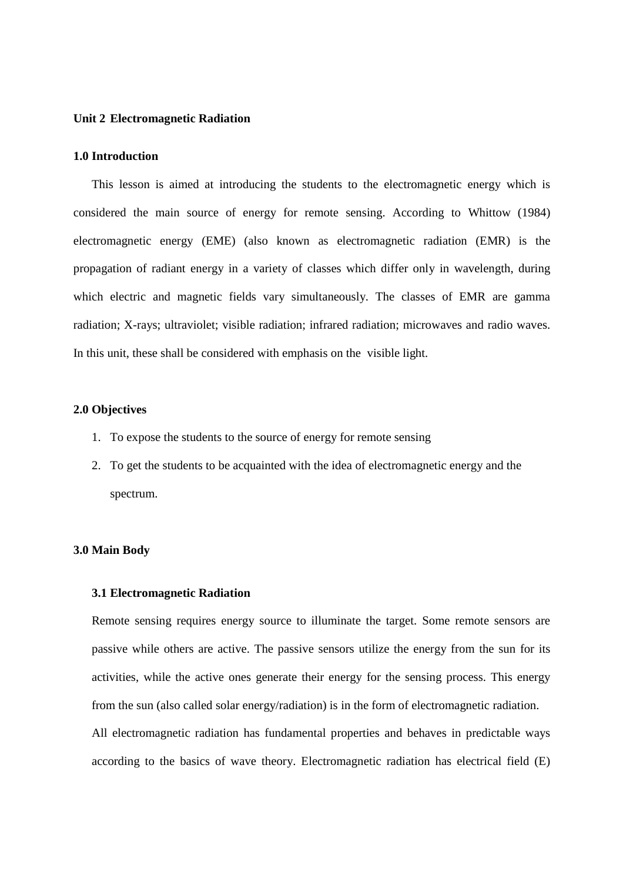#### **Unit 2 Electromagnetic Radiation**

#### **1.0 Introduction**

This lesson is aimed at introducing the students to the electromagnetic energy which is considered the main source of energy for remote sensing. According to Whittow (1984) electromagnetic energy (EME) (also known as electromagnetic radiation (EMR) is the propagation of radiant energy in a variety of classes which differ only in wavelength, during which electric and magnetic fields vary simultaneously. The classes of EMR are gamma radiation; X-rays; ultraviolet; visible radiation; infrared radiation; microwaves and radio waves. In this unit, these shall be considered with emphasis on the visible light.

## **2.0 Objectives**

- 1. To expose the students to the source of energy for remote sensing
- 2. To get the students to be acquainted with the idea of electromagnetic energy and the spectrum.

#### **3.0 Main Body**

## **3.1 Electromagnetic Radiation**

Remote sensing requires energy source to illuminate the target. Some remote sensors are passive while others are active. The passive sensors utilize the energy from the sun for its activities, while the active ones generate their energy for the sensing process. This energy from the sun (also called solar energy/radiation) is in the form of electromagnetic radiation.

All electromagnetic radiation has fundamental properties and behaves in predictable ways according to the basics of wave theory. Electromagnetic radiation has electrical field (E)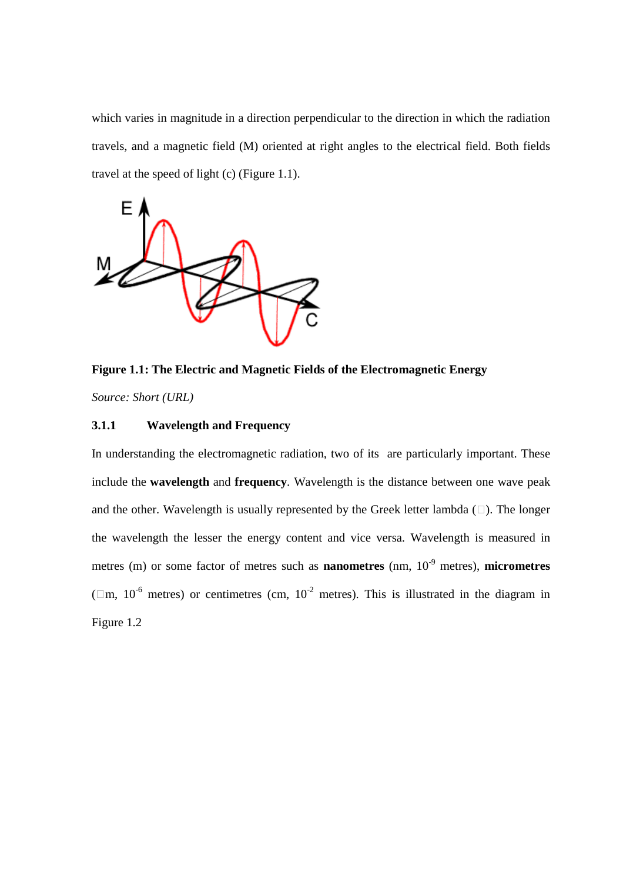which varies in magnitude in a direction perpendicular to the direction in which the radiation travels, and a magnetic field (M) oriented at right angles to the electrical field. Both fields travel at the speed of light (c) (Figure 1.1).



**Figure 1.1: The Electric and Magnetic Fields of the Electromagnetic Energy**  *Source: Short (URL)*

## **3.1.1 Wavelength and Frequency**

In understanding the electromagnetic radiation, two of its are particularly important. These include the **wavelength** and **frequency**. Wavelength is the distance between one wave peak and the other. Wavelength is usually represented by the Greek letter lambda  $(\square)$ . The longer the wavelength the lesser the energy content and vice versa. Wavelength is measured in metres (m) or some factor of metres such as **nanometres** (nm, 10-9 metres), **micrometres** ( $\Box$ m, 10<sup>-6</sup> metres) or centimetres (cm, 10<sup>-2</sup> metres). This is illustrated in the diagram in Figure 1.2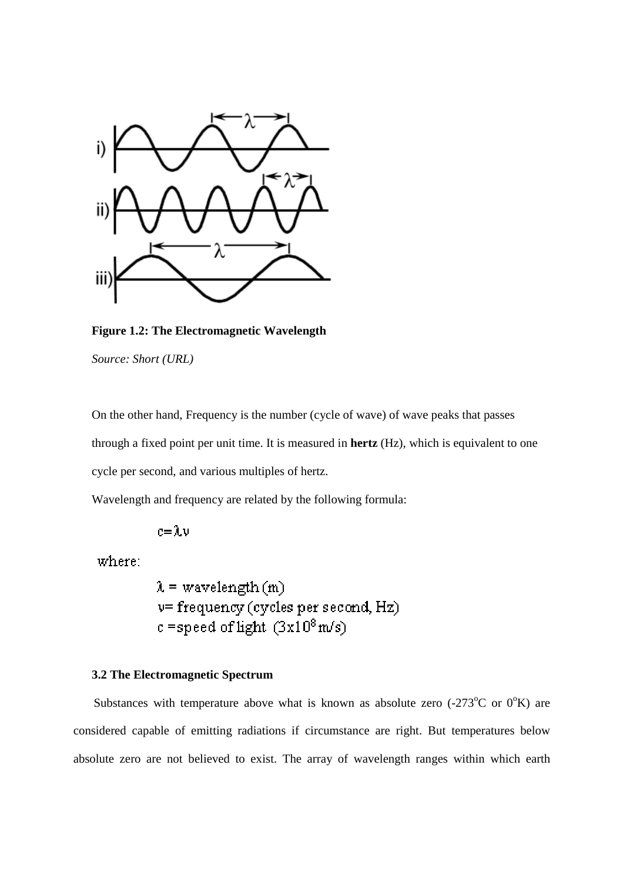

**Figure 1.2: The Electromagnetic Wavelength**  *Source: Short (URL)*

On the other hand, Frequency is the number (cycle of wave) of wave peaks that passes through a fixed point per unit time. It is measured in **hertz** (Hz), which is equivalent to one cycle per second, and various multiples of hertz.

Wavelength and frequency are related by the following formula:

 $c = \lambda v$ 

where:

 $\lambda$  = wavelength (m) v= frequency (cycles per second, Hz)  $c$  =speed of light  $(3x10^8 \text{m/s})$ 

## **3.2 The Electromagnetic Spectrum**

Substances with temperature above what is known as absolute zero  $(-273^{\circ}C \text{ or } 0^{\circ}K)$  are considered capable of emitting radiations if circumstance are right. But temperatures below absolute zero are not believed to exist. The array of wavelength ranges within which earth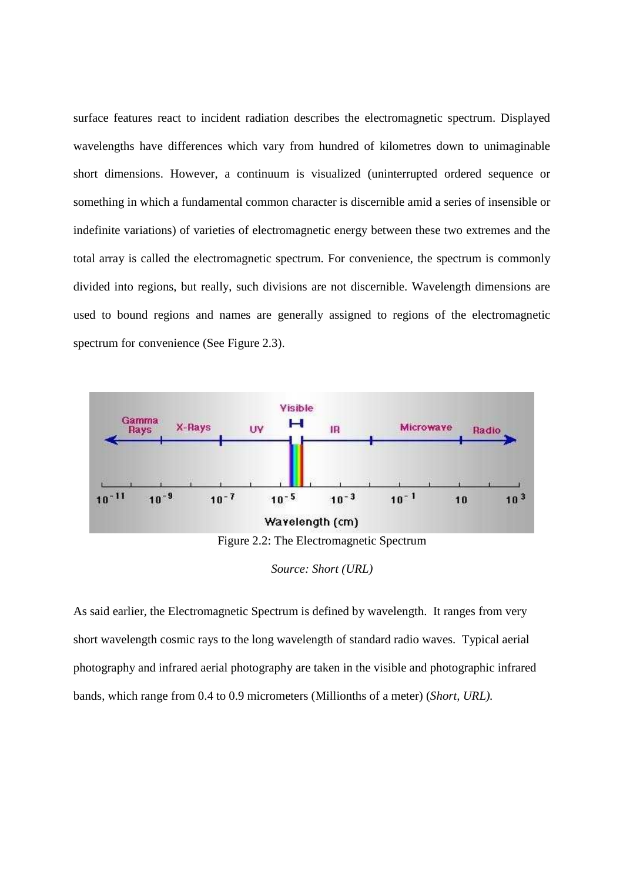surface features react to incident radiation describes the electromagnetic spectrum. Displayed wavelengths have differences which vary from hundred of kilometres down to unimaginable short dimensions. However, a continuum is visualized (uninterrupted ordered sequence or something in which a fundamental common character is discernible amid a series of insensible or indefinite variations) of varieties of electromagnetic energy between these two extremes and the total array is called the electromagnetic spectrum. For convenience, the spectrum is commonly divided into regions, but really, such divisions are not discernible. Wavelength dimensions are used to bound regions and names are generally assigned to regions of the electromagnetic spectrum for convenience (See Figure 2.3).



*Source: Short (URL)* 

As said earlier, the Electromagnetic Spectrum is defined by wavelength. It ranges from very short wavelength cosmic rays to the long wavelength of standard radio waves. Typical aerial photography and infrared aerial photography are taken in the visible and photographic infrared bands, which range from 0.4 to 0.9 micrometers (Millionths of a meter) (*Short, URL).*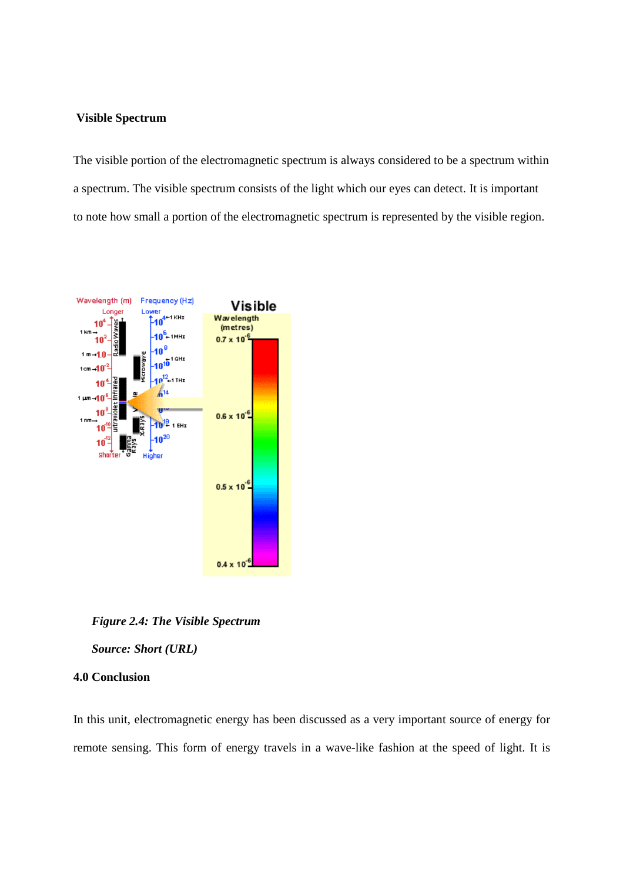#### **Visible Spectrum**

The visible portion of the electromagnetic spectrum is always considered to be a spectrum within a spectrum. The visible spectrum consists of the light which our eyes can detect. It is important to note how small a portion of the electromagnetic spectrum is represented by the visible region.



*Figure 2.4: The Visible Spectrum* 

*Source: Short (URL)* 

## **4.0 Conclusion**

In this unit, electromagnetic energy has been discussed as a very important source of energy for remote sensing. This form of energy travels in a wave-like fashion at the speed of light. It is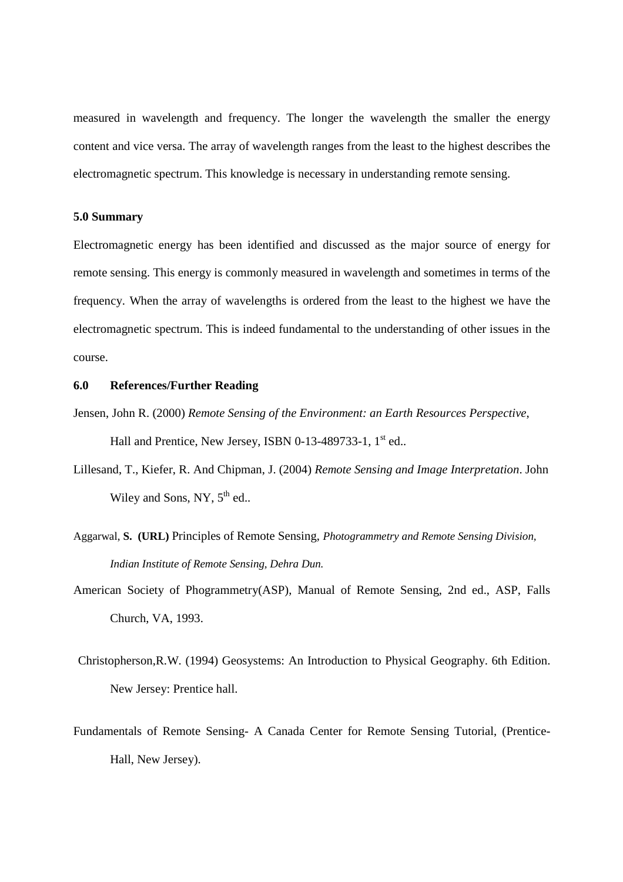measured in wavelength and frequency. The longer the wavelength the smaller the energy content and vice versa. The array of wavelength ranges from the least to the highest describes the electromagnetic spectrum. This knowledge is necessary in understanding remote sensing.

#### **5.0 Summary**

Electromagnetic energy has been identified and discussed as the major source of energy for remote sensing. This energy is commonly measured in wavelength and sometimes in terms of the frequency. When the array of wavelengths is ordered from the least to the highest we have the electromagnetic spectrum. This is indeed fundamental to the understanding of other issues in the course.

#### **6.0 References/Further Reading**

- Jensen, John R. (2000) *Remote Sensing of the Environment: an Earth Resources Perspective*, Hall and Prentice, New Jersey, ISBN 0-13-489733-1, 1<sup>st</sup> ed..
- Lillesand, T., Kiefer, R. And Chipman, J. (2004) *Remote Sensing and Image Interpretation*. John Wiley and Sons, NY,  $5<sup>th</sup>$  ed..
- Aggarwal, **S. (URL)** Principles of Remote Sensing, *Photogrammetry and Remote Sensing Division, Indian Institute of Remote Sensing, Dehra Dun.*
- American Society of Phogrammetry(ASP), Manual of Remote Sensing, 2nd ed., ASP, Falls Church, VA, 1993.
- Christopherson,R.W. (1994) Geosystems: An Introduction to Physical Geography. 6th Edition. New Jersey: Prentice hall.
- Fundamentals of Remote Sensing- A Canada Center for Remote Sensing Tutorial, (Prentice-Hall, New Jersey).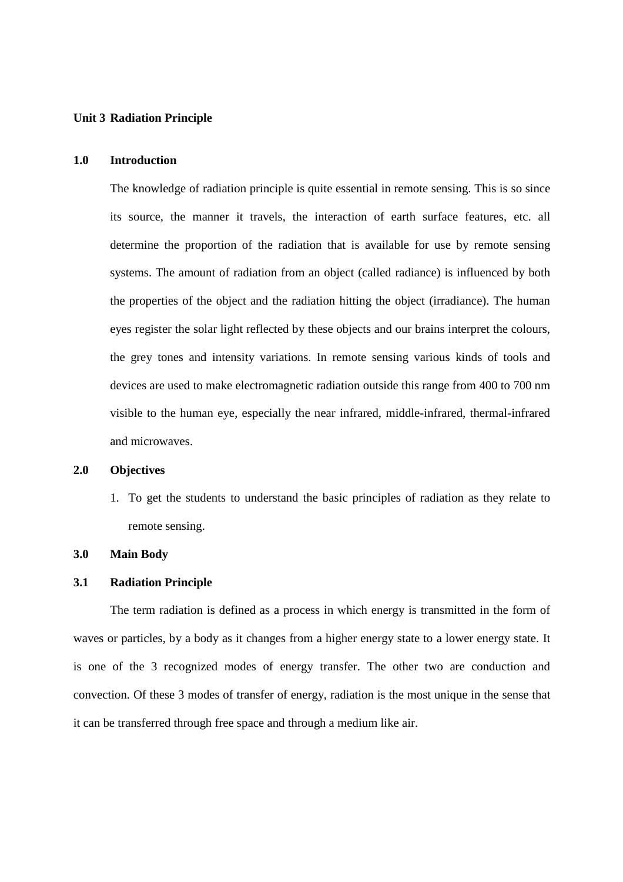#### **Unit 3 Radiation Principle**

## **1.0 Introduction**

The knowledge of radiation principle is quite essential in remote sensing. This is so since its source, the manner it travels, the interaction of earth surface features, etc. all determine the proportion of the radiation that is available for use by remote sensing systems. The amount of radiation from an object (called radiance) is influenced by both the properties of the object and the radiation hitting the object (irradiance). The human eyes register the solar light reflected by these objects and our brains interpret the colours, the grey tones and intensity variations. In remote sensing various kinds of tools and devices are used to make electromagnetic radiation outside this range from 400 to 700 nm visible to the human eye, especially the near infrared, middle-infrared, thermal-infrared and microwaves.

## **2.0 Objectives**

1. To get the students to understand the basic principles of radiation as they relate to remote sensing.

#### **3.0 Main Body**

#### **3.1 Radiation Principle**

The term radiation is defined as a process in which energy is transmitted in the form of waves or particles, by a body as it changes from a higher energy state to a lower energy state. It is one of the 3 recognized modes of energy transfer. The other two are conduction and convection. Of these 3 modes of transfer of energy, radiation is the most unique in the sense that it can be transferred through free space and through a medium like air.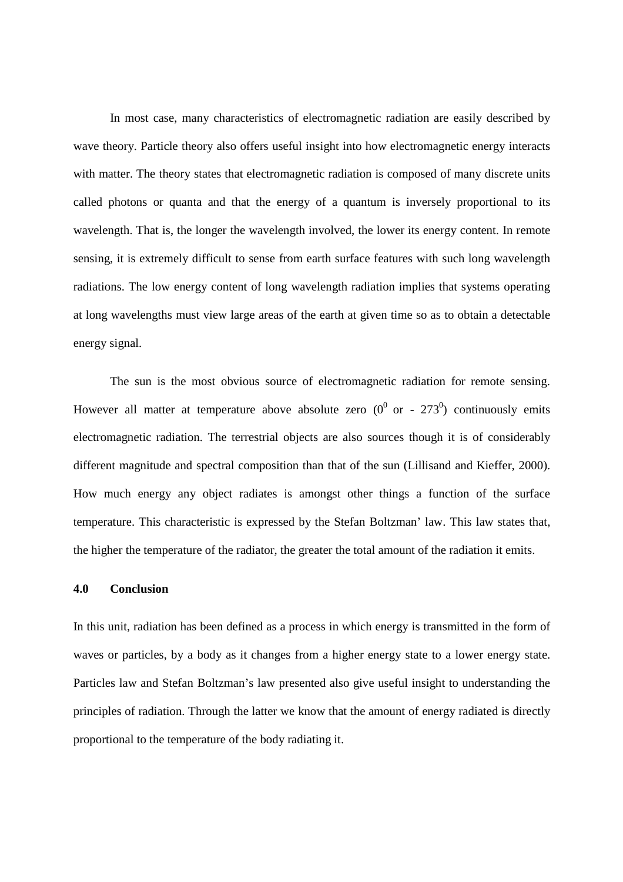In most case, many characteristics of electromagnetic radiation are easily described by wave theory. Particle theory also offers useful insight into how electromagnetic energy interacts with matter. The theory states that electromagnetic radiation is composed of many discrete units called photons or quanta and that the energy of a quantum is inversely proportional to its wavelength. That is, the longer the wavelength involved, the lower its energy content. In remote sensing, it is extremely difficult to sense from earth surface features with such long wavelength radiations. The low energy content of long wavelength radiation implies that systems operating at long wavelengths must view large areas of the earth at given time so as to obtain a detectable energy signal.

 The sun is the most obvious source of electromagnetic radiation for remote sensing. However all matter at temperature above absolute zero ( $0^0$  or - 273<sup>0</sup>) continuously emits electromagnetic radiation. The terrestrial objects are also sources though it is of considerably different magnitude and spectral composition than that of the sun (Lillisand and Kieffer, 2000). How much energy any object radiates is amongst other things a function of the surface temperature. This characteristic is expressed by the Stefan Boltzman' law. This law states that, the higher the temperature of the radiator, the greater the total amount of the radiation it emits.

#### **4.0 Conclusion**

In this unit, radiation has been defined as a process in which energy is transmitted in the form of waves or particles, by a body as it changes from a higher energy state to a lower energy state. Particles law and Stefan Boltzman's law presented also give useful insight to understanding the principles of radiation. Through the latter we know that the amount of energy radiated is directly proportional to the temperature of the body radiating it.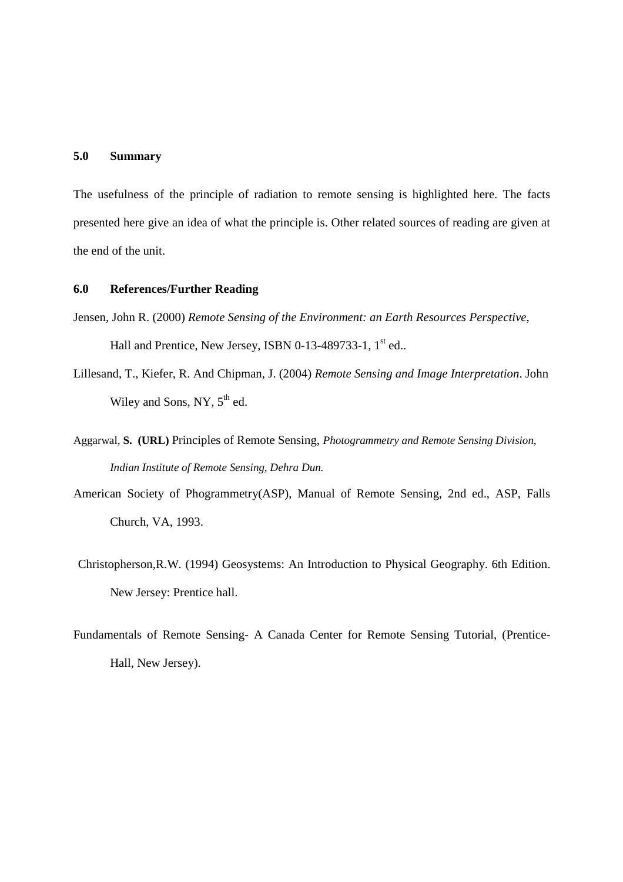## **5.0 Summary**

The usefulness of the principle of radiation to remote sensing is highlighted here. The facts presented here give an idea of what the principle is. Other related sources of reading are given at the end of the unit.

## **6.0 References/Further Reading**

- Jensen, John R. (2000) *Remote Sensing of the Environment: an Earth Resources Perspective*, Hall and Prentice, New Jersey, ISBN 0-13-489733-1, 1<sup>st</sup> ed..
- Lillesand, T., Kiefer, R. And Chipman, J. (2004) *Remote Sensing and Image Interpretation*. John Wiley and Sons, NY,  $5<sup>th</sup>$  ed.
- Aggarwal, **S. (URL)** Principles of Remote Sensing, *Photogrammetry and Remote Sensing Division, Indian Institute of Remote Sensing, Dehra Dun.*
- American Society of Phogrammetry(ASP), Manual of Remote Sensing, 2nd ed., ASP, Falls Church, VA, 1993.
- Christopherson,R.W. (1994) Geosystems: An Introduction to Physical Geography. 6th Edition. New Jersey: Prentice hall.
- Fundamentals of Remote Sensing- A Canada Center for Remote Sensing Tutorial, (Prentice-Hall, New Jersey).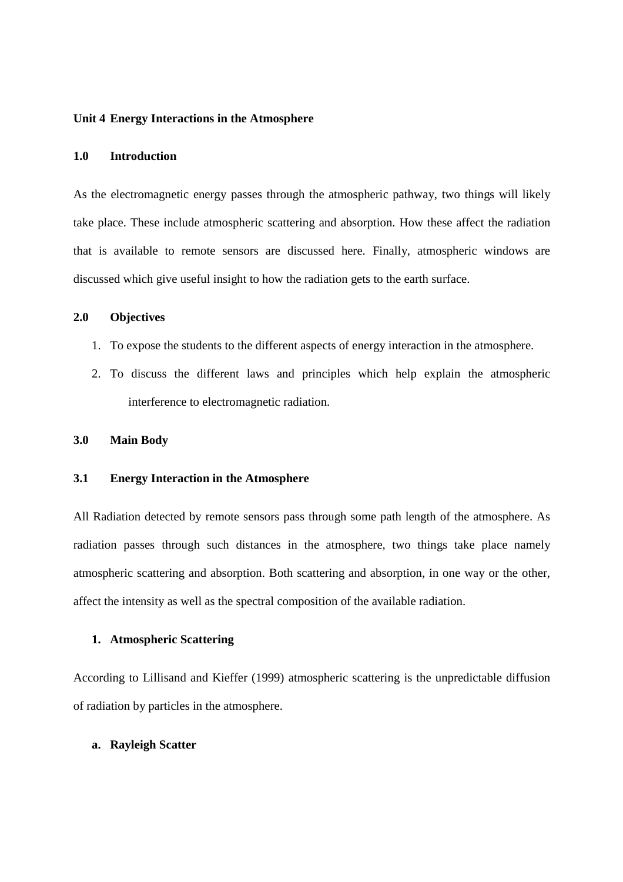#### **Unit 4 Energy Interactions in the Atmosphere**

### **1.0 Introduction**

As the electromagnetic energy passes through the atmospheric pathway, two things will likely take place. These include atmospheric scattering and absorption. How these affect the radiation that is available to remote sensors are discussed here. Finally, atmospheric windows are discussed which give useful insight to how the radiation gets to the earth surface.

## **2.0 Objectives**

- 1. To expose the students to the different aspects of energy interaction in the atmosphere.
- 2. To discuss the different laws and principles which help explain the atmospheric interference to electromagnetic radiation.

#### **3.0 Main Body**

## **3.1 Energy Interaction in the Atmosphere**

All Radiation detected by remote sensors pass through some path length of the atmosphere. As radiation passes through such distances in the atmosphere, two things take place namely atmospheric scattering and absorption. Both scattering and absorption, in one way or the other, affect the intensity as well as the spectral composition of the available radiation.

## **1. Atmospheric Scattering**

According to Lillisand and Kieffer (1999) atmospheric scattering is the unpredictable diffusion of radiation by particles in the atmosphere.

#### **a. Rayleigh Scatter**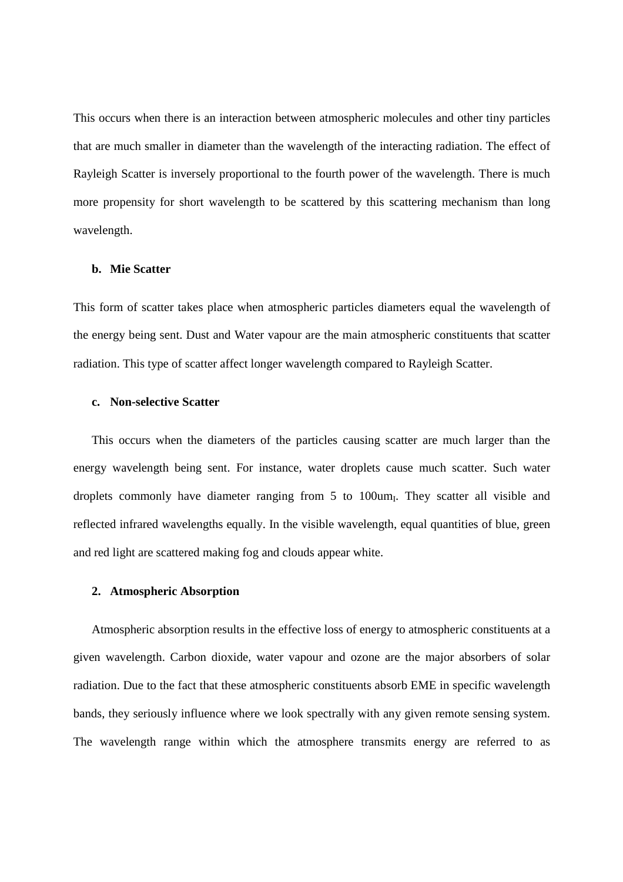This occurs when there is an interaction between atmospheric molecules and other tiny particles that are much smaller in diameter than the wavelength of the interacting radiation. The effect of Rayleigh Scatter is inversely proportional to the fourth power of the wavelength. There is much more propensity for short wavelength to be scattered by this scattering mechanism than long wavelength.

## **b. Mie Scatter**

This form of scatter takes place when atmospheric particles diameters equal the wavelength of the energy being sent. Dust and Water vapour are the main atmospheric constituents that scatter radiation. This type of scatter affect longer wavelength compared to Rayleigh Scatter.

#### **c. Non-selective Scatter**

This occurs when the diameters of the particles causing scatter are much larger than the energy wavelength being sent. For instance, water droplets cause much scatter. Such water droplets commonly have diameter ranging from 5 to 100um<sub>I</sub>. They scatter all visible and reflected infrared wavelengths equally. In the visible wavelength, equal quantities of blue, green and red light are scattered making fog and clouds appear white.

#### **2. Atmospheric Absorption**

Atmospheric absorption results in the effective loss of energy to atmospheric constituents at a given wavelength. Carbon dioxide, water vapour and ozone are the major absorbers of solar radiation. Due to the fact that these atmospheric constituents absorb EME in specific wavelength bands, they seriously influence where we look spectrally with any given remote sensing system. The wavelength range within which the atmosphere transmits energy are referred to as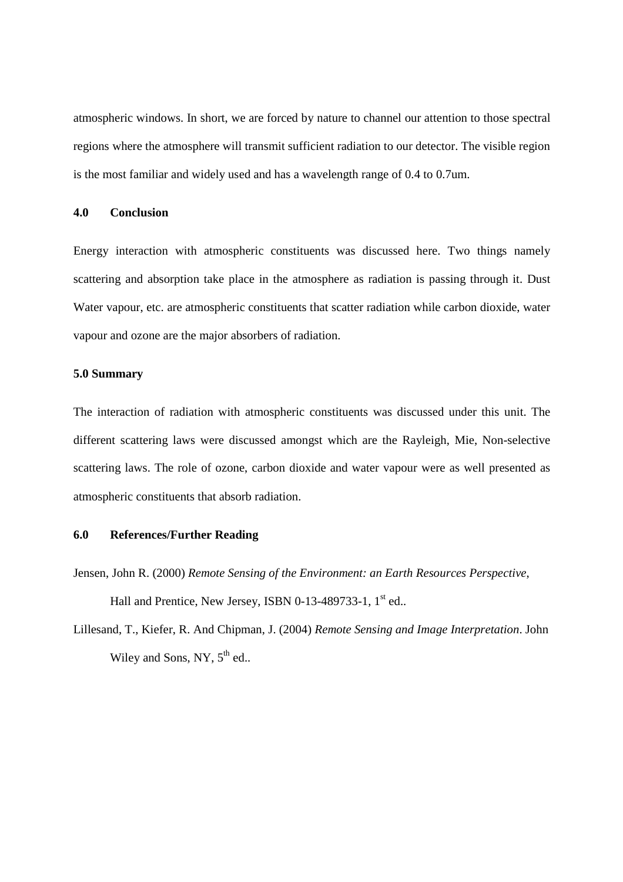atmospheric windows. In short, we are forced by nature to channel our attention to those spectral regions where the atmosphere will transmit sufficient radiation to our detector. The visible region is the most familiar and widely used and has a wavelength range of 0.4 to 0.7um.

## **4.0 Conclusion**

Energy interaction with atmospheric constituents was discussed here. Two things namely scattering and absorption take place in the atmosphere as radiation is passing through it. Dust Water vapour, etc. are atmospheric constituents that scatter radiation while carbon dioxide, water vapour and ozone are the major absorbers of radiation.

#### **5.0 Summary**

The interaction of radiation with atmospheric constituents was discussed under this unit. The different scattering laws were discussed amongst which are the Rayleigh, Mie, Non-selective scattering laws. The role of ozone, carbon dioxide and water vapour were as well presented as atmospheric constituents that absorb radiation.

## **6.0 References/Further Reading**

- Jensen, John R. (2000) *Remote Sensing of the Environment: an Earth Resources Perspective*, Hall and Prentice, New Jersey, ISBN 0-13-489733-1, 1<sup>st</sup> ed..
- Lillesand, T., Kiefer, R. And Chipman, J. (2004) *Remote Sensing and Image Interpretation*. John Wiley and Sons, NY,  $5<sup>th</sup>$  ed..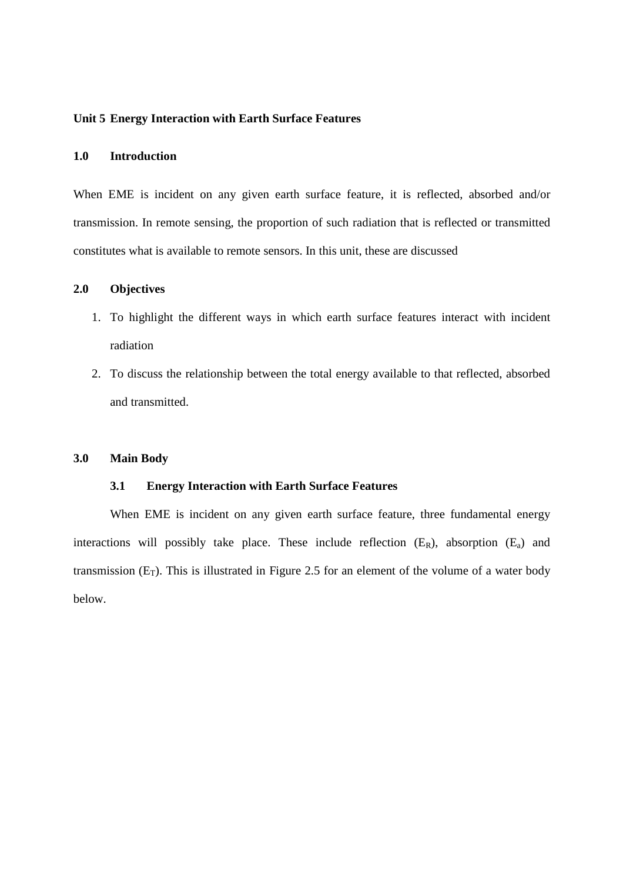#### **Unit 5 Energy Interaction with Earth Surface Features**

### **1.0 Introduction**

When EME is incident on any given earth surface feature, it is reflected, absorbed and/or transmission. In remote sensing, the proportion of such radiation that is reflected or transmitted constitutes what is available to remote sensors. In this unit, these are discussed

## **2.0 Objectives**

- 1. To highlight the different ways in which earth surface features interact with incident radiation
- 2. To discuss the relationship between the total energy available to that reflected, absorbed and transmitted.

#### **3.0 Main Body**

#### **3.1 Energy Interaction with Earth Surface Features**

When EME is incident on any given earth surface feature, three fundamental energy interactions will possibly take place. These include reflection  $(E_R)$ , absorption  $(E_a)$  and transmission  $(E_T)$ . This is illustrated in Figure 2.5 for an element of the volume of a water body below.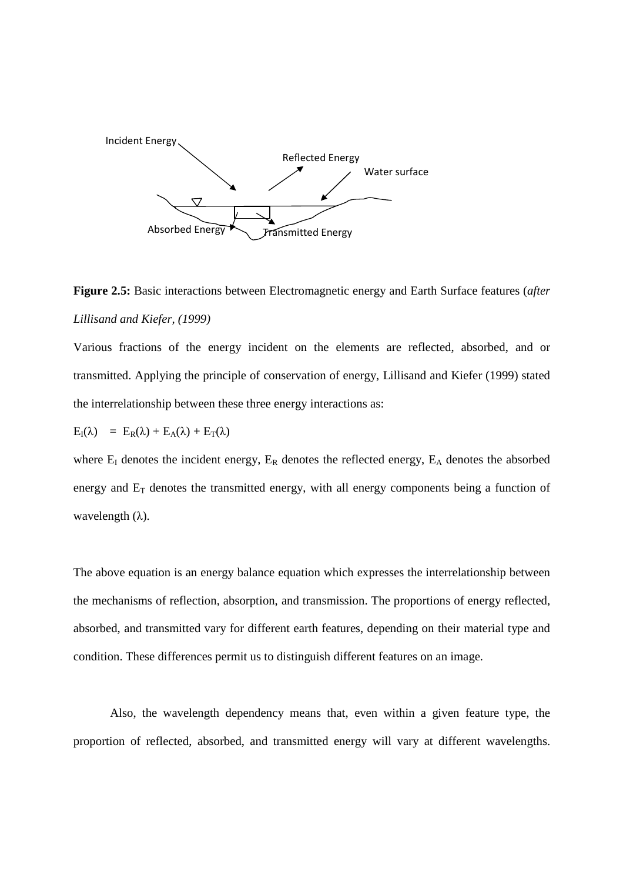

**Figure 2.5:** Basic interactions between Electromagnetic energy and Earth Surface features (*after Lillisand and Kiefer, (1999)*

Various fractions of the energy incident on the elements are reflected, absorbed, and or transmitted. Applying the principle of conservation of energy, Lillisand and Kiefer (1999) stated the interrelationship between these three energy interactions as:

$$
E_{I}(\lambda) = E_{R}(\lambda) + E_{A}(\lambda) + E_{T}(\lambda)
$$

where  $E_I$  denotes the incident energy,  $E_R$  denotes the reflected energy,  $E_A$  denotes the absorbed energy and  $E_T$  denotes the transmitted energy, with all energy components being a function of wavelength  $(\lambda)$ .

The above equation is an energy balance equation which expresses the interrelationship between the mechanisms of reflection, absorption, and transmission. The proportions of energy reflected, absorbed, and transmitted vary for different earth features, depending on their material type and condition. These differences permit us to distinguish different features on an image.

Also, the wavelength dependency means that, even within a given feature type, the proportion of reflected, absorbed, and transmitted energy will vary at different wavelengths.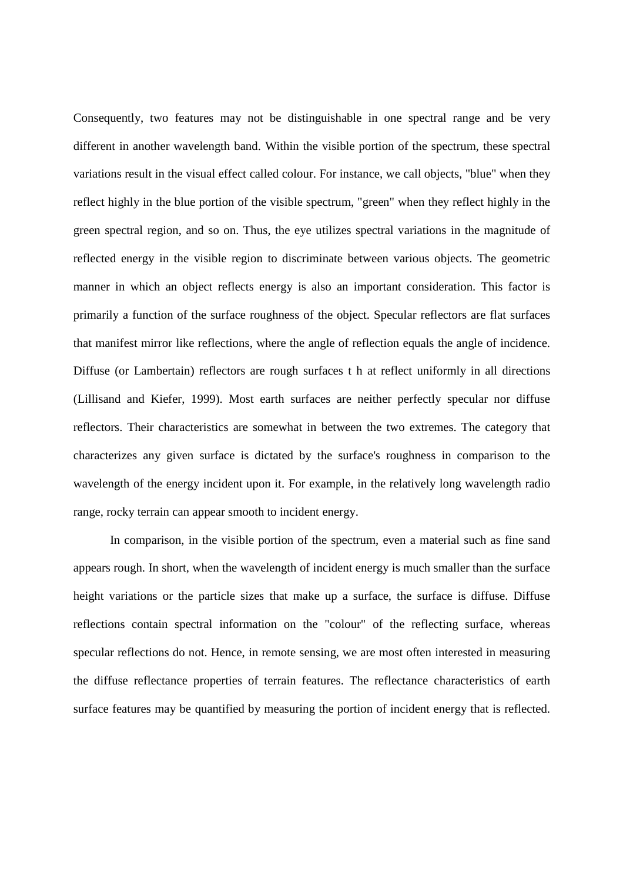Consequently, two features may not be distinguishable in one spectral range and be very different in another wavelength band. Within the visible portion of the spectrum, these spectral variations result in the visual effect called colour. For instance, we call objects, "blue" when they reflect highly in the blue portion of the visible spectrum, "green" when they reflect highly in the green spectral region, and so on. Thus, the eye utilizes spectral variations in the magnitude of reflected energy in the visible region to discriminate between various objects. The geometric manner in which an object reflects energy is also an important consideration. This factor is primarily a function of the surface roughness of the object. Specular reflectors are flat surfaces that manifest mirror like reflections, where the angle of reflection equals the angle of incidence. Diffuse (or Lambertain) reflectors are rough surfaces t h at reflect uniformly in all directions (Lillisand and Kiefer, 1999). Most earth surfaces are neither perfectly specular nor diffuse reflectors. Their characteristics are somewhat in between the two extremes. The category that characterizes any given surface is dictated by the surface's roughness in comparison to the wavelength of the energy incident upon it. For example, in the relatively long wavelength radio range, rocky terrain can appear smooth to incident energy.

In comparison, in the visible portion of the spectrum, even a material such as fine sand appears rough. In short, when the wavelength of incident energy is much smaller than the surface height variations or the particle sizes that make up a surface, the surface is diffuse. Diffuse reflections contain spectral information on the "colour" of the reflecting surface, whereas specular reflections do not. Hence, in remote sensing, we are most often interested in measuring the diffuse reflectance properties of terrain features. The reflectance characteristics of earth surface features may be quantified by measuring the portion of incident energy that is reflected.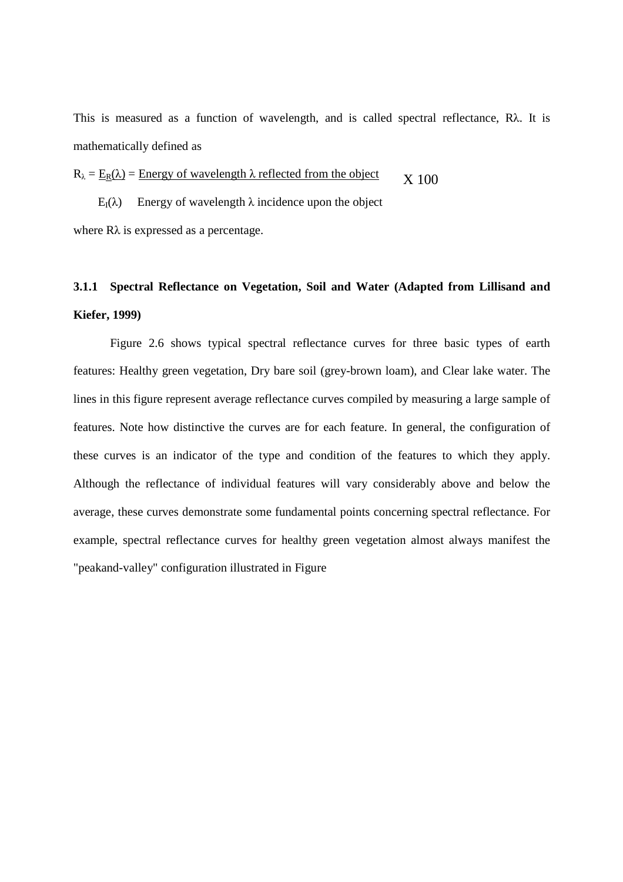This is measured as a function of wavelength, and is called spectral reflectance, Rλ. It is mathematically defined as

 $R_{\lambda} = E_R(\lambda)$  = Energy of wavelength  $\lambda$  reflected from the object  $X<sub>100</sub>$ 

E<sub>I</sub>(λ) Energy of wavelength λ incidence upon the object

where  $R\lambda$  is expressed as a percentage.

## **3.1.1 Spectral Reflectance on Vegetation, Soil and Water (Adapted from Lillisand and Kiefer, 1999)**

Figure 2.6 shows typical spectral reflectance curves for three basic types of earth features: Healthy green vegetation, Dry bare soil (grey-brown loam), and Clear lake water. The lines in this figure represent average reflectance curves compiled by measuring a large sample of features. Note how distinctive the curves are for each feature. In general, the configuration of these curves is an indicator of the type and condition of the features to which they apply. Although the reflectance of individual features will vary considerably above and below the average, these curves demonstrate some fundamental points concerning spectral reflectance. For example, spectral reflectance curves for healthy green vegetation almost always manifest the "peakand-valley" configuration illustrated in Figure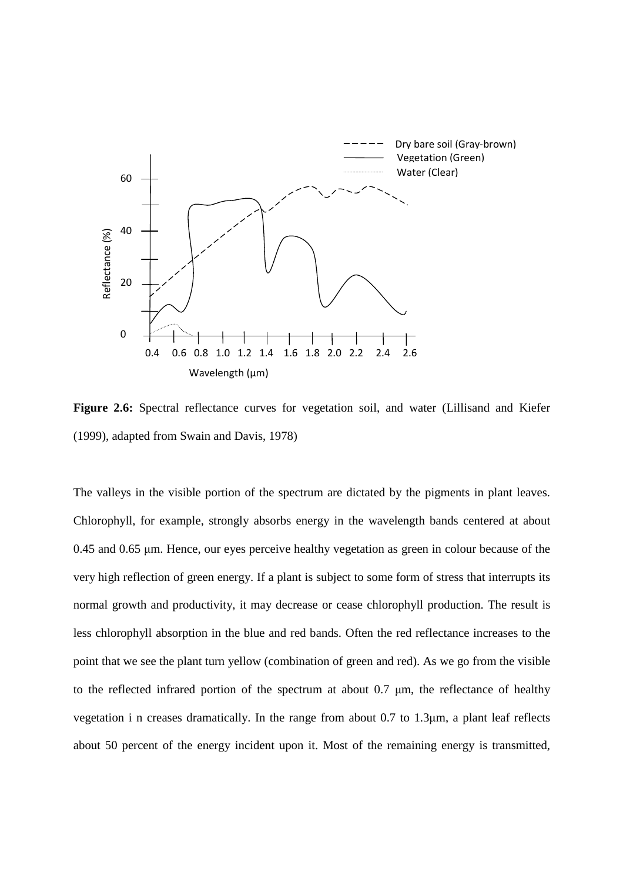

Figure 2.6: Spectral reflectance curves for vegetation soil, and water (Lillisand and Kiefer (1999), adapted from Swain and Davis, 1978)

The valleys in the visible portion of the spectrum are dictated by the pigments in plant leaves. Chlorophyll, for example, strongly absorbs energy in the wavelength bands centered at about 0.45 and 0.65 µm. Hence, our eyes perceive healthy vegetation as green in colour because of the very high reflection of green energy. If a plant is subject to some form of stress that interrupts its normal growth and productivity, it may decrease or cease chlorophyll production. The result is less chlorophyll absorption in the blue and red bands. Often the red reflectance increases to the point that we see the plant turn yellow (combination of green and red). As we go from the visible to the reflected infrared portion of the spectrum at about 0.7 µm, the reflectance of healthy vegetation i n creases dramatically. In the range from about 0.7 to 1.3µm, a plant leaf reflects about 50 percent of the energy incident upon it. Most of the remaining energy is transmitted,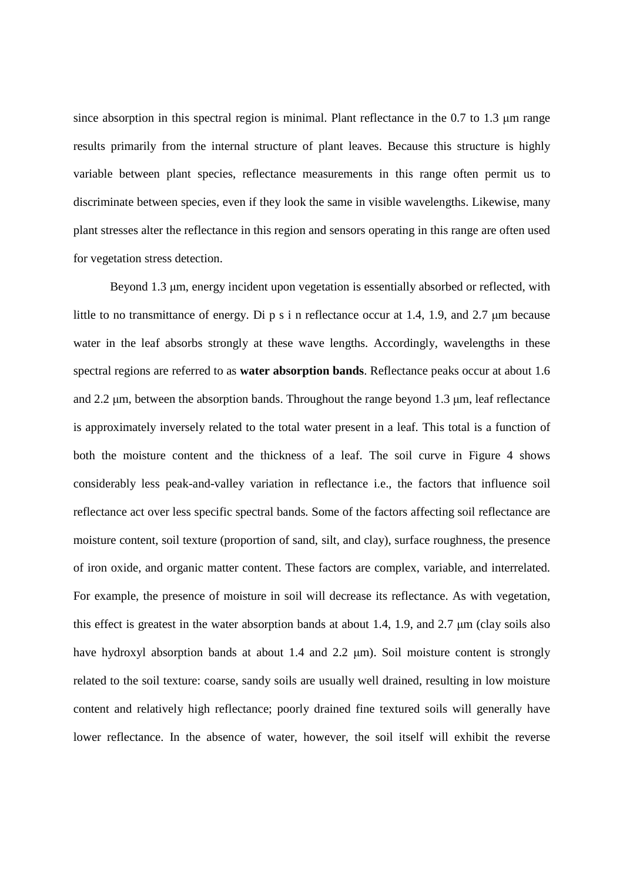since absorption in this spectral region is minimal. Plant reflectance in the  $0.7$  to  $1.3 \mu m$  range results primarily from the internal structure of plant leaves. Because this structure is highly variable between plant species, reflectance measurements in this range often permit us to discriminate between species, even if they look the same in visible wavelengths. Likewise, many plant stresses alter the reflectance in this region and sensors operating in this range are often used for vegetation stress detection.

Beyond 1.3  $\mu$ m, energy incident upon vegetation is essentially absorbed or reflected, with little to no transmittance of energy. Di p s i n reflectance occur at 1.4, 1.9, and 2.7  $\mu$ m because water in the leaf absorbs strongly at these wave lengths. Accordingly, wavelengths in these spectral regions are referred to as **water absorption bands**. Reflectance peaks occur at about 1.6 and 2.2 µm, between the absorption bands. Throughout the range beyond 1.3 µm, leaf reflectance is approximately inversely related to the total water present in a leaf. This total is a function of both the moisture content and the thickness of a leaf. The soil curve in Figure 4 shows considerably less peak-and-valley variation in reflectance i.e., the factors that influence soil reflectance act over less specific spectral bands. Some of the factors affecting soil reflectance are moisture content, soil texture (proportion of sand, silt, and clay), surface roughness, the presence of iron oxide, and organic matter content. These factors are complex, variable, and interrelated. For example, the presence of moisture in soil will decrease its reflectance. As with vegetation, this effect is greatest in the water absorption bands at about 1.4, 1.9, and 2.7 µm (clay soils also have hydroxyl absorption bands at about 1.4 and 2.2  $\mu$ m). Soil moisture content is strongly related to the soil texture: coarse, sandy soils are usually well drained, resulting in low moisture content and relatively high reflectance; poorly drained fine textured soils will generally have lower reflectance. In the absence of water, however, the soil itself will exhibit the reverse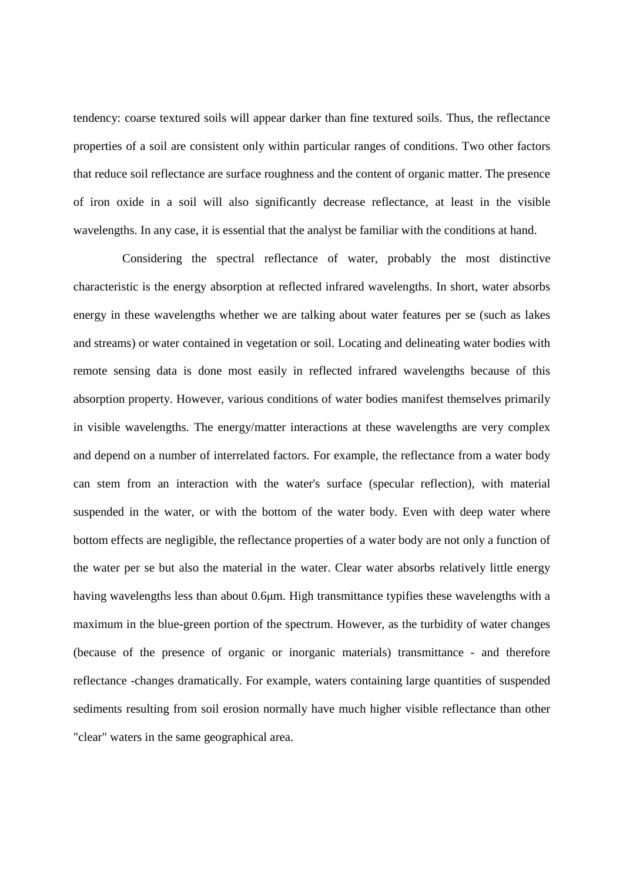tendency: coarse textured soils will appear darker than fine textured soils. Thus, the reflectance properties of a soil are consistent only within particular ranges of conditions. Two other factors that reduce soil reflectance are surface roughness and the content of organic matter. The presence of iron oxide in a soil will also significantly decrease reflectance, at least in the visible wavelengths. In any case, it is essential that the analyst be familiar with the conditions at hand.

 Considering the spectral reflectance of water, probably the most distinctive characteristic is the energy absorption at reflected infrared wavelengths. In short, water absorbs energy in these wavelengths whether we are talking about water features per se (such as lakes and streams) or water contained in vegetation or soil. Locating and delineating water bodies with remote sensing data is done most easily in reflected infrared wavelengths because of this absorption property. However, various conditions of water bodies manifest themselves primarily in visible wavelengths. The energy/matter interactions at these wavelengths are very complex and depend on a number of interrelated factors. For example, the reflectance from a water body can stem from an interaction with the water's surface (specular reflection), with material suspended in the water, or with the bottom of the water body. Even with deep water where bottom effects are negligible, the reflectance properties of a water body are not only a function of the water per se but also the material in the water. Clear water absorbs relatively little energy having wavelengths less than about 0.6 $\mu$ m. High transmittance typifies these wavelengths with a maximum in the blue-green portion of the spectrum. However, as the turbidity of water changes (because of the presence of organic or inorganic materials) transmittance - and therefore reflectance -changes dramatically. For example, waters containing large quantities of suspended sediments resulting from soil erosion normally have much higher visible reflectance than other "clear" waters in the same geographical area.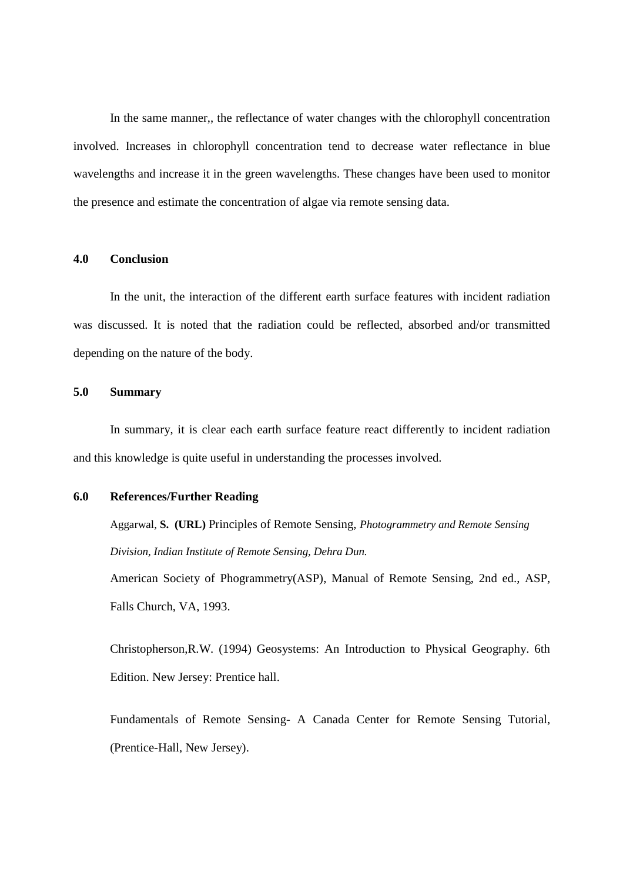In the same manner,, the reflectance of water changes with the chlorophyll concentration involved. Increases in chlorophyll concentration tend to decrease water reflectance in blue wavelengths and increase it in the green wavelengths. These changes have been used to monitor the presence and estimate the concentration of algae via remote sensing data.

## **4.0 Conclusion**

In the unit, the interaction of the different earth surface features with incident radiation was discussed. It is noted that the radiation could be reflected, absorbed and/or transmitted depending on the nature of the body.

#### **5.0 Summary**

In summary, it is clear each earth surface feature react differently to incident radiation and this knowledge is quite useful in understanding the processes involved.

#### **6.0 References/Further Reading**

Aggarwal, **S. (URL)** Principles of Remote Sensing, *Photogrammetry and Remote Sensing Division, Indian Institute of Remote Sensing, Dehra Dun.*

American Society of Phogrammetry(ASP), Manual of Remote Sensing, 2nd ed., ASP, Falls Church, VA, 1993.

Christopherson,R.W. (1994) Geosystems: An Introduction to Physical Geography. 6th Edition. New Jersey: Prentice hall.

Fundamentals of Remote Sensing- A Canada Center for Remote Sensing Tutorial, (Prentice-Hall, New Jersey).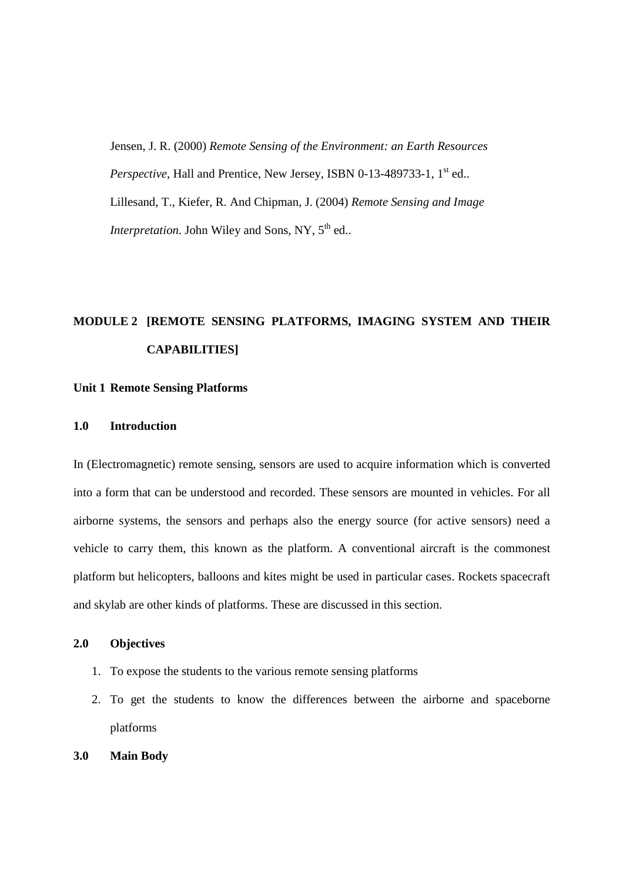Jensen, J. R. (2000) *Remote Sensing of the Environment: an Earth Resources Perspective*, Hall and Prentice, New Jersey, ISBN 0-13-489733-1, 1<sup>st</sup> ed... Lillesand, T., Kiefer, R. And Chipman, J. (2004) *Remote Sensing and Image Interpretation*. John Wiley and Sons, NY, 5<sup>th</sup> ed..

# **MODULE 2 [REMOTE SENSING PLATFORMS, IMAGING SYSTEM AND THEIR CAPABILITIES]**

#### **Unit 1 Remote Sensing Platforms**

#### **1.0 Introduction**

In (Electromagnetic) remote sensing, sensors are used to acquire information which is converted into a form that can be understood and recorded. These sensors are mounted in vehicles. For all airborne systems, the sensors and perhaps also the energy source (for active sensors) need a vehicle to carry them, this known as the platform. A conventional aircraft is the commonest platform but helicopters, balloons and kites might be used in particular cases. Rockets spacecraft and skylab are other kinds of platforms. These are discussed in this section.

## **2.0 Objectives**

- 1. To expose the students to the various remote sensing platforms
- 2. To get the students to know the differences between the airborne and spaceborne platforms
- **3.0 Main Body**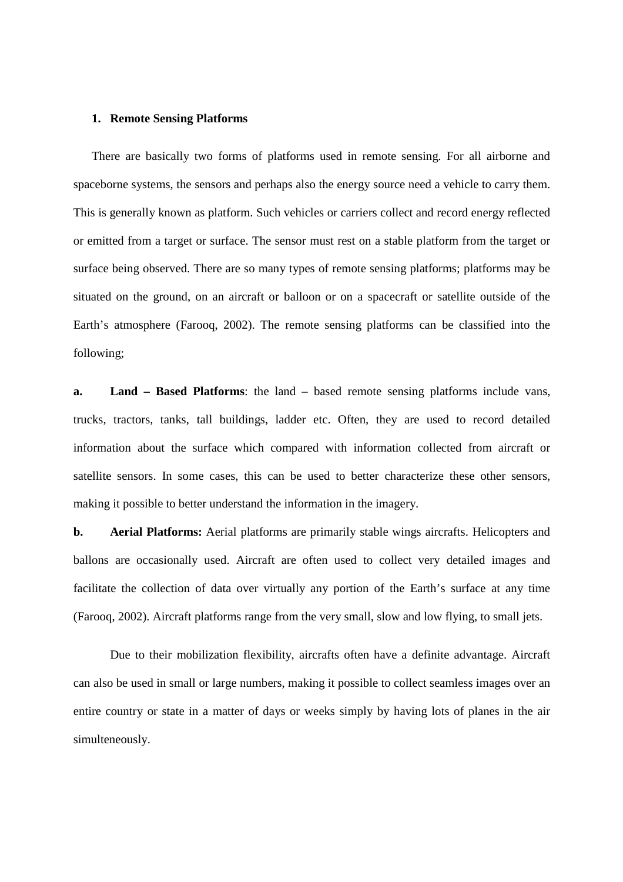#### **1. Remote Sensing Platforms**

There are basically two forms of platforms used in remote sensing. For all airborne and spaceborne systems, the sensors and perhaps also the energy source need a vehicle to carry them. This is generally known as platform. Such vehicles or carriers collect and record energy reflected or emitted from a target or surface. The sensor must rest on a stable platform from the target or surface being observed. There are so many types of remote sensing platforms; platforms may be situated on the ground, on an aircraft or balloon or on a spacecraft or satellite outside of the Earth's atmosphere (Farooq, 2002). The remote sensing platforms can be classified into the following;

**a. Land – Based Platforms**: the land – based remote sensing platforms include vans, trucks, tractors, tanks, tall buildings, ladder etc. Often, they are used to record detailed information about the surface which compared with information collected from aircraft or satellite sensors. In some cases, this can be used to better characterize these other sensors, making it possible to better understand the information in the imagery.

**b. Aerial Platforms:** Aerial platforms are primarily stable wings aircrafts. Helicopters and ballons are occasionally used. Aircraft are often used to collect very detailed images and facilitate the collection of data over virtually any portion of the Earth's surface at any time (Farooq, 2002). Aircraft platforms range from the very small, slow and low flying, to small jets.

Due to their mobilization flexibility, aircrafts often have a definite advantage. Aircraft can also be used in small or large numbers, making it possible to collect seamless images over an entire country or state in a matter of days or weeks simply by having lots of planes in the air simulteneously.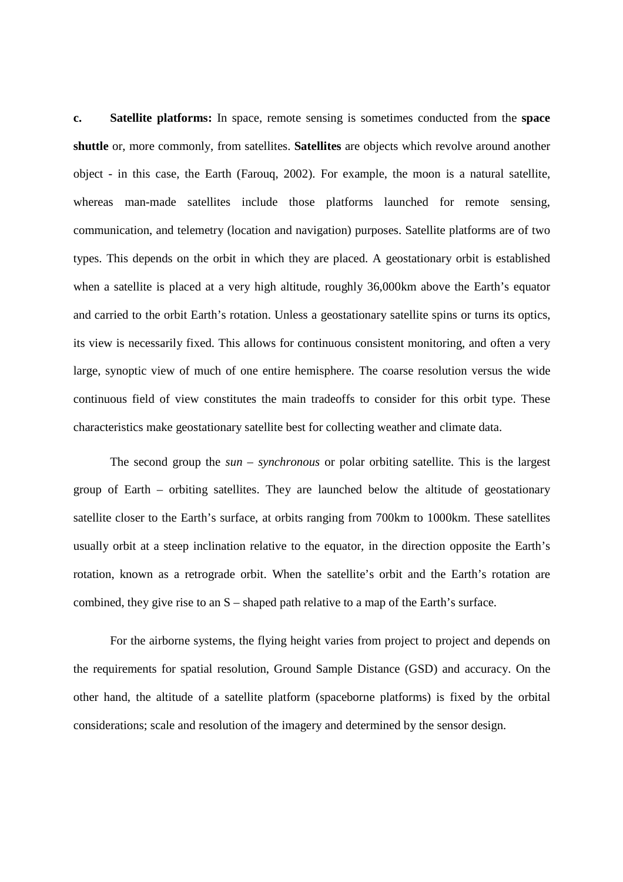**c. Satellite platforms:** In space, remote sensing is sometimes conducted from the **space shuttle** or, more commonly, from satellites. **Satellites** are objects which revolve around another object - in this case, the Earth (Farouq, 2002). For example, the moon is a natural satellite, whereas man-made satellites include those platforms launched for remote sensing, communication, and telemetry (location and navigation) purposes. Satellite platforms are of two types. This depends on the orbit in which they are placed. A geostationary orbit is established when a satellite is placed at a very high altitude, roughly 36,000km above the Earth's equator and carried to the orbit Earth's rotation. Unless a geostationary satellite spins or turns its optics, its view is necessarily fixed. This allows for continuous consistent monitoring, and often a very large, synoptic view of much of one entire hemisphere. The coarse resolution versus the wide continuous field of view constitutes the main tradeoffs to consider for this orbit type. These characteristics make geostationary satellite best for collecting weather and climate data.

The second group the *sun – synchronous* or polar orbiting satellite. This is the largest group of Earth – orbiting satellites. They are launched below the altitude of geostationary satellite closer to the Earth's surface, at orbits ranging from 700km to 1000km. These satellites usually orbit at a steep inclination relative to the equator, in the direction opposite the Earth's rotation, known as a retrograde orbit. When the satellite's orbit and the Earth's rotation are combined, they give rise to an S – shaped path relative to a map of the Earth's surface.

For the airborne systems, the flying height varies from project to project and depends on the requirements for spatial resolution, Ground Sample Distance (GSD) and accuracy. On the other hand, the altitude of a satellite platform (spaceborne platforms) is fixed by the orbital considerations; scale and resolution of the imagery and determined by the sensor design.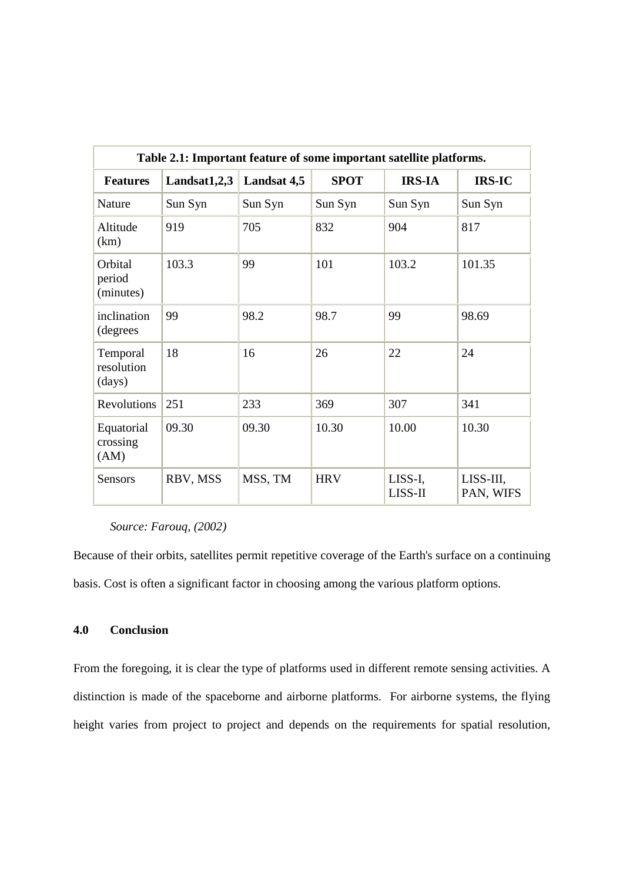| Table 2.1: Important feature of some important satellite platforms. |              |             |             |                    |                        |  |
|---------------------------------------------------------------------|--------------|-------------|-------------|--------------------|------------------------|--|
| <b>Features</b>                                                     | Landsat1,2,3 | Landsat 4,5 | <b>SPOT</b> | <b>IRS-IA</b>      | <b>IRS-IC</b>          |  |
| Nature                                                              | Sun Syn      | Sun Syn     | Sun Syn     | Sun Syn            | Sun Syn                |  |
| Altitude<br>(km)                                                    | 919          | 705         | 832         | 904                | 817                    |  |
| Orbital<br>period<br>(minutes)                                      | 103.3        | 99          | 101         | 103.2              | 101.35                 |  |
| inclination<br>(degrees                                             | 99           | 98.2        | 98.7        | 99                 | 98.69                  |  |
| Temporal<br>resolution<br>(days)                                    | 18           | 16          | 26          | 22                 | 24                     |  |
| Revolutions                                                         | 251          | 233         | 369         | 307                | 341                    |  |
| Equatorial<br>crossing<br>(AM)                                      | 09.30        | 09.30       | 10.30       | 10.00              | 10.30                  |  |
| <b>Sensors</b>                                                      | RBV, MSS     | MSS, TM     | <b>HRV</b>  | LISS-I,<br>LISS-II | LISS-III,<br>PAN, WIFS |  |

## *Source: Farouq, (2002)*

Because of their orbits, satellites permit repetitive coverage of the Earth's surface on a continuing basis. Cost is often a significant factor in choosing among the various platform options.

## **4.0 Conclusion**

From the foregoing, it is clear the type of platforms used in different remote sensing activities. A distinction is made of the spaceborne and airborne platforms. For airborne systems, the flying height varies from project to project and depends on the requirements for spatial resolution,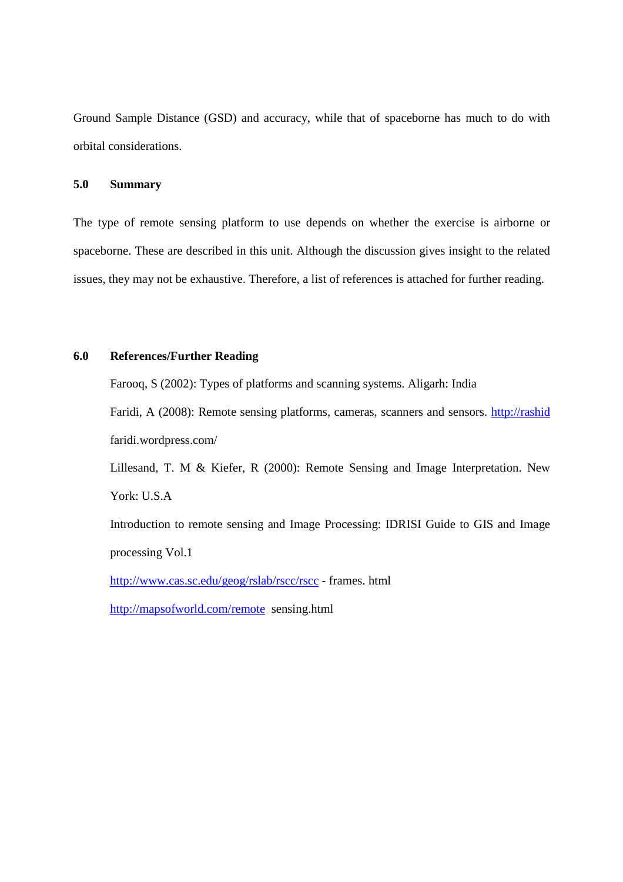Ground Sample Distance (GSD) and accuracy, while that of spaceborne has much to do with orbital considerations.

## **5.0 Summary**

The type of remote sensing platform to use depends on whether the exercise is airborne or spaceborne. These are described in this unit. Although the discussion gives insight to the related issues, they may not be exhaustive. Therefore, a list of references is attached for further reading.

#### **6.0 References/Further Reading**

Farooq, S (2002): Types of platforms and scanning systems. Aligarh: India Faridi, A (2008): Remote sensing platforms, cameras, scanners and sensors. http://rashid faridi.wordpress.com/

Lillesand, T. M & Kiefer, R (2000): Remote Sensing and Image Interpretation. New York: U.S.A

Introduction to remote sensing and Image Processing: IDRISI Guide to GIS and Image processing Vol.1

http://www.cas.sc.edu/geog/rslab/rscc/rscc - frames. html

http://mapsofworld.com/remote sensing.html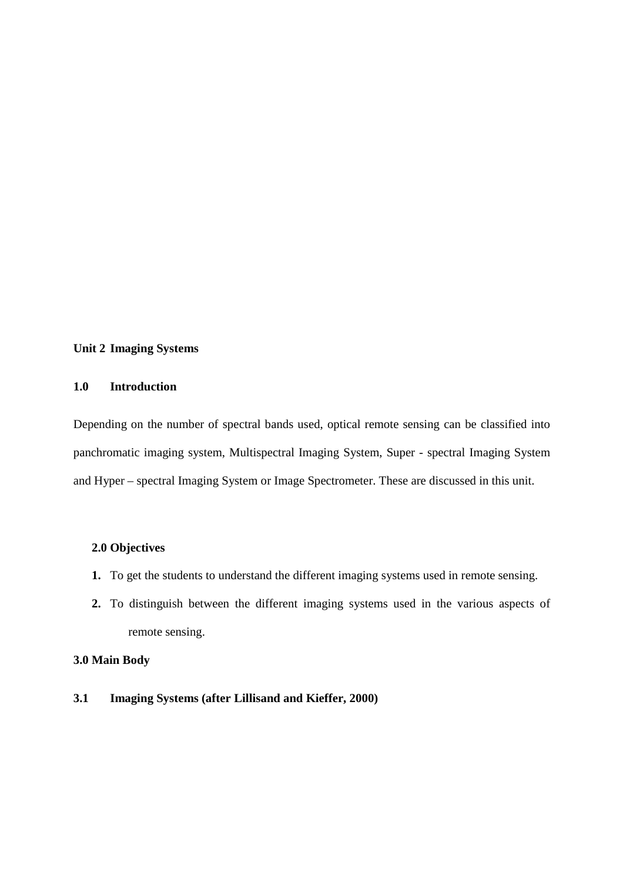### **Unit 2 Imaging Systems**

## **1.0 Introduction**

Depending on the number of spectral bands used, optical remote sensing can be classified into panchromatic imaging system, Multispectral Imaging System, Super - spectral Imaging System and Hyper – spectral Imaging System or Image Spectrometer. These are discussed in this unit.

## **2.0 Objectives**

- **1.** To get the students to understand the different imaging systems used in remote sensing.
- **2.** To distinguish between the different imaging systems used in the various aspects of remote sensing.

## **3.0 Main Body**

**3.1 Imaging Systems (after Lillisand and Kieffer, 2000)**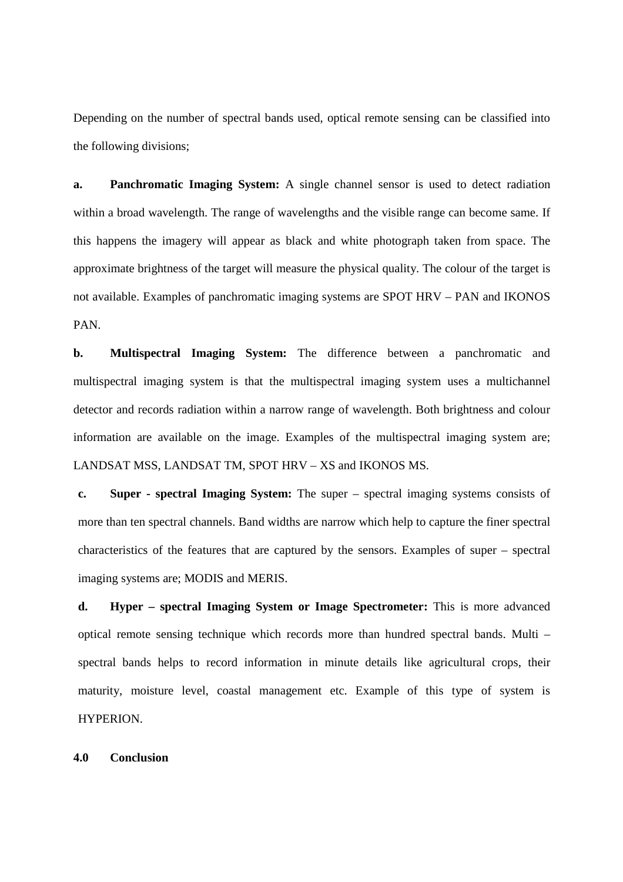Depending on the number of spectral bands used, optical remote sensing can be classified into the following divisions;

**a. Panchromatic Imaging System:** A single channel sensor is used to detect radiation within a broad wavelength. The range of wavelengths and the visible range can become same. If this happens the imagery will appear as black and white photograph taken from space. The approximate brightness of the target will measure the physical quality. The colour of the target is not available. Examples of panchromatic imaging systems are SPOT HRV – PAN and IKONOS PAN.

**b. Multispectral Imaging System:** The difference between a panchromatic and multispectral imaging system is that the multispectral imaging system uses a multichannel detector and records radiation within a narrow range of wavelength. Both brightness and colour information are available on the image. Examples of the multispectral imaging system are; LANDSAT MSS, LANDSAT TM, SPOT HRV – XS and IKONOS MS.

**c. Super - spectral Imaging System:** The super – spectral imaging systems consists of more than ten spectral channels. Band widths are narrow which help to capture the finer spectral characteristics of the features that are captured by the sensors. Examples of super – spectral imaging systems are; MODIS and MERIS.

**d. Hyper – spectral Imaging System or Image Spectrometer:** This is more advanced optical remote sensing technique which records more than hundred spectral bands. Multi – spectral bands helps to record information in minute details like agricultural crops, their maturity, moisture level, coastal management etc. Example of this type of system is HYPERION.

**4.0 Conclusion**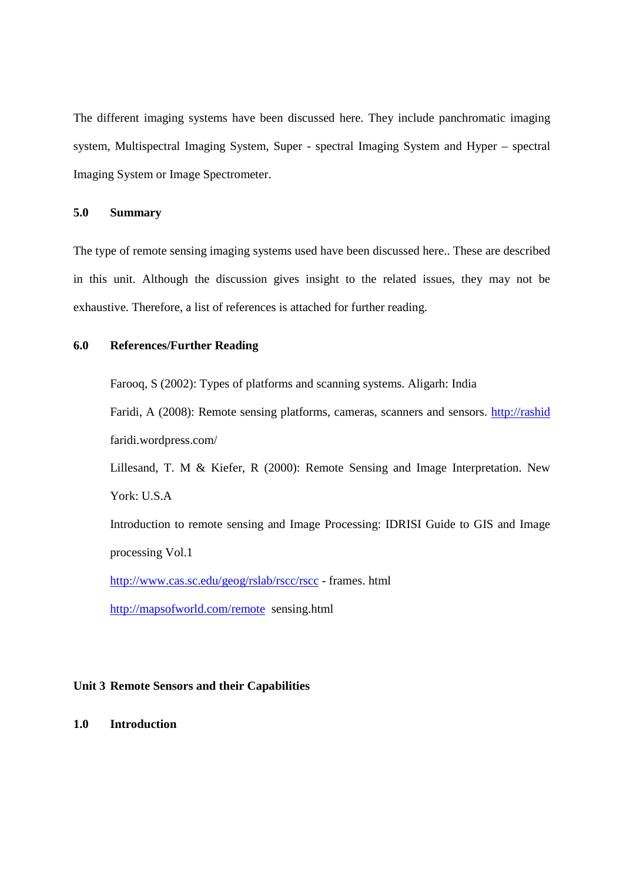The different imaging systems have been discussed here. They include panchromatic imaging system, Multispectral Imaging System, Super - spectral Imaging System and Hyper – spectral Imaging System or Image Spectrometer.

## **5.0 Summary**

The type of remote sensing imaging systems used have been discussed here.. These are described in this unit. Although the discussion gives insight to the related issues, they may not be exhaustive. Therefore, a list of references is attached for further reading.

## **6.0 References/Further Reading**

Farooq, S (2002): Types of platforms and scanning systems. Aligarh: India

Faridi, A (2008): Remote sensing platforms, cameras, scanners and sensors. http://rashid faridi.wordpress.com/

Lillesand, T. M & Kiefer, R (2000): Remote Sensing and Image Interpretation. New York: U.S.A

Introduction to remote sensing and Image Processing: IDRISI Guide to GIS and Image processing Vol.1

http://www.cas.sc.edu/geog/rslab/rscc/rscc - frames. html

http://mapsofworld.com/remote sensing.html

## **Unit 3 Remote Sensors and their Capabilities**

#### **1.0 Introduction**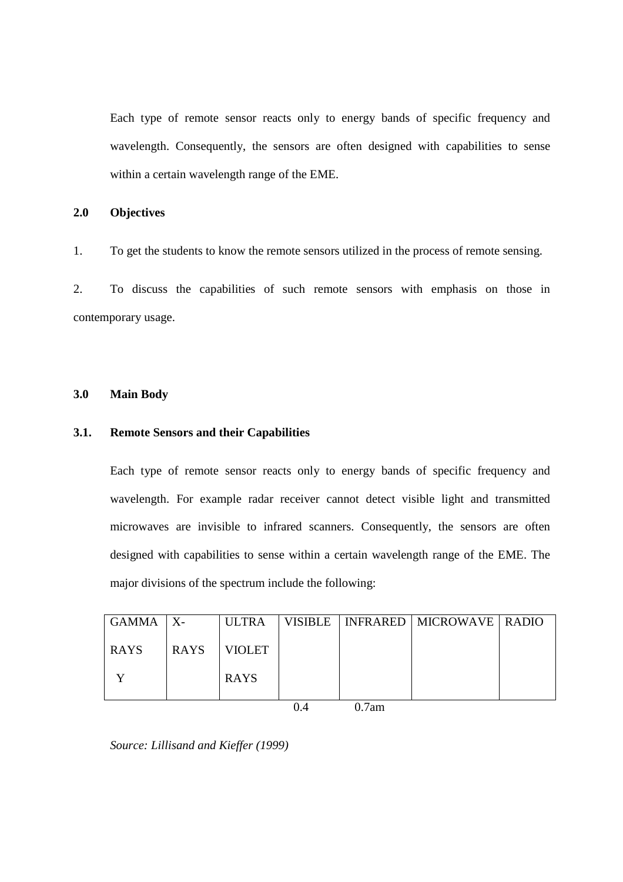Each type of remote sensor reacts only to energy bands of specific frequency and wavelength. Consequently, the sensors are often designed with capabilities to sense within a certain wavelength range of the EME.

## **2.0 Objectives**

1. To get the students to know the remote sensors utilized in the process of remote sensing.

2. To discuss the capabilities of such remote sensors with emphasis on those in contemporary usage.

## **3.0 Main Body**

## **3.1. Remote Sensors and their Capabilities**

Each type of remote sensor reacts only to energy bands of specific frequency and wavelength. For example radar receiver cannot detect visible light and transmitted microwaves are invisible to infrared scanners. Consequently, the sensors are often designed with capabilities to sense within a certain wavelength range of the EME. The major divisions of the spectrum include the following:

| <b>GAMMA</b> | $X-$        | <b>ULTRA</b>  |       | VISIBLE   INFRARED   MICROWAVE   RADIO |  |
|--------------|-------------|---------------|-------|----------------------------------------|--|
| <b>RAYS</b>  | <b>RAYS</b> | <b>VIOLET</b> |       |                                        |  |
|              |             | <b>RAYS</b>   |       |                                        |  |
|              |             |               | 0.7am |                                        |  |

*Source: Lillisand and Kieffer (1999)*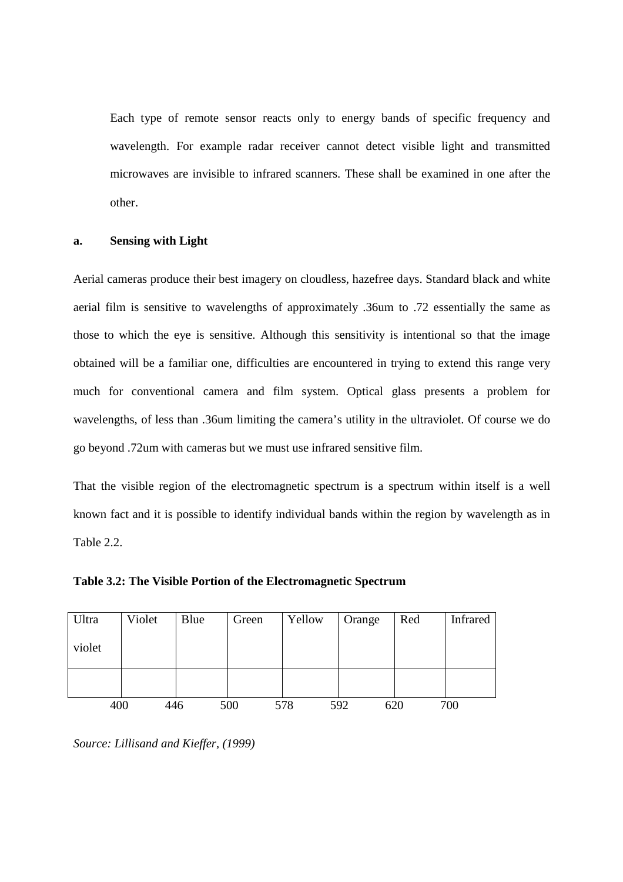Each type of remote sensor reacts only to energy bands of specific frequency and wavelength. For example radar receiver cannot detect visible light and transmitted microwaves are invisible to infrared scanners. These shall be examined in one after the other.

#### **a. Sensing with Light**

Aerial cameras produce their best imagery on cloudless, hazefree days. Standard black and white aerial film is sensitive to wavelengths of approximately .36um to .72 essentially the same as those to which the eye is sensitive. Although this sensitivity is intentional so that the image obtained will be a familiar one, difficulties are encountered in trying to extend this range very much for conventional camera and film system. Optical glass presents a problem for wavelengths, of less than .36um limiting the camera's utility in the ultraviolet. Of course we do go beyond .72um with cameras but we must use infrared sensitive film.

That the visible region of the electromagnetic spectrum is a spectrum within itself is a well known fact and it is possible to identify individual bands within the region by wavelength as in Table 2.2.

| Ultra  | Violet | Blue | Green | Yellow | Orange     | Red | Infrared |
|--------|--------|------|-------|--------|------------|-----|----------|
| violet |        |      |       |        |            |     |          |
|        |        |      |       |        |            |     |          |
| 400    | 446    |      | 500   | 578    | 592<br>620 |     | 700      |

## **Table 3.2: The Visible Portion of the Electromagnetic Spectrum**

*Source: Lillisand and Kieffer, (1999)*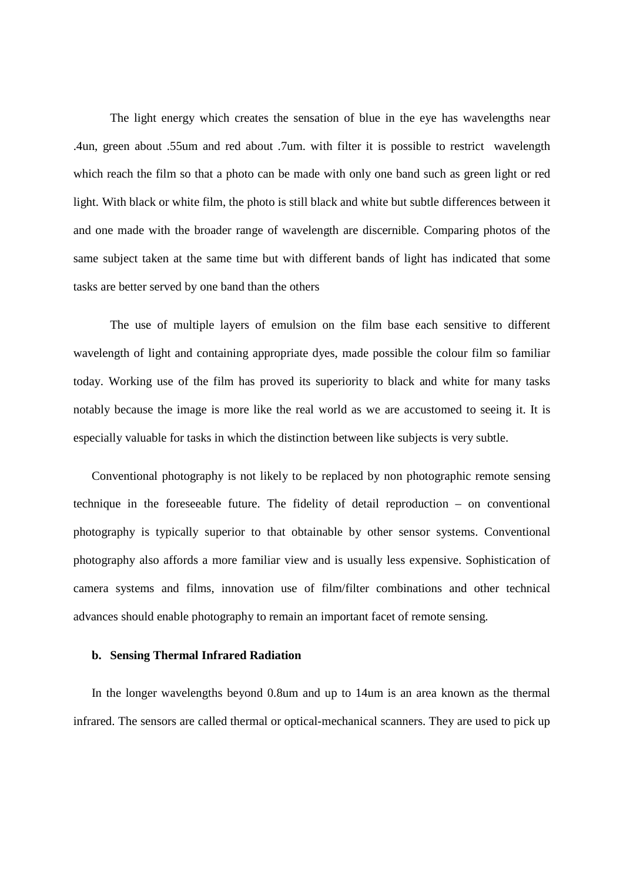The light energy which creates the sensation of blue in the eye has wavelengths near .4un, green about .55um and red about .7um. with filter it is possible to restrict wavelength which reach the film so that a photo can be made with only one band such as green light or red light. With black or white film, the photo is still black and white but subtle differences between it and one made with the broader range of wavelength are discernible. Comparing photos of the same subject taken at the same time but with different bands of light has indicated that some tasks are better served by one band than the others

The use of multiple layers of emulsion on the film base each sensitive to different wavelength of light and containing appropriate dyes, made possible the colour film so familiar today. Working use of the film has proved its superiority to black and white for many tasks notably because the image is more like the real world as we are accustomed to seeing it. It is especially valuable for tasks in which the distinction between like subjects is very subtle.

Conventional photography is not likely to be replaced by non photographic remote sensing technique in the foreseeable future. The fidelity of detail reproduction – on conventional photography is typically superior to that obtainable by other sensor systems. Conventional photography also affords a more familiar view and is usually less expensive. Sophistication of camera systems and films, innovation use of film/filter combinations and other technical advances should enable photography to remain an important facet of remote sensing.

#### **b. Sensing Thermal Infrared Radiation**

In the longer wavelengths beyond 0.8um and up to 14um is an area known as the thermal infrared. The sensors are called thermal or optical-mechanical scanners. They are used to pick up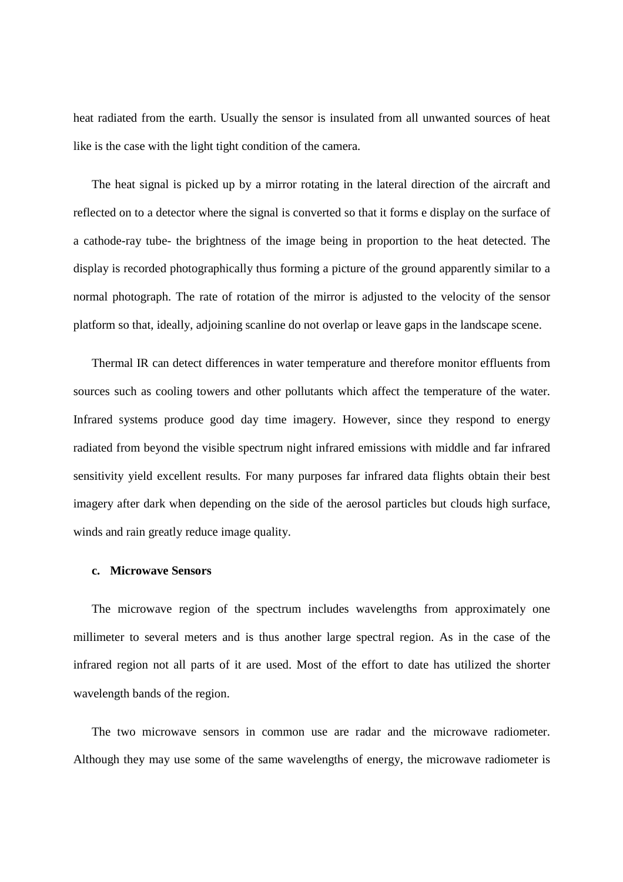heat radiated from the earth. Usually the sensor is insulated from all unwanted sources of heat like is the case with the light tight condition of the camera.

The heat signal is picked up by a mirror rotating in the lateral direction of the aircraft and reflected on to a detector where the signal is converted so that it forms e display on the surface of a cathode-ray tube- the brightness of the image being in proportion to the heat detected. The display is recorded photographically thus forming a picture of the ground apparently similar to a normal photograph. The rate of rotation of the mirror is adjusted to the velocity of the sensor platform so that, ideally, adjoining scanline do not overlap or leave gaps in the landscape scene.

Thermal IR can detect differences in water temperature and therefore monitor effluents from sources such as cooling towers and other pollutants which affect the temperature of the water. Infrared systems produce good day time imagery. However, since they respond to energy radiated from beyond the visible spectrum night infrared emissions with middle and far infrared sensitivity yield excellent results. For many purposes far infrared data flights obtain their best imagery after dark when depending on the side of the aerosol particles but clouds high surface, winds and rain greatly reduce image quality.

### **c. Microwave Sensors**

The microwave region of the spectrum includes wavelengths from approximately one millimeter to several meters and is thus another large spectral region. As in the case of the infrared region not all parts of it are used. Most of the effort to date has utilized the shorter wavelength bands of the region.

The two microwave sensors in common use are radar and the microwave radiometer. Although they may use some of the same wavelengths of energy, the microwave radiometer is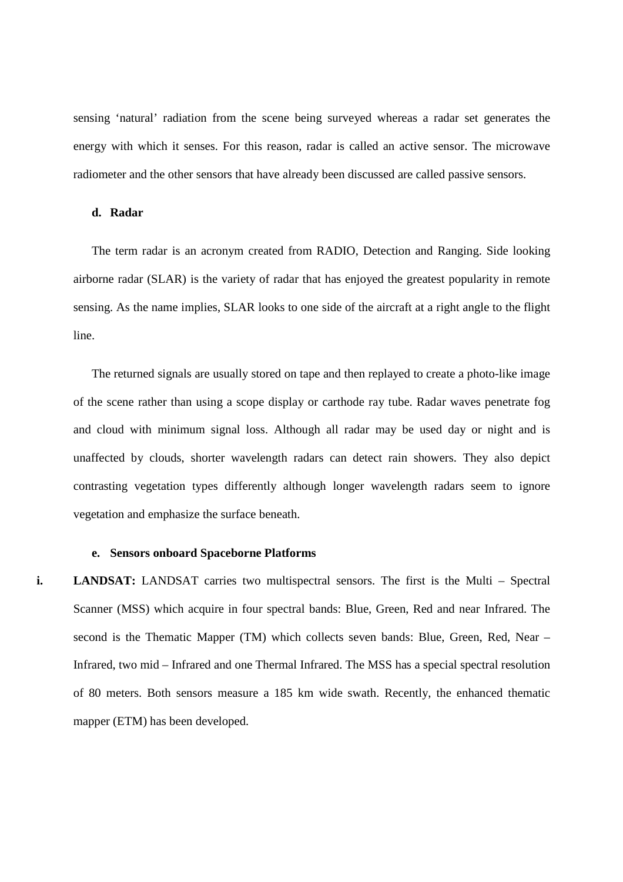sensing 'natural' radiation from the scene being surveyed whereas a radar set generates the energy with which it senses. For this reason, radar is called an active sensor. The microwave radiometer and the other sensors that have already been discussed are called passive sensors.

### **d. Radar**

The term radar is an acronym created from RADIO, Detection and Ranging. Side looking airborne radar (SLAR) is the variety of radar that has enjoyed the greatest popularity in remote sensing. As the name implies, SLAR looks to one side of the aircraft at a right angle to the flight line.

The returned signals are usually stored on tape and then replayed to create a photo-like image of the scene rather than using a scope display or carthode ray tube. Radar waves penetrate fog and cloud with minimum signal loss. Although all radar may be used day or night and is unaffected by clouds, shorter wavelength radars can detect rain showers. They also depict contrasting vegetation types differently although longer wavelength radars seem to ignore vegetation and emphasize the surface beneath.

#### **e. Sensors onboard Spaceborne Platforms**

**i. LANDSAT:** LANDSAT carries two multispectral sensors. The first is the Multi – Spectral Scanner (MSS) which acquire in four spectral bands: Blue, Green, Red and near Infrared. The second is the Thematic Mapper (TM) which collects seven bands: Blue, Green, Red, Near – Infrared, two mid – Infrared and one Thermal Infrared. The MSS has a special spectral resolution of 80 meters. Both sensors measure a 185 km wide swath. Recently, the enhanced thematic mapper (ETM) has been developed.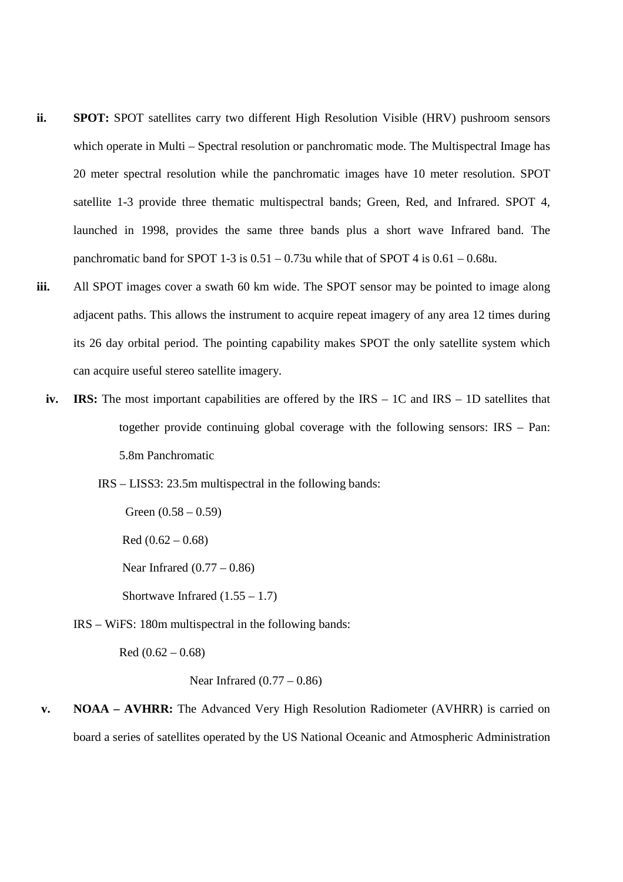- **ii. SPOT:** SPOT satellites carry two different High Resolution Visible (HRV) pushroom sensors which operate in Multi – Spectral resolution or panchromatic mode. The Multispectral Image has 20 meter spectral resolution while the panchromatic images have 10 meter resolution. SPOT satellite 1-3 provide three thematic multispectral bands; Green, Red, and Infrared. SPOT 4, launched in 1998, provides the same three bands plus a short wave Infrared band. The panchromatic band for SPOT 1-3 is  $0.51 - 0.73u$  while that of SPOT 4 is  $0.61 - 0.68u$ .
- **iii.** All SPOT images cover a swath 60 km wide. The SPOT sensor may be pointed to image along adjacent paths. This allows the instrument to acquire repeat imagery of any area 12 times during its 26 day orbital period. The pointing capability makes SPOT the only satellite system which can acquire useful stereo satellite imagery.
	- **iv. IRS:** The most important capabilities are offered by the IRS 1C and IRS 1D satellites that together provide continuing global coverage with the following sensors: IRS – Pan: 5.8m Panchromatic
		- IRS LISS3: 23.5m multispectral in the following bands:

Green  $(0.58 - 0.59)$  $Red (0.62 - 0.68)$ Near Infrared  $(0.77 - 0.86)$ Shortwave Infrared  $(1.55 - 1.7)$ 

IRS – WiFS: 180m multispectral in the following bands:

Red  $(0.62 - 0.68)$ 

```
 Near Infrared (0.77 – 0.86)
```
**v. NOAA – AVHRR:** The Advanced Very High Resolution Radiometer (AVHRR) is carried on board a series of satellites operated by the US National Oceanic and Atmospheric Administration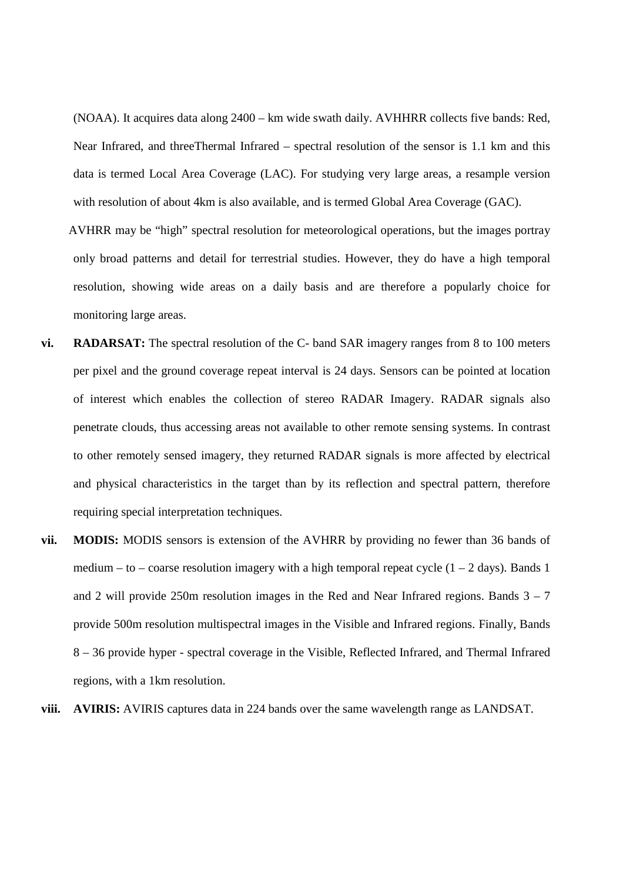(NOAA). It acquires data along 2400 – km wide swath daily. AVHHRR collects five bands: Red, Near Infrared, and threeThermal Infrared – spectral resolution of the sensor is 1.1 km and this data is termed Local Area Coverage (LAC). For studying very large areas, a resample version with resolution of about 4km is also available, and is termed Global Area Coverage (GAC).

AVHRR may be "high" spectral resolution for meteorological operations, but the images portray only broad patterns and detail for terrestrial studies. However, they do have a high temporal resolution, showing wide areas on a daily basis and are therefore a popularly choice for monitoring large areas.

- **vi. RADARSAT:** The spectral resolution of the C- band SAR imagery ranges from 8 to 100 meters per pixel and the ground coverage repeat interval is 24 days. Sensors can be pointed at location of interest which enables the collection of stereo RADAR Imagery. RADAR signals also penetrate clouds, thus accessing areas not available to other remote sensing systems. In contrast to other remotely sensed imagery, they returned RADAR signals is more affected by electrical and physical characteristics in the target than by its reflection and spectral pattern, therefore requiring special interpretation techniques.
- **vii. MODIS:** MODIS sensors is extension of the AVHRR by providing no fewer than 36 bands of medium – to – coarse resolution imagery with a high temporal repeat cycle  $(1 – 2$  days). Bands 1 and 2 will provide 250m resolution images in the Red and Near Infrared regions. Bands  $3 - 7$ provide 500m resolution multispectral images in the Visible and Infrared regions. Finally, Bands 8 – 36 provide hyper - spectral coverage in the Visible, Reflected Infrared, and Thermal Infrared regions, with a 1km resolution.
- **viii. AVIRIS:** AVIRIS captures data in 224 bands over the same wavelength range as LANDSAT.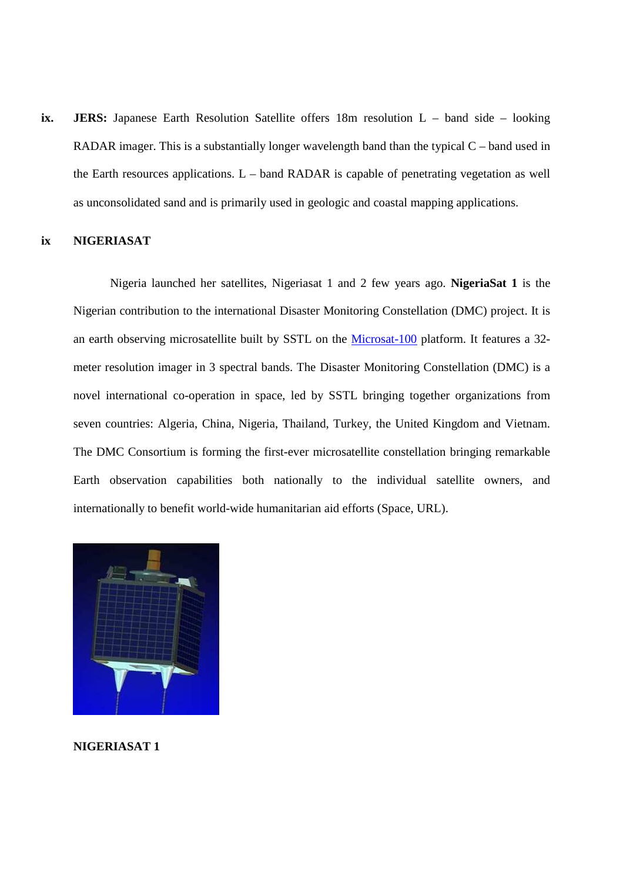**ix. JERS:** Japanese Earth Resolution Satellite offers 18m resolution L – band side – looking RADAR imager. This is a substantially longer wavelength band than the typical C – band used in the Earth resources applications.  $L$  – band RADAR is capable of penetrating vegetation as well as unconsolidated sand and is primarily used in geologic and coastal mapping applications.

#### **ix NIGERIASAT**

Nigeria launched her satellites, Nigeriasat 1 and 2 few years ago. **NigeriaSat 1** is the Nigerian contribution to the international Disaster Monitoring Constellation (DMC) project. It is an earth observing microsatellite built by SSTL on the Microsat-100 platform. It features a 32 meter resolution imager in 3 spectral bands. The Disaster Monitoring Constellation (DMC) is a novel international co-operation in space, led by SSTL bringing together organizations from seven countries: Algeria, China, Nigeria, Thailand, Turkey, the United Kingdom and Vietnam. The DMC Consortium is forming the first-ever microsatellite constellation bringing remarkable Earth observation capabilities both nationally to the individual satellite owners, and internationally to benefit world-wide humanitarian aid efforts (Space, URL).



**NIGERIASAT 1**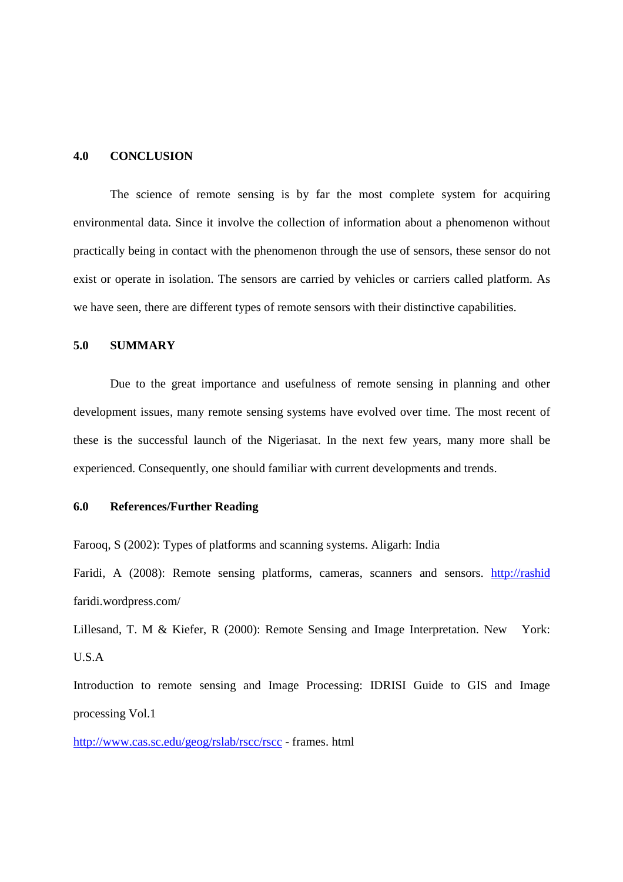#### **4.0 CONCLUSION**

The science of remote sensing is by far the most complete system for acquiring environmental data. Since it involve the collection of information about a phenomenon without practically being in contact with the phenomenon through the use of sensors, these sensor do not exist or operate in isolation. The sensors are carried by vehicles or carriers called platform. As we have seen, there are different types of remote sensors with their distinctive capabilities.

### **5.0 SUMMARY**

Due to the great importance and usefulness of remote sensing in planning and other development issues, many remote sensing systems have evolved over time. The most recent of these is the successful launch of the Nigeriasat. In the next few years, many more shall be experienced. Consequently, one should familiar with current developments and trends.

#### **6.0 References/Further Reading**

Farooq, S (2002): Types of platforms and scanning systems. Aligarh: India

Faridi, A (2008): Remote sensing platforms, cameras, scanners and sensors. http://rashid faridi.wordpress.com/

Lillesand, T. M & Kiefer, R (2000): Remote Sensing and Image Interpretation. New York: U.S.A

Introduction to remote sensing and Image Processing: IDRISI Guide to GIS and Image processing Vol.1

http://www.cas.sc.edu/geog/rslab/rscc/rscc - frames. html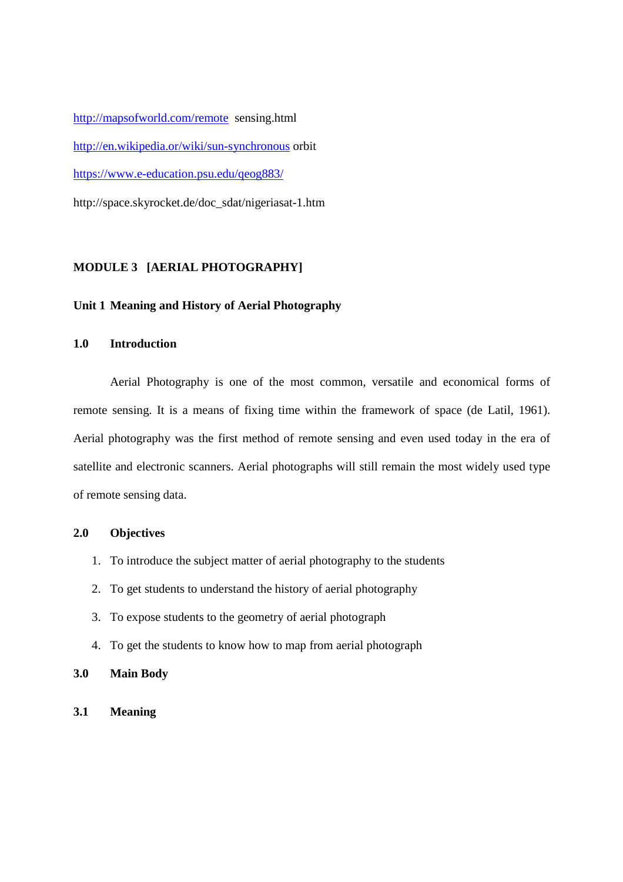http://mapsofworld.com/remote sensing.html http://en.wikipedia.or/wiki/sun-synchronous orbit https://www.e-education.psu.edu/qeog883/ http://space.skyrocket.de/doc\_sdat/nigeriasat-1.htm

# **MODULE 3 [AERIAL PHOTOGRAPHY]**

#### **Unit 1 Meaning and History of Aerial Photography**

#### **1.0 Introduction**

Aerial Photography is one of the most common, versatile and economical forms of remote sensing. It is a means of fixing time within the framework of space (de Latil, 1961). Aerial photography was the first method of remote sensing and even used today in the era of satellite and electronic scanners. Aerial photographs will still remain the most widely used type of remote sensing data.

#### **2.0 Objectives**

- 1. To introduce the subject matter of aerial photography to the students
- 2. To get students to understand the history of aerial photography
- 3. To expose students to the geometry of aerial photograph
- 4. To get the students to know how to map from aerial photograph
- **3.0 Main Body**
- **3.1 Meaning**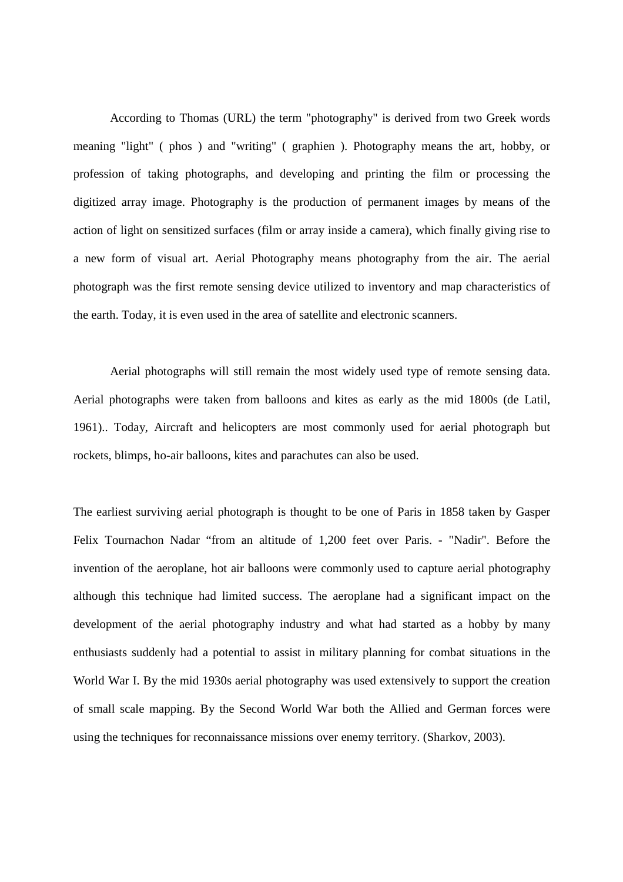According to Thomas (URL) the term "photography" is derived from two Greek words meaning "light" ( phos ) and "writing" ( graphien ). Photography means the art, hobby, or profession of taking photographs, and developing and printing the film or processing the digitized array image. Photography is the production of permanent images by means of the action of light on sensitized surfaces (film or array inside a camera), which finally giving rise to a new form of visual art. Aerial Photography means photography from the air. The aerial photograph was the first remote sensing device utilized to inventory and map characteristics of the earth. Today, it is even used in the area of satellite and electronic scanners.

Aerial photographs will still remain the most widely used type of remote sensing data. Aerial photographs were taken from balloons and kites as early as the mid 1800s (de Latil, 1961).. Today, Aircraft and helicopters are most commonly used for aerial photograph but rockets, blimps, ho-air balloons, kites and parachutes can also be used.

The earliest surviving aerial photograph is thought to be one of Paris in 1858 taken by Gasper Felix Tournachon Nadar "from an altitude of 1,200 feet over Paris. - "Nadir". Before the invention of the aeroplane, hot air balloons were commonly used to capture aerial photography although this technique had limited success. The aeroplane had a significant impact on the development of the aerial photography industry and what had started as a hobby by many enthusiasts suddenly had a potential to assist in military planning for combat situations in the World War I. By the mid 1930s aerial photography was used extensively to support the creation of small scale mapping. By the Second World War both the Allied and German forces were using the techniques for reconnaissance missions over enemy territory. (Sharkov, 2003).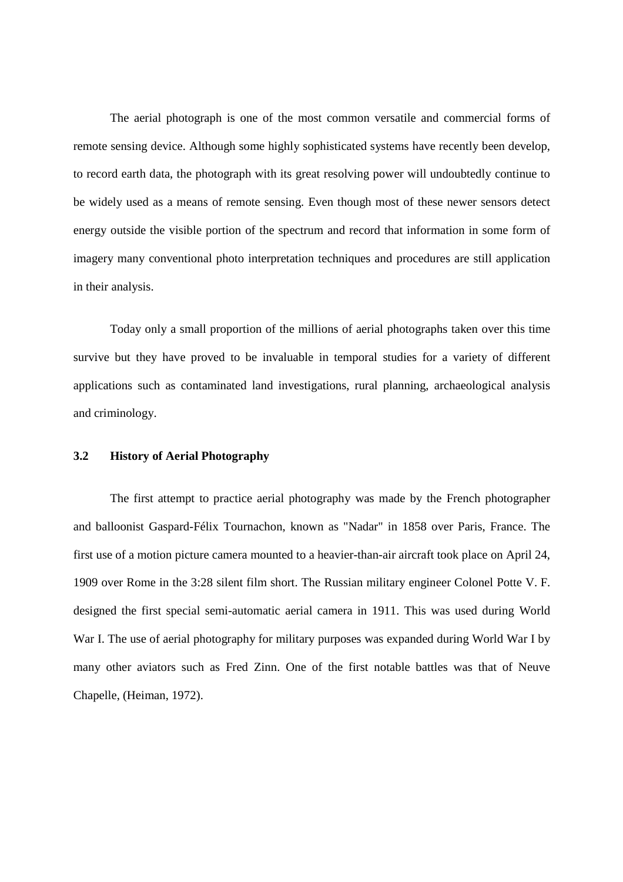The aerial photograph is one of the most common versatile and commercial forms of remote sensing device. Although some highly sophisticated systems have recently been develop, to record earth data, the photograph with its great resolving power will undoubtedly continue to be widely used as a means of remote sensing. Even though most of these newer sensors detect energy outside the visible portion of the spectrum and record that information in some form of imagery many conventional photo interpretation techniques and procedures are still application in their analysis.

Today only a small proportion of the millions of aerial photographs taken over this time survive but they have proved to be invaluable in temporal studies for a variety of different applications such as contaminated land investigations, rural planning, archaeological analysis and criminology.

# **3.2 History of Aerial Photography**

The first attempt to practice aerial photography was made by the French photographer and balloonist Gaspard-Félix Tournachon, known as "Nadar" in 1858 over Paris, France. The first use of a motion picture camera mounted to a heavier-than-air aircraft took place on April 24, 1909 over Rome in the 3:28 silent film short. The Russian military engineer Colonel Potte V. F. designed the first special semi-automatic aerial camera in 1911. This was used during World War I. The use of aerial photography for military purposes was expanded during World War I by many other aviators such as Fred Zinn. One of the first notable battles was that of Neuve Chapelle, (Heiman, 1972).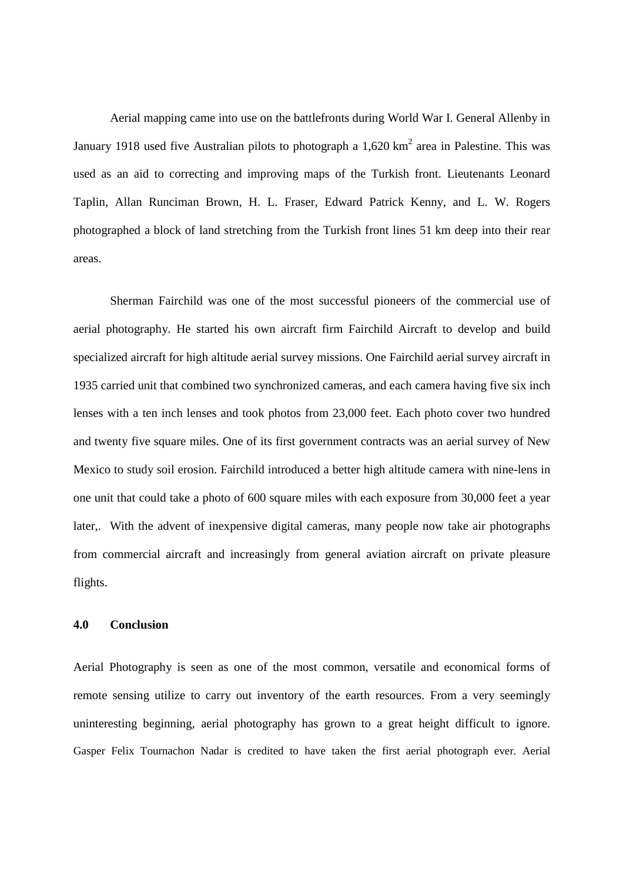Aerial mapping came into use on the battlefronts during World War I. General Allenby in January 1918 used five Australian pilots to photograph a  $1,620 \text{ km}^2$  area in Palestine. This was used as an aid to correcting and improving maps of the Turkish front. Lieutenants Leonard Taplin, Allan Runciman Brown, H. L. Fraser, Edward Patrick Kenny, and L. W. Rogers photographed a block of land stretching from the Turkish front lines 51 km deep into their rear areas.

Sherman Fairchild was one of the most successful pioneers of the commercial use of aerial photography. He started his own aircraft firm Fairchild Aircraft to develop and build specialized aircraft for high altitude aerial survey missions. One Fairchild aerial survey aircraft in 1935 carried unit that combined two synchronized cameras, and each camera having five six inch lenses with a ten inch lenses and took photos from 23,000 feet. Each photo cover two hundred and twenty five square miles. One of its first government contracts was an aerial survey of New Mexico to study soil erosion. Fairchild introduced a better high altitude camera with nine-lens in one unit that could take a photo of 600 square miles with each exposure from 30,000 feet a year later,. With the advent of inexpensive digital cameras, many people now take air photographs from commercial aircraft and increasingly from general aviation aircraft on private pleasure flights.

# **4.0 Conclusion**

Aerial Photography is seen as one of the most common, versatile and economical forms of remote sensing utilize to carry out inventory of the earth resources. From a very seemingly uninteresting beginning, aerial photography has grown to a great height difficult to ignore. Gasper Felix Tournachon Nadar is credited to have taken the first aerial photograph ever. Aerial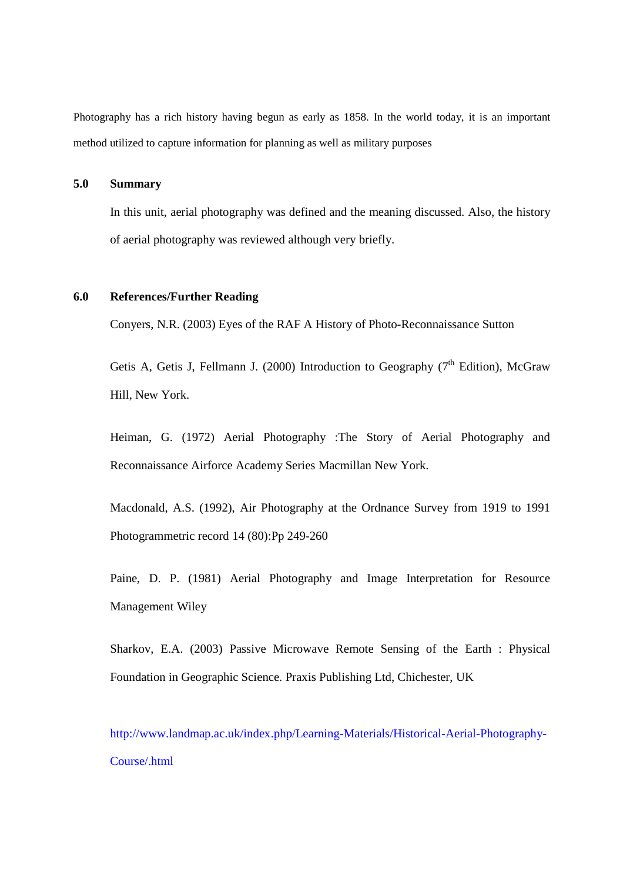Photography has a rich history having begun as early as 1858. In the world today, it is an important method utilized to capture information for planning as well as military purposes

# **5.0 Summary**

In this unit, aerial photography was defined and the meaning discussed. Also, the history of aerial photography was reviewed although very briefly.

# **6.0 References/Further Reading**

Conyers, N.R. (2003) Eyes of the RAF A History of Photo-Reconnaissance Sutton

Getis A, Getis J, Fellmann J. (2000) Introduction to Geography ( $7<sup>th</sup>$  Edition), McGraw Hill, New York.

Heiman, G. (1972) Aerial Photography :The Story of Aerial Photography and Reconnaissance Airforce Academy Series Macmillan New York.

Macdonald, A.S. (1992), Air Photography at the Ordnance Survey from 1919 to 1991 Photogrammetric record 14 (80):Pp 249-260

Paine, D. P. (1981) Aerial Photography and Image Interpretation for Resource Management Wiley

Sharkov, E.A. (2003) Passive Microwave Remote Sensing of the Earth : Physical Foundation in Geographic Science. Praxis Publishing Ltd, Chichester, UK

http://www.landmap.ac.uk/index.php/Learning-Materials/Historical-Aerial-Photography-Course/.html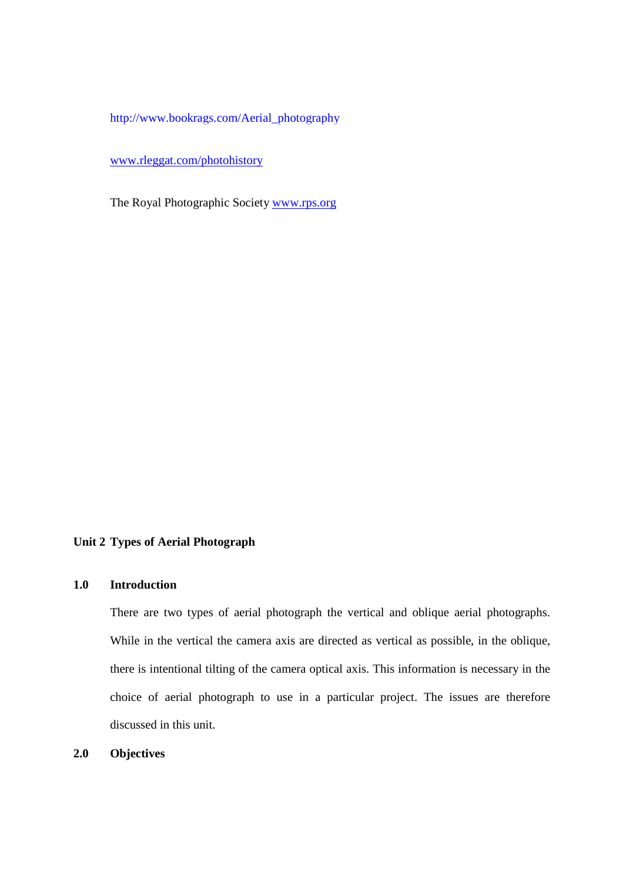http://www.bookrags.com/Aerial\_photography

www.rleggat.com/photohistory

The Royal Photographic Society www.rps.org

# **Unit 2 Types of Aerial Photograph**

# **1.0 Introduction**

There are two types of aerial photograph the vertical and oblique aerial photographs. While in the vertical the camera axis are directed as vertical as possible, in the oblique, there is intentional tilting of the camera optical axis. This information is necessary in the choice of aerial photograph to use in a particular project. The issues are therefore discussed in this unit.

**2.0 Objectives**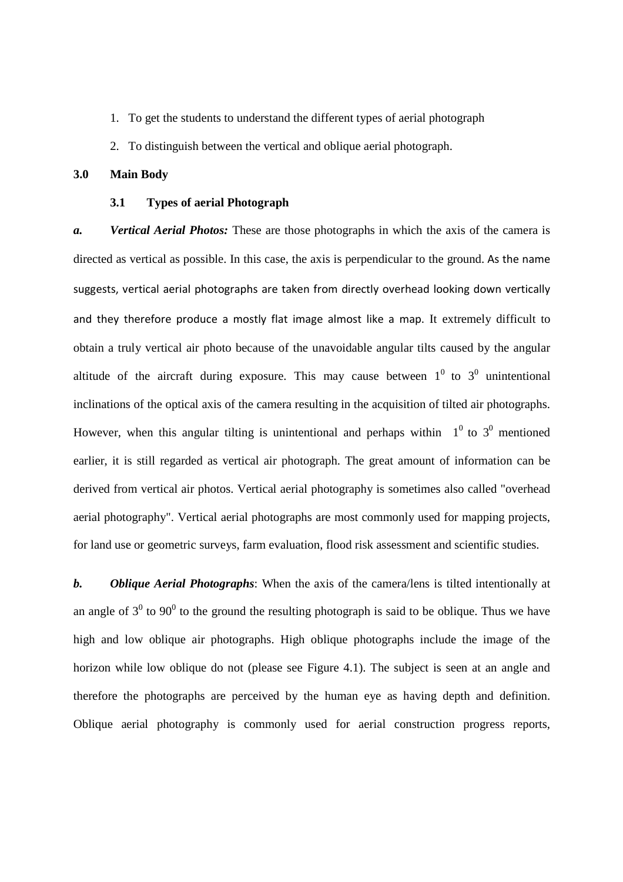- 1. To get the students to understand the different types of aerial photograph
- 2. To distinguish between the vertical and oblique aerial photograph.

#### **3.0 Main Body**

#### **3.1 Types of aerial Photograph**

*a. Vertical Aerial Photos:* These are those photographs in which the axis of the camera is directed as vertical as possible. In this case, the axis is perpendicular to the ground. As the name suggests, vertical aerial photographs are taken from directly overhead looking down vertically and they therefore produce a mostly flat image almost like a map. It extremely difficult to obtain a truly vertical air photo because of the unavoidable angular tilts caused by the angular altitude of the aircraft during exposure. This may cause between  $1^0$  to  $3^0$  unintentional inclinations of the optical axis of the camera resulting in the acquisition of tilted air photographs. However, when this angular tilting is unintentional and perhaps within  $1^0$  to  $3^0$  mentioned earlier, it is still regarded as vertical air photograph. The great amount of information can be derived from vertical air photos. Vertical aerial photography is sometimes also called "overhead aerial photography". Vertical aerial photographs are most commonly used for mapping projects, for land use or geometric surveys, farm evaluation, flood risk assessment and scientific studies.

*b. Oblique Aerial Photographs*: When the axis of the camera/lens is tilted intentionally at an angle of  $3^0$  to 90<sup>0</sup> to the ground the resulting photograph is said to be oblique. Thus we have high and low oblique air photographs. High oblique photographs include the image of the horizon while low oblique do not (please see Figure 4.1). The subject is seen at an angle and therefore the photographs are perceived by the human eye as having depth and definition. Oblique aerial photography is commonly used for aerial construction progress reports,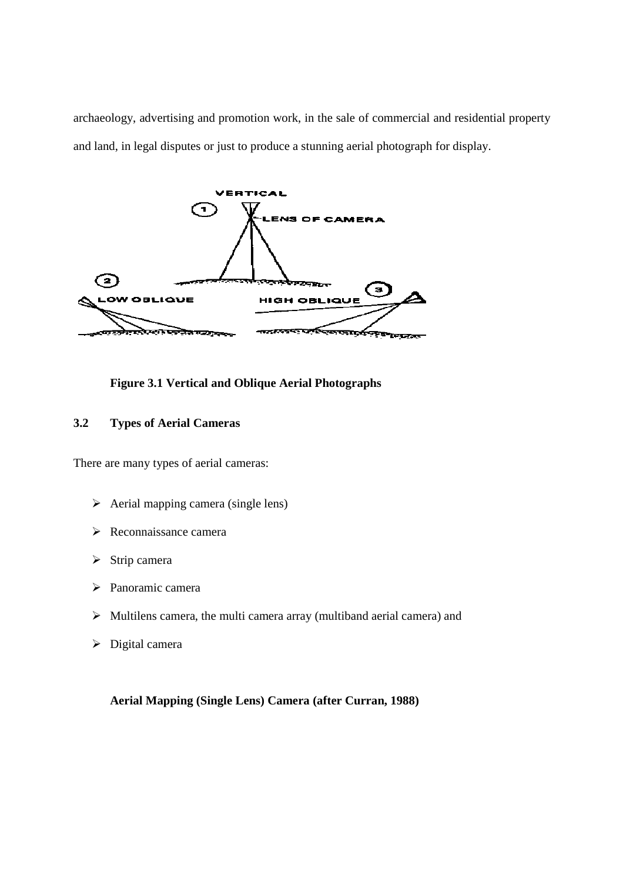archaeology, advertising and promotion work, in the sale of commercial and residential property and land, in legal disputes or just to produce a stunning aerial photograph for display.



**Figure 3.1 Vertical and Oblique Aerial Photographs** 

# **3.2 Types of Aerial Cameras**

There are many types of aerial cameras:

- $\triangleright$  Aerial mapping camera (single lens)
- $\triangleright$  Reconnaissance camera
- $\triangleright$  Strip camera
- Panoramic camera
- $\triangleright$  Multilens camera, the multi camera array (multiband aerial camera) and
- $\triangleright$  Digital camera

# **Aerial Mapping (Single Lens) Camera (after Curran, 1988)**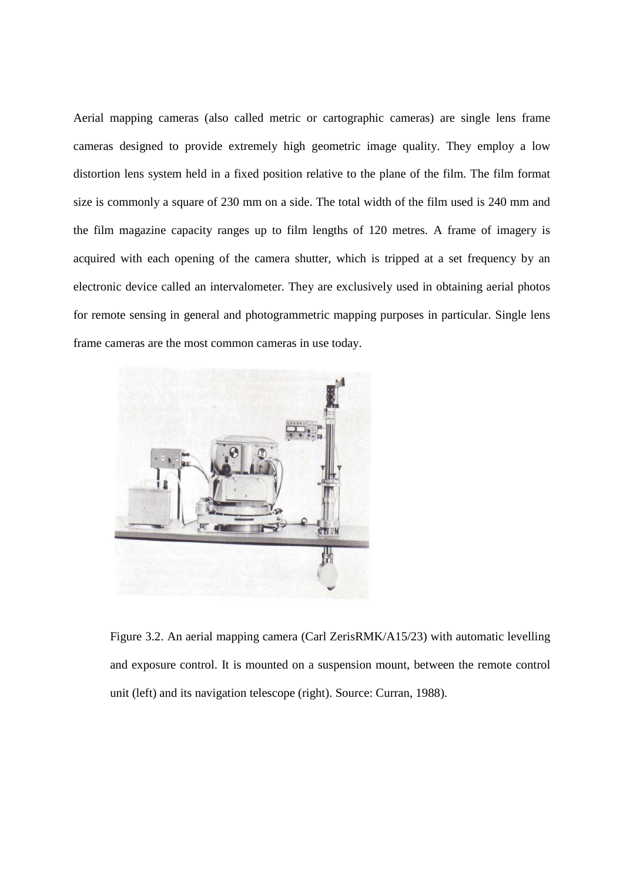Aerial mapping cameras (also called metric or cartographic cameras) are single lens frame cameras designed to provide extremely high geometric image quality. They employ a low distortion lens system held in a fixed position relative to the plane of the film. The film format size is commonly a square of 230 mm on a side. The total width of the film used is 240 mm and the film magazine capacity ranges up to film lengths of 120 metres. A frame of imagery is acquired with each opening of the camera shutter, which is tripped at a set frequency by an electronic device called an intervalometer. They are exclusively used in obtaining aerial photos for remote sensing in general and photogrammetric mapping purposes in particular. Single lens frame cameras are the most common cameras in use today.



Figure 3.2. An aerial mapping camera (Carl ZerisRMK/A15/23) with automatic levelling and exposure control. It is mounted on a suspension mount, between the remote control unit (left) and its navigation telescope (right). Source: Curran, 1988).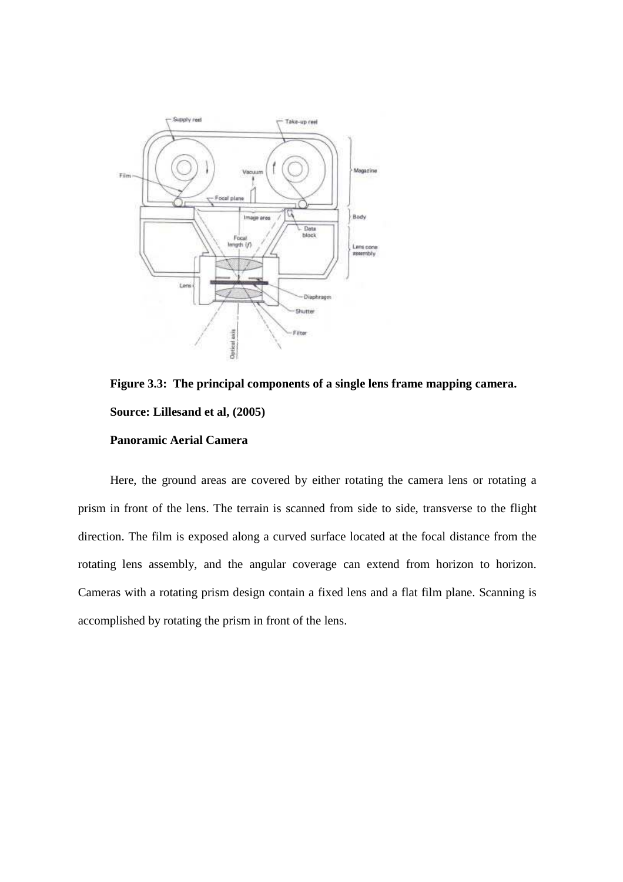

**Figure 3.3: The principal components of a single lens frame mapping camera. Source: Lillesand et al, (2005) Panoramic Aerial Camera** 

Here, the ground areas are covered by either rotating the camera lens or rotating a prism in front of the lens. The terrain is scanned from side to side, transverse to the flight direction. The film is exposed along a curved surface located at the focal distance from the rotating lens assembly, and the angular coverage can extend from horizon to horizon. Cameras with a rotating prism design contain a fixed lens and a flat film plane. Scanning is accomplished by rotating the prism in front of the lens.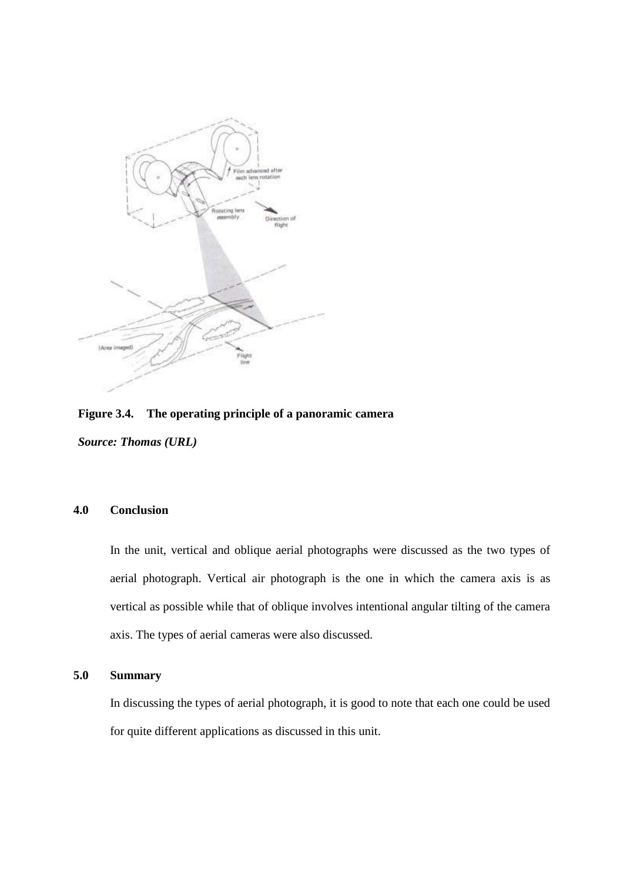

**Figure 3.4. The operating principle of a panoramic camera**  *Source: Thomas (URL)* 

# **4.0 Conclusion**

In the unit, vertical and oblique aerial photographs were discussed as the two types of aerial photograph. Vertical air photograph is the one in which the camera axis is as vertical as possible while that of oblique involves intentional angular tilting of the camera axis. The types of aerial cameras were also discussed.

# **5.0 Summary**

In discussing the types of aerial photograph, it is good to note that each one could be used for quite different applications as discussed in this unit.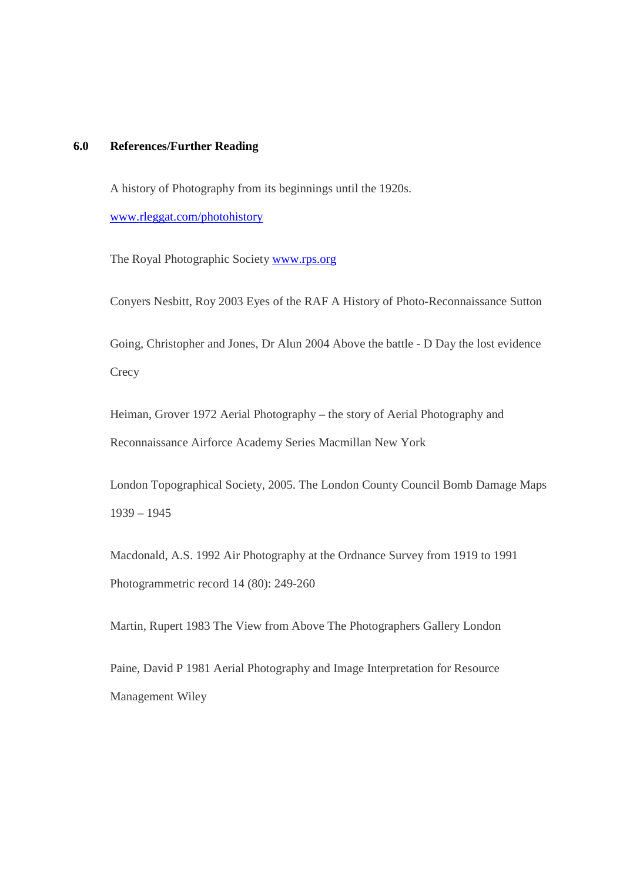# **6.0 References/Further Reading**

A history of Photography from its beginnings until the 1920s.

www.rleggat.com/photohistory

The Royal Photographic Society www.rps.org

Conyers Nesbitt, Roy 2003 Eyes of the RAF A History of Photo-Reconnaissance Sutton

Going, Christopher and Jones, Dr Alun 2004 Above the battle - D Day the lost evidence **Crecy** 

Heiman, Grover 1972 Aerial Photography – the story of Aerial Photography and Reconnaissance Airforce Academy Series Macmillan New York

London Topographical Society, 2005. The London County Council Bomb Damage Maps 1939 – 1945

Macdonald, A.S. 1992 Air Photography at the Ordnance Survey from 1919 to 1991 Photogrammetric record 14 (80): 249-260

Martin, Rupert 1983 The View from Above The Photographers Gallery London

Paine, David P 1981 Aerial Photography and Image Interpretation for Resource Management Wiley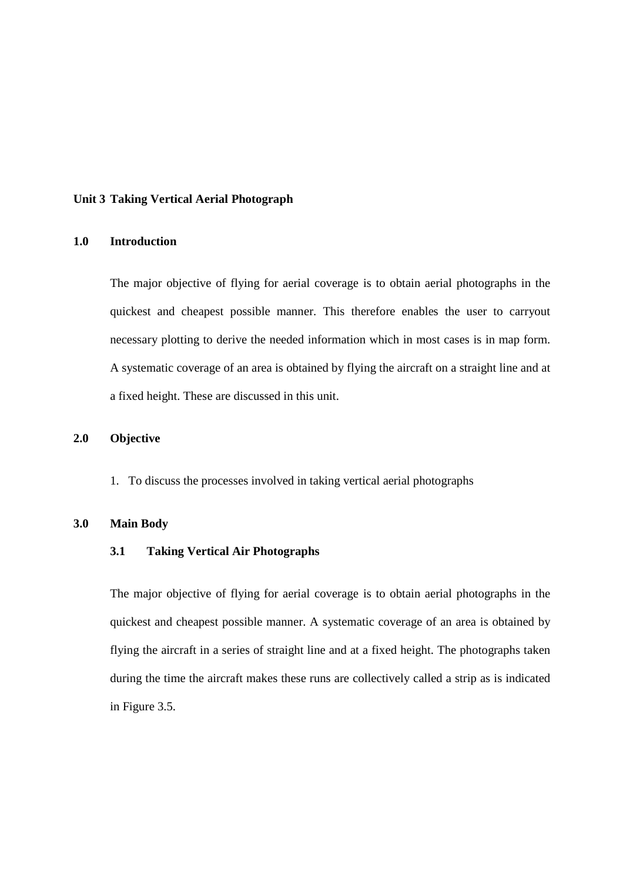#### **Unit 3 Taking Vertical Aerial Photograph**

### **1.0 Introduction**

The major objective of flying for aerial coverage is to obtain aerial photographs in the quickest and cheapest possible manner. This therefore enables the user to carryout necessary plotting to derive the needed information which in most cases is in map form. A systematic coverage of an area is obtained by flying the aircraft on a straight line and at a fixed height. These are discussed in this unit.

#### **2.0 Objective**

1. To discuss the processes involved in taking vertical aerial photographs

#### **3.0 Main Body**

#### **3.1 Taking Vertical Air Photographs**

The major objective of flying for aerial coverage is to obtain aerial photographs in the quickest and cheapest possible manner. A systematic coverage of an area is obtained by flying the aircraft in a series of straight line and at a fixed height. The photographs taken during the time the aircraft makes these runs are collectively called a strip as is indicated in Figure 3.5.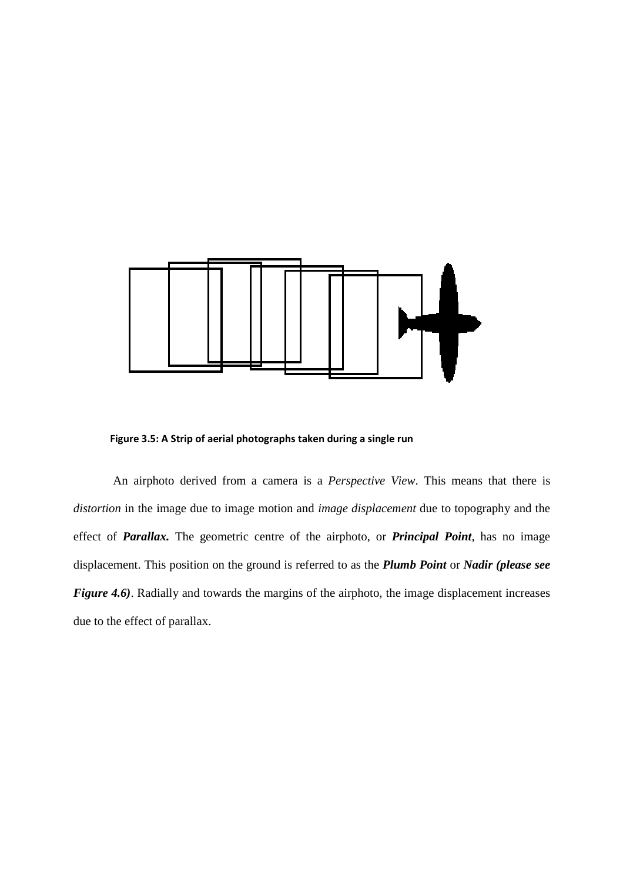

**Figure 3.5: A Strip of aerial photographs taken during a single run** 

 An airphoto derived from a camera is a *Perspective View*. This means that there is *distortion* in the image due to image motion and *image displacement* due to topography and the effect of *Parallax.* The geometric centre of the airphoto, or *Principal Point*, has no image displacement. This position on the ground is referred to as the *Plumb Point* or *Nadir (please see Figure 4.6*). Radially and towards the margins of the airphoto, the image displacement increases due to the effect of parallax.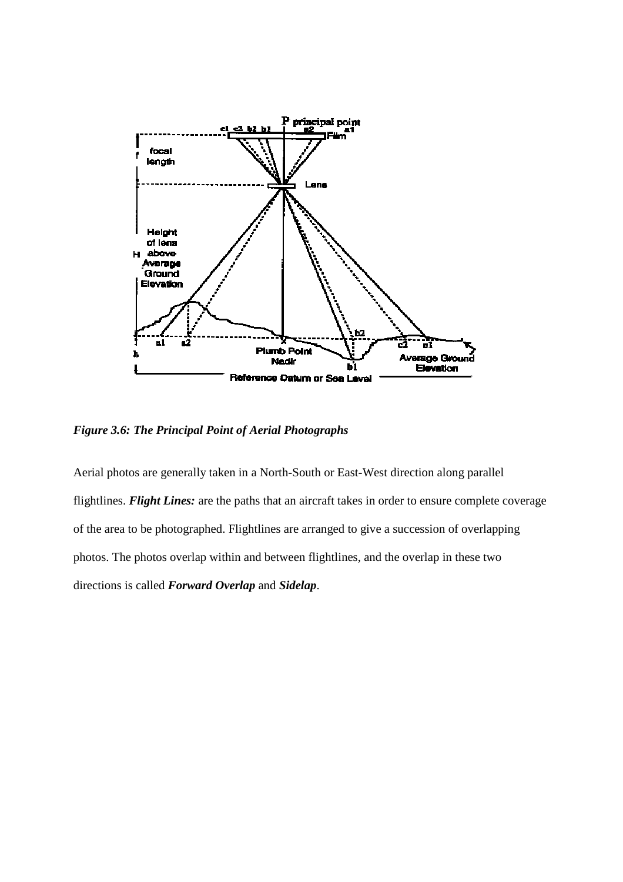

*Figure 3.6: The Principal Point of Aerial Photographs* 

Aerial photos are generally taken in a North-South or East-West direction along parallel flightlines. *Flight Lines:* are the paths that an aircraft takes in order to ensure complete coverage of the area to be photographed. Flightlines are arranged to give a succession of overlapping photos. The photos overlap within and between flightlines, and the overlap in these two directions is called *Forward Overlap* and *Sidelap*.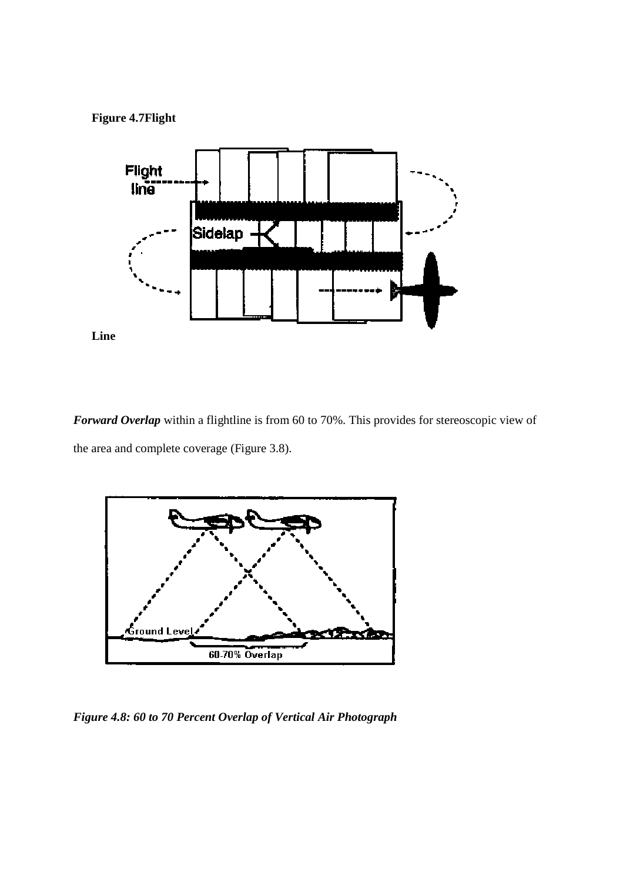**Figure 4.7Flight** 



*Forward Overlap* within a flightline is from 60 to 70%. This provides for stereoscopic view of the area and complete coverage (Figure 3.8).



*Figure 4.8: 60 to 70 Percent Overlap of Vertical Air Photograph*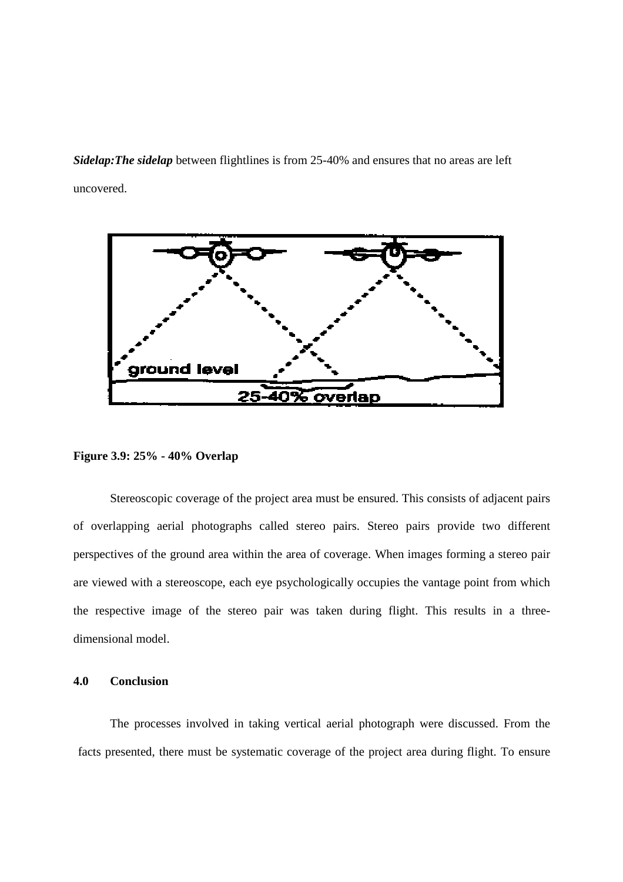*Sidelap:The sidelap* between flightlines is from 25-40% and ensures that no areas are left uncovered.



**Figure 3.9: 25% - 40% Overlap** 

 Stereoscopic coverage of the project area must be ensured. This consists of adjacent pairs of overlapping aerial photographs called stereo pairs. Stereo pairs provide two different perspectives of the ground area within the area of coverage. When images forming a stereo pair are viewed with a stereoscope, each eye psychologically occupies the vantage point from which the respective image of the stereo pair was taken during flight. This results in a threedimensional model.

#### **4.0 Conclusion**

The processes involved in taking vertical aerial photograph were discussed. From the facts presented, there must be systematic coverage of the project area during flight. To ensure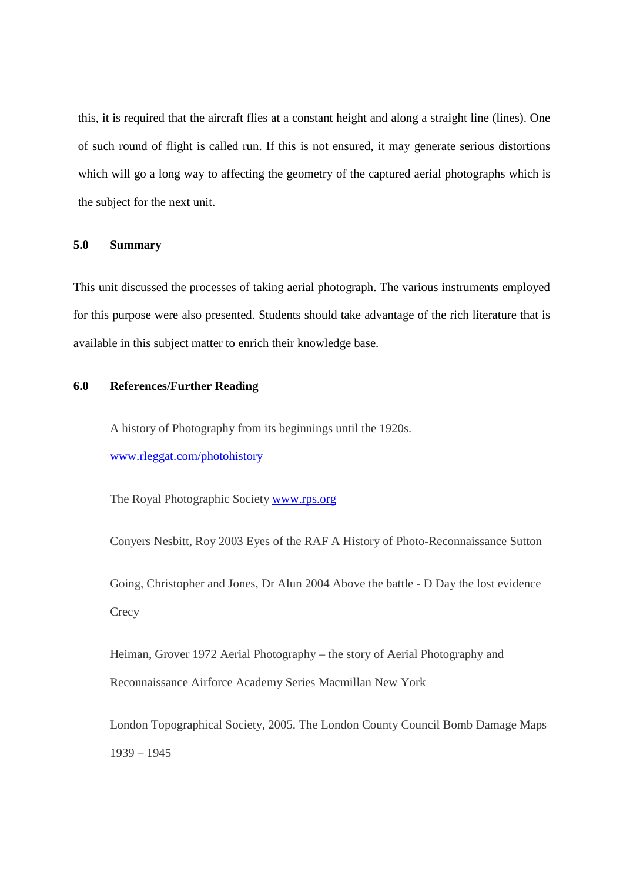this, it is required that the aircraft flies at a constant height and along a straight line (lines). One of such round of flight is called run. If this is not ensured, it may generate serious distortions which will go a long way to affecting the geometry of the captured aerial photographs which is the subject for the next unit.

#### **5.0 Summary**

This unit discussed the processes of taking aerial photograph. The various instruments employed for this purpose were also presented. Students should take advantage of the rich literature that is available in this subject matter to enrich their knowledge base.

# **6.0 References/Further Reading**

A history of Photography from its beginnings until the 1920s. www.rleggat.com/photohistory

The Royal Photographic Society www.rps.org

Conyers Nesbitt, Roy 2003 Eyes of the RAF A History of Photo-Reconnaissance Sutton

Going, Christopher and Jones, Dr Alun 2004 Above the battle - D Day the lost evidence **Crecy** 

Heiman, Grover 1972 Aerial Photography – the story of Aerial Photography and Reconnaissance Airforce Academy Series Macmillan New York

London Topographical Society, 2005. The London County Council Bomb Damage Maps 1939 – 1945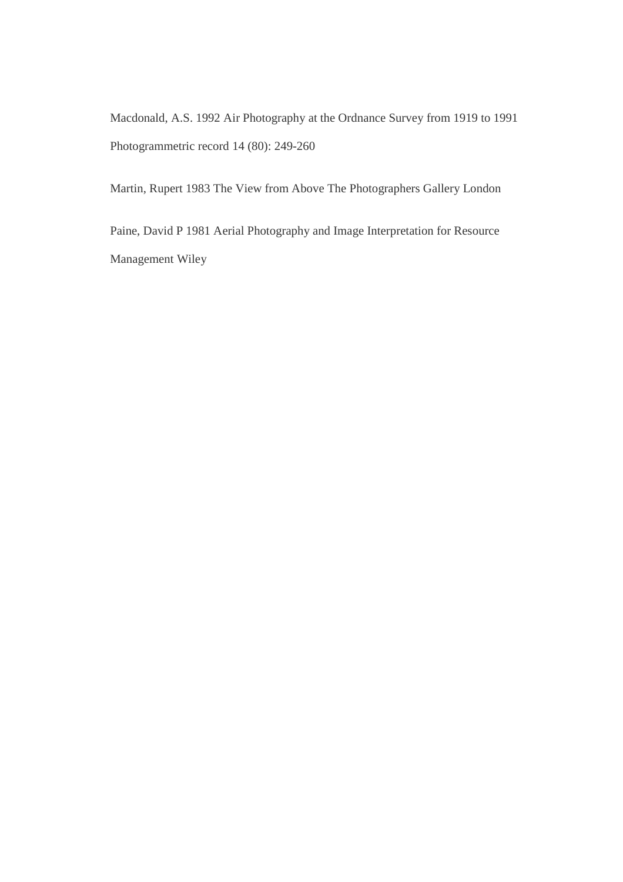Macdonald, A.S. 1992 Air Photography at the Ordnance Survey from 1919 to 1991 Photogrammetric record 14 (80): 249-260

Martin, Rupert 1983 The View from Above The Photographers Gallery London

Paine, David P 1981 Aerial Photography and Image Interpretation for Resource Management Wiley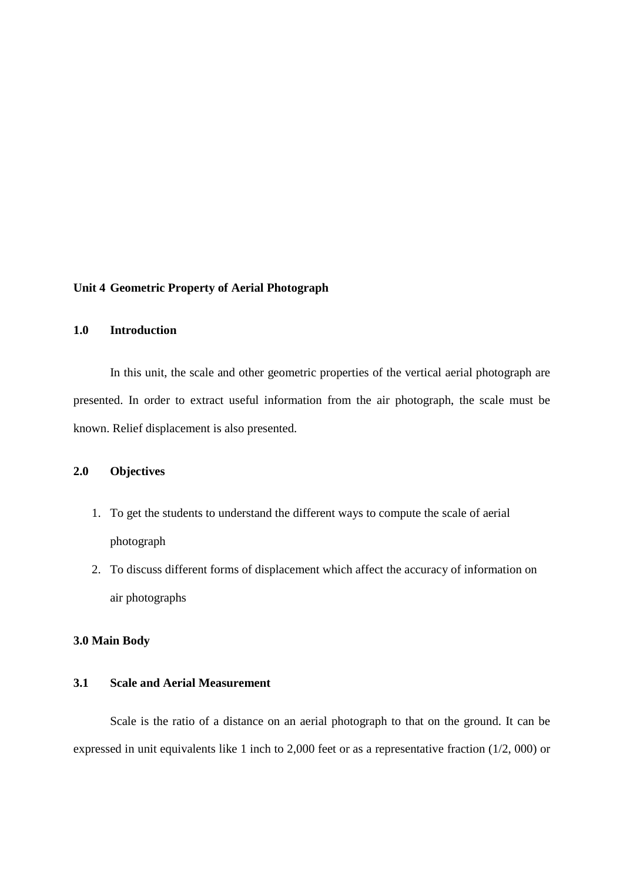#### **Unit 4 Geometric Property of Aerial Photograph**

# **1.0 Introduction**

In this unit, the scale and other geometric properties of the vertical aerial photograph are presented. In order to extract useful information from the air photograph, the scale must be known. Relief displacement is also presented.

# **2.0 Objectives**

- 1. To get the students to understand the different ways to compute the scale of aerial photograph
- 2. To discuss different forms of displacement which affect the accuracy of information on air photographs

#### **3.0 Main Body**

# **3.1 Scale and Aerial Measurement**

 Scale is the ratio of a distance on an aerial photograph to that on the ground. It can be expressed in unit equivalents like 1 inch to 2,000 feet or as a representative fraction (1/2, 000) or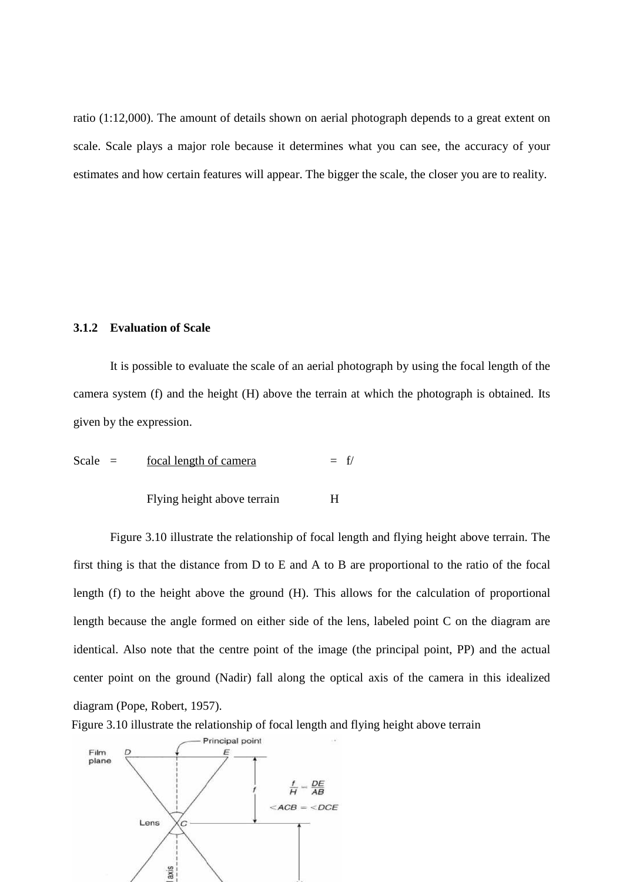ratio (1:12,000). The amount of details shown on aerial photograph depends to a great extent on scale. Scale plays a major role because it determines what you can see, the accuracy of your estimates and how certain features will appear. The bigger the scale, the closer you are to reality.

### **3.1.2 Evaluation of Scale**

 It is possible to evaluate the scale of an aerial photograph by using the focal length of the camera system (f) and the height (H) above the terrain at which the photograph is obtained. Its given by the expression.

Scale = 
$$
\frac{\text{focal length of camera}}{\text{Flying height above terrain}}
$$
 = f/  
H

 Figure 3.10 illustrate the relationship of focal length and flying height above terrain. The first thing is that the distance from D to E and A to B are proportional to the ratio of the focal length (f) to the height above the ground (H). This allows for the calculation of proportional length because the angle formed on either side of the lens, labeled point C on the diagram are identical. Also note that the centre point of the image (the principal point, PP) and the actual center point on the ground (Nadir) fall along the optical axis of the camera in this idealized diagram (Pope, Robert, 1957).

Figure 3.10 illustrate the relationship of focal length and flying height above terrain

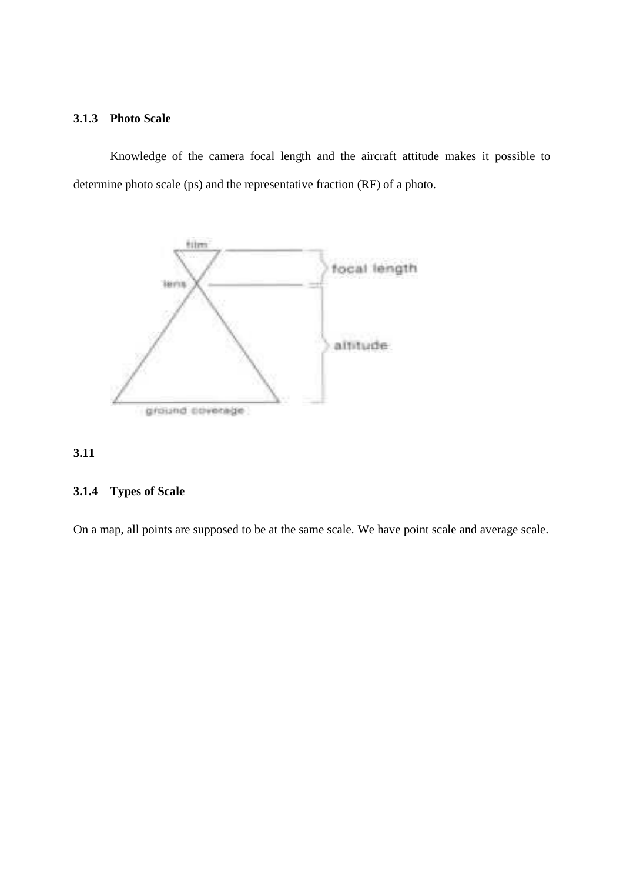# **3.1.3 Photo Scale**

Knowledge of the camera focal length and the aircraft attitude makes it possible to determine photo scale (ps) and the representative fraction (RF) of a photo.



# **3.11**

# **3.1.4 Types of Scale**

On a map, all points are supposed to be at the same scale. We have point scale and average scale.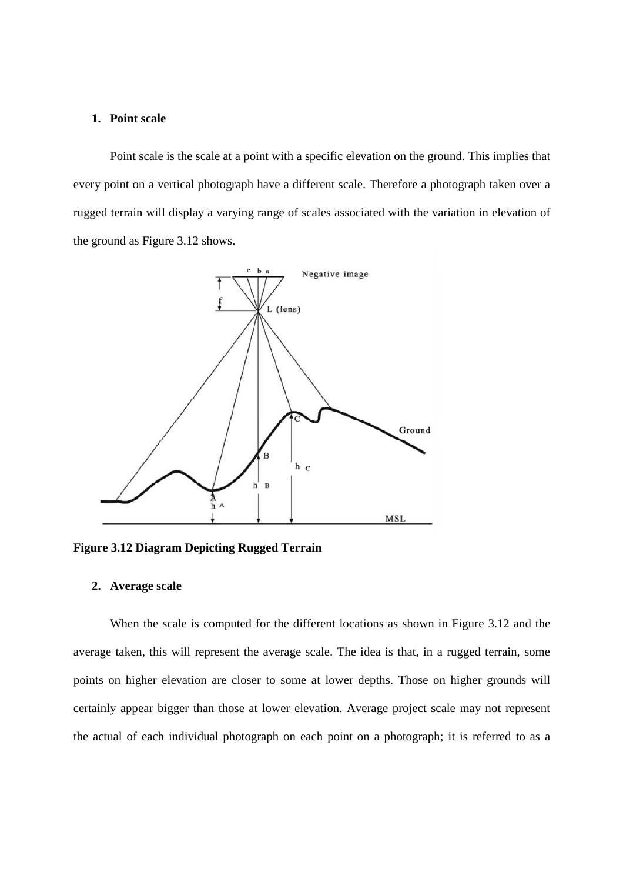#### **1. Point scale**

 Point scale is the scale at a point with a specific elevation on the ground. This implies that every point on a vertical photograph have a different scale. Therefore a photograph taken over a rugged terrain will display a varying range of scales associated with the variation in elevation of the ground as Figure 3.12 shows.



**Figure 3.12 Diagram Depicting Rugged Terrain** 

#### **2. Average scale**

When the scale is computed for the different locations as shown in Figure 3.12 and the average taken, this will represent the average scale. The idea is that, in a rugged terrain, some points on higher elevation are closer to some at lower depths. Those on higher grounds will certainly appear bigger than those at lower elevation. Average project scale may not represent the actual of each individual photograph on each point on a photograph; it is referred to as a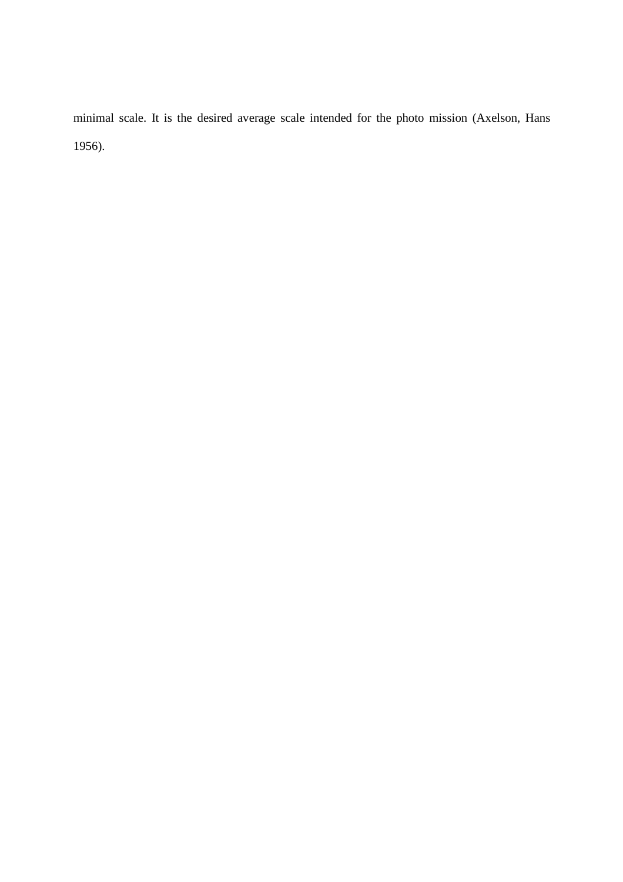minimal scale. It is the desired average scale intended for the photo mission (Axelson, Hans 1956).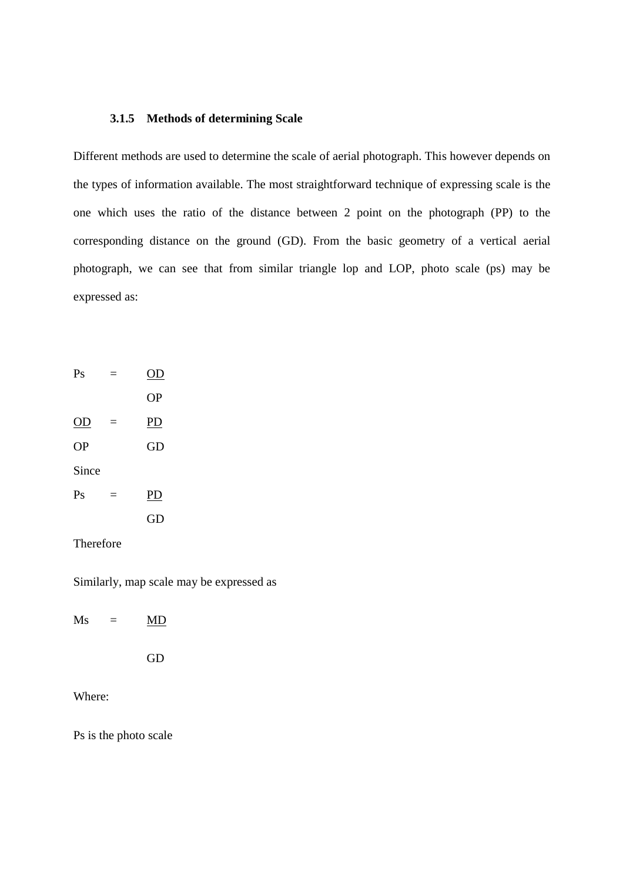#### **3.1.5 Methods of determining Scale**

Different methods are used to determine the scale of aerial photograph. This however depends on the types of information available. The most straightforward technique of expressing scale is the one which uses the ratio of the distance between 2 point on the photograph (PP) to the corresponding distance on the ground (GD). From the basic geometry of a vertical aerial photograph, we can see that from similar triangle lop and LOP, photo scale (ps) may be expressed as:

| Ps            |          | OD        |
|---------------|----------|-----------|
|               |          | <b>OP</b> |
| <u>OD</u>     | $\equiv$ | PD        |
| <b>OP</b>     |          | GD        |
| Since         |          |           |
| $\mathrm{Ps}$ | Ξ        | <b>PD</b> |
|               |          | GD        |
|               |          |           |

Therefore

Similarly, map scale may be expressed as

| Ms | – | MD |
|----|---|----|
|    |   | GD |

Where:

Ps is the photo scale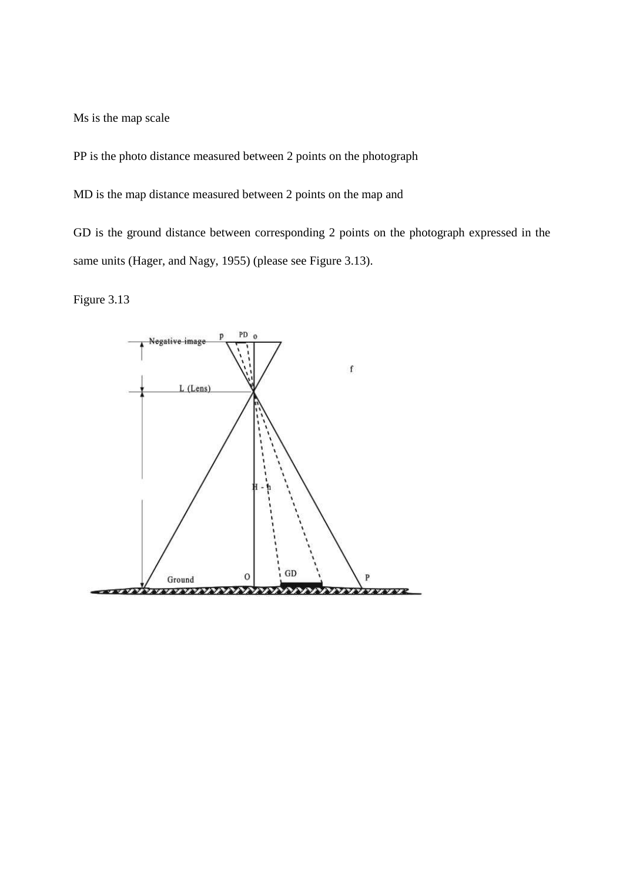Ms is the map scale

PP is the photo distance measured between 2 points on the photograph

MD is the map distance measured between 2 points on the map and

GD is the ground distance between corresponding 2 points on the photograph expressed in the same units (Hager, and Nagy, 1955) (please see Figure 3.13).

Figure 3.13

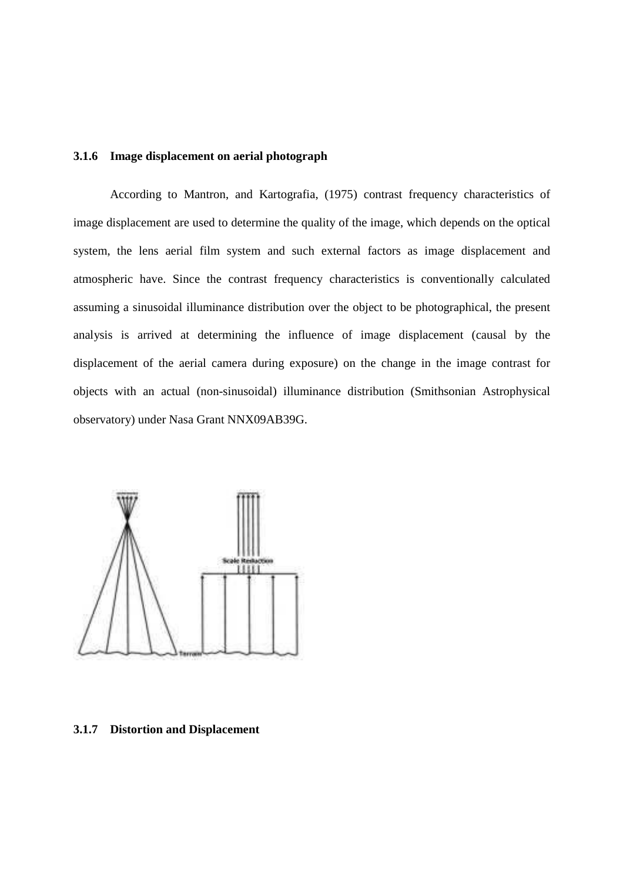#### **3.1.6 Image displacement on aerial photograph**

 According to Mantron, and Kartografia, (1975) contrast frequency characteristics of image displacement are used to determine the quality of the image, which depends on the optical system, the lens aerial film system and such external factors as image displacement and atmospheric have. Since the contrast frequency characteristics is conventionally calculated assuming a sinusoidal illuminance distribution over the object to be photographical, the present analysis is arrived at determining the influence of image displacement (causal by the displacement of the aerial camera during exposure) on the change in the image contrast for objects with an actual (non-sinusoidal) illuminance distribution (Smithsonian Astrophysical observatory) under Nasa Grant NNX09AB39G.



**3.1.7 Distortion and Displacement**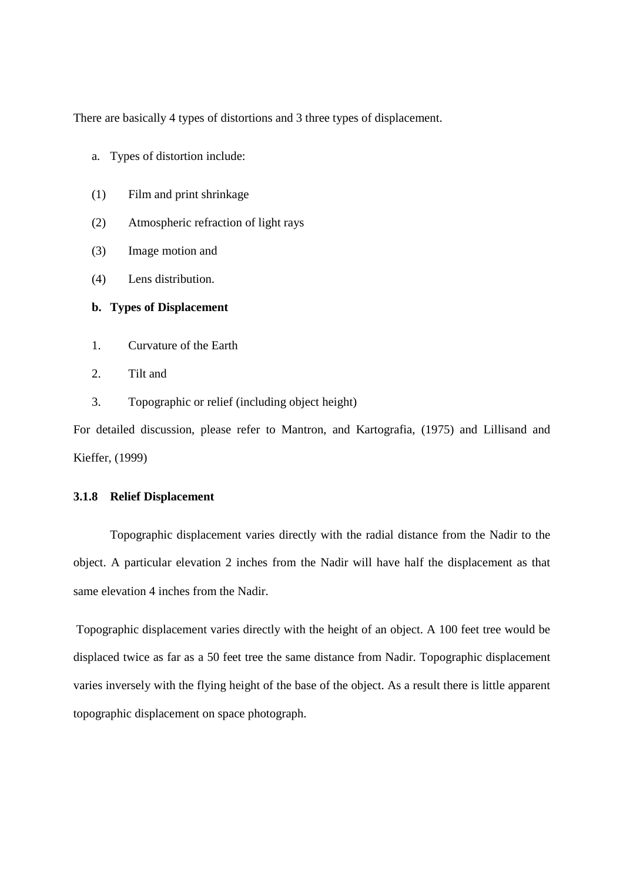There are basically 4 types of distortions and 3 three types of displacement.

- a. Types of distortion include:
- (1) Film and print shrinkage
- (2) Atmospheric refraction of light rays
- (3) Image motion and
- (4) Lens distribution.

#### **b. Types of Displacement**

- 1. Curvature of the Earth
- 2. Tilt and
- 3. Topographic or relief (including object height)

For detailed discussion, please refer to Mantron, and Kartografia, (1975) and Lillisand and Kieffer, (1999)

#### **3.1.8 Relief Displacement**

Topographic displacement varies directly with the radial distance from the Nadir to the object. A particular elevation 2 inches from the Nadir will have half the displacement as that same elevation 4 inches from the Nadir.

 Topographic displacement varies directly with the height of an object. A 100 feet tree would be displaced twice as far as a 50 feet tree the same distance from Nadir. Topographic displacement varies inversely with the flying height of the base of the object. As a result there is little apparent topographic displacement on space photograph.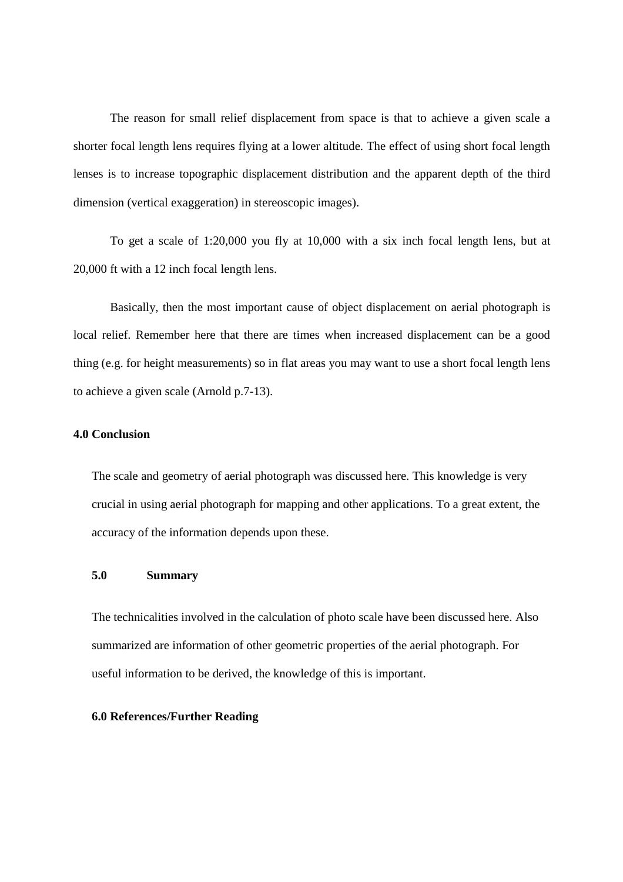The reason for small relief displacement from space is that to achieve a given scale a shorter focal length lens requires flying at a lower altitude. The effect of using short focal length lenses is to increase topographic displacement distribution and the apparent depth of the third dimension (vertical exaggeration) in stereoscopic images).

 To get a scale of 1:20,000 you fly at 10,000 with a six inch focal length lens, but at 20,000 ft with a 12 inch focal length lens.

 Basically, then the most important cause of object displacement on aerial photograph is local relief. Remember here that there are times when increased displacement can be a good thing (e.g. for height measurements) so in flat areas you may want to use a short focal length lens to achieve a given scale (Arnold p.7-13).

# **4.0 Conclusion**

The scale and geometry of aerial photograph was discussed here. This knowledge is very crucial in using aerial photograph for mapping and other applications. To a great extent, the accuracy of the information depends upon these.

#### **5.0 Summary**

The technicalities involved in the calculation of photo scale have been discussed here. Also summarized are information of other geometric properties of the aerial photograph. For useful information to be derived, the knowledge of this is important.

# **6.0 References/Further Reading**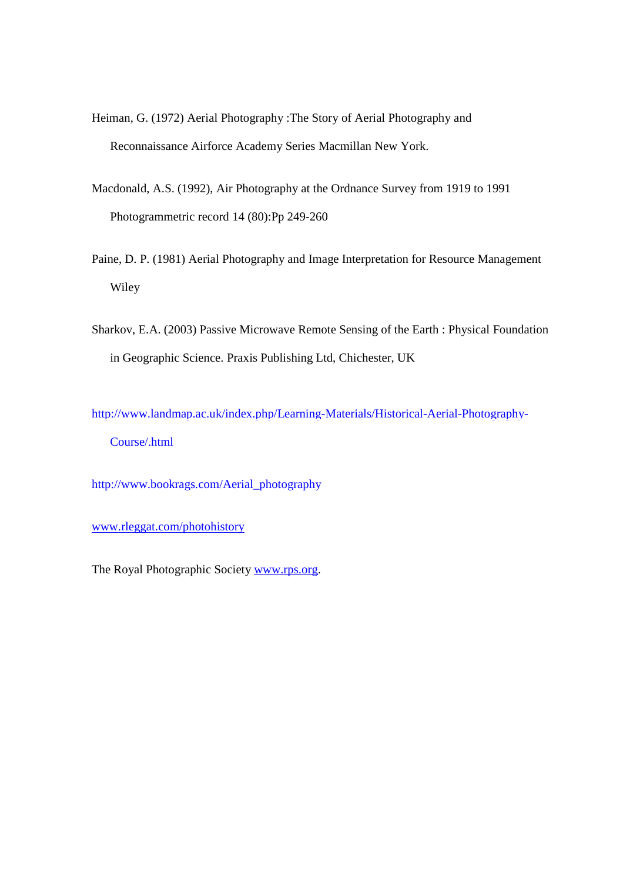- Heiman, G. (1972) Aerial Photography :The Story of Aerial Photography and Reconnaissance Airforce Academy Series Macmillan New York.
- Macdonald, A.S. (1992), Air Photography at the Ordnance Survey from 1919 to 1991 Photogrammetric record 14 (80):Pp 249-260
- Paine, D. P. (1981) Aerial Photography and Image Interpretation for Resource Management Wiley
- Sharkov, E.A. (2003) Passive Microwave Remote Sensing of the Earth : Physical Foundation in Geographic Science. Praxis Publishing Ltd, Chichester, UK

http://www.landmap.ac.uk/index.php/Learning-Materials/Historical-Aerial-Photography-Course/.html

http://www.bookrags.com/Aerial\_photography

www.rleggat.com/photohistory

The Royal Photographic Society www.rps.org.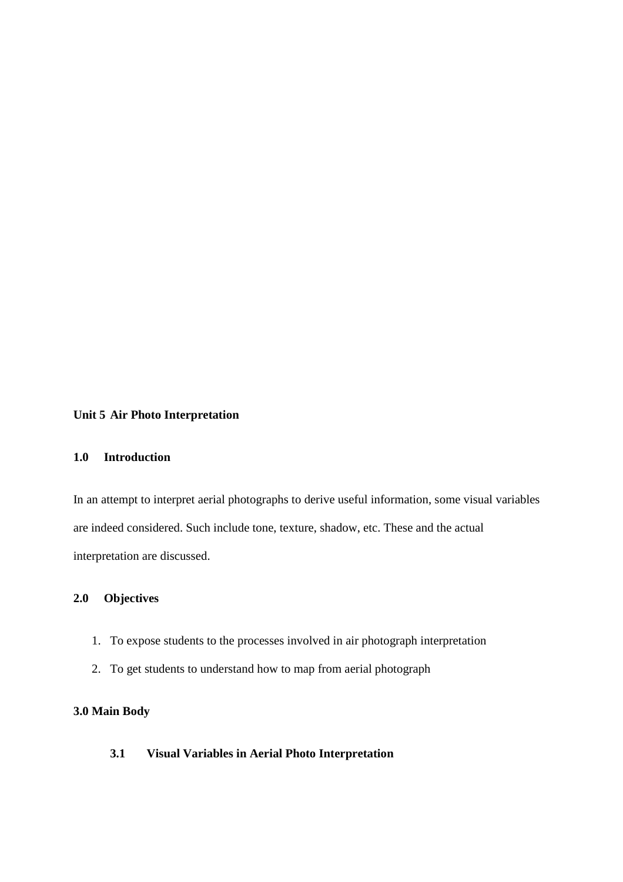# **Unit 5 Air Photo Interpretation**

# **1.0 Introduction**

In an attempt to interpret aerial photographs to derive useful information, some visual variables are indeed considered. Such include tone, texture, shadow, etc. These and the actual interpretation are discussed.

# **2.0 Objectives**

- 1. To expose students to the processes involved in air photograph interpretation
- 2. To get students to understand how to map from aerial photograph

# **3.0 Main Body**

**3.1 Visual Variables in Aerial Photo Interpretation**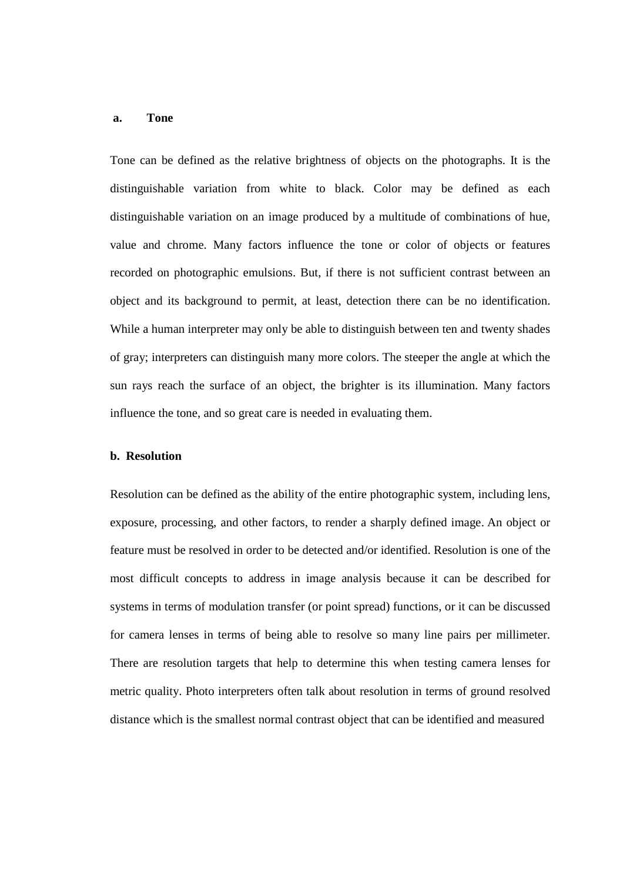#### **a. Tone**

Tone can be defined as the relative brightness of objects on the photographs. It is the distinguishable variation from white to black. Color may be defined as each distinguishable variation on an image produced by a multitude of combinations of hue, value and chrome. Many factors influence the tone or color of objects or features recorded on photographic emulsions. But, if there is not sufficient contrast between an object and its background to permit, at least, detection there can be no identification. While a human interpreter may only be able to distinguish between ten and twenty shades of gray; interpreters can distinguish many more colors. The steeper the angle at which the sun rays reach the surface of an object, the brighter is its illumination. Many factors influence the tone, and so great care is needed in evaluating them.

#### **b. Resolution**

Resolution can be defined as the ability of the entire photographic system, including lens, exposure, processing, and other factors, to render a sharply defined image. An object or feature must be resolved in order to be detected and/or identified. Resolution is one of the most difficult concepts to address in image analysis because it can be described for systems in terms of modulation transfer (or point spread) functions, or it can be discussed for camera lenses in terms of being able to resolve so many line pairs per millimeter. There are resolution targets that help to determine this when testing camera lenses for metric quality. Photo interpreters often talk about resolution in terms of ground resolved distance which is the smallest normal contrast object that can be identified and measured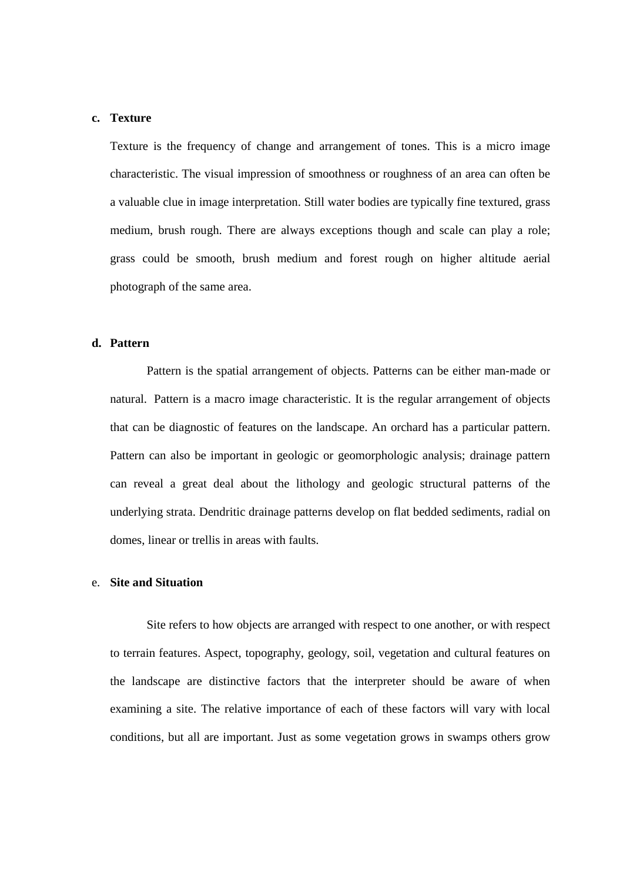### **c. Texture**

Texture is the frequency of change and arrangement of tones. This is a micro image characteristic. The visual impression of smoothness or roughness of an area can often be a valuable clue in image interpretation. Still water bodies are typically fine textured, grass medium, brush rough. There are always exceptions though and scale can play a role; grass could be smooth, brush medium and forest rough on higher altitude aerial photograph of the same area.

# **d. Pattern**

Pattern is the spatial arrangement of objects. Patterns can be either man-made or natural. Pattern is a macro image characteristic. It is the regular arrangement of objects that can be diagnostic of features on the landscape. An orchard has a particular pattern. Pattern can also be important in geologic or geomorphologic analysis; drainage pattern can reveal a great deal about the lithology and geologic structural patterns of the underlying strata. Dendritic drainage patterns develop on flat bedded sediments, radial on domes, linear or trellis in areas with faults.

#### e. **Site and Situation**

Site refers to how objects are arranged with respect to one another, or with respect to terrain features. Aspect, topography, geology, soil, vegetation and cultural features on the landscape are distinctive factors that the interpreter should be aware of when examining a site. The relative importance of each of these factors will vary with local conditions, but all are important. Just as some vegetation grows in swamps others grow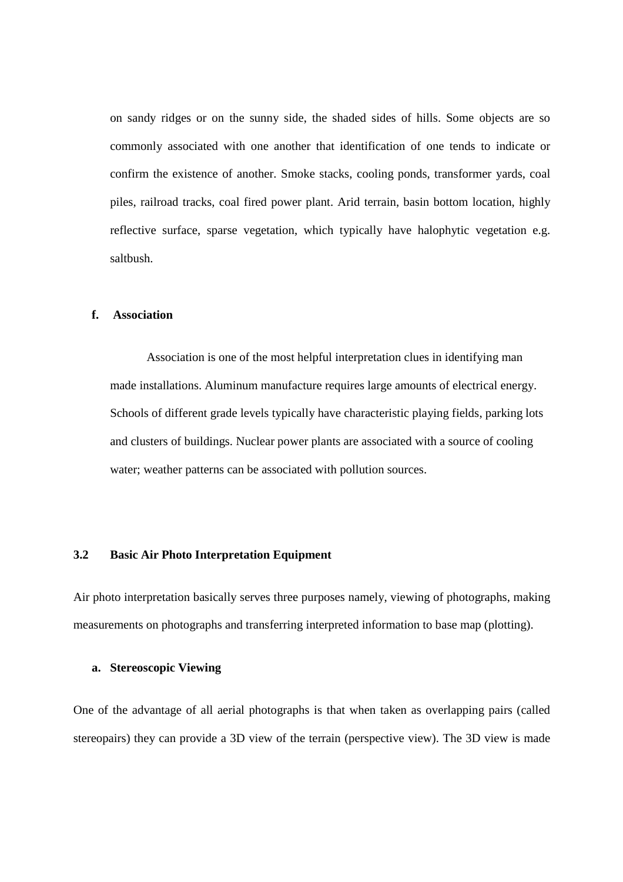on sandy ridges or on the sunny side, the shaded sides of hills. Some objects are so commonly associated with one another that identification of one tends to indicate or confirm the existence of another. Smoke stacks, cooling ponds, transformer yards, coal piles, railroad tracks, coal fired power plant. Arid terrain, basin bottom location, highly reflective surface, sparse vegetation, which typically have halophytic vegetation e.g. saltbush.

# **f. Association**

Association is one of the most helpful interpretation clues in identifying man made installations. Aluminum manufacture requires large amounts of electrical energy. Schools of different grade levels typically have characteristic playing fields, parking lots and clusters of buildings. Nuclear power plants are associated with a source of cooling water; weather patterns can be associated with pollution sources.

### **3.2 Basic Air Photo Interpretation Equipment**

Air photo interpretation basically serves three purposes namely, viewing of photographs, making measurements on photographs and transferring interpreted information to base map (plotting).

### **a. Stereoscopic Viewing**

One of the advantage of all aerial photographs is that when taken as overlapping pairs (called stereopairs) they can provide a 3D view of the terrain (perspective view). The 3D view is made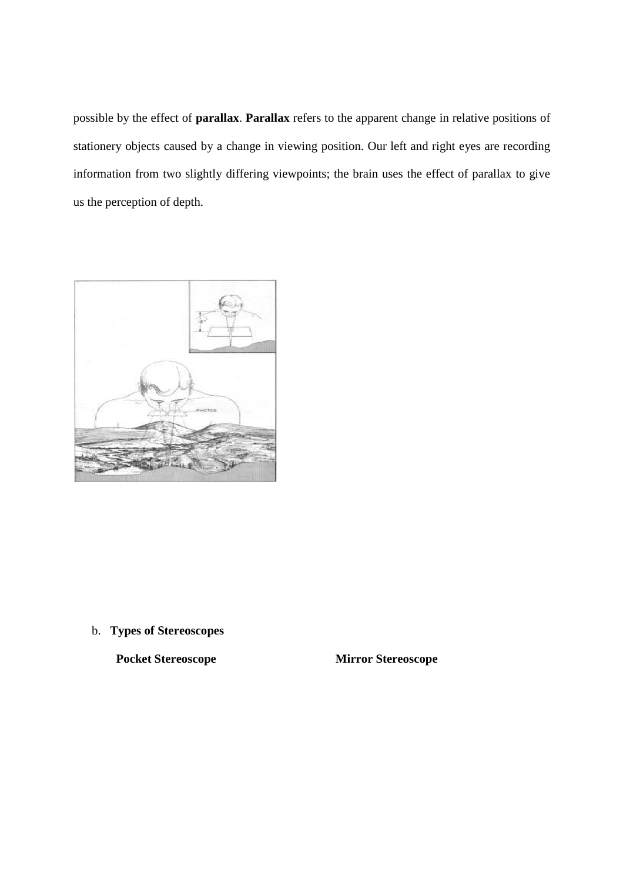possible by the effect of **parallax**. **Parallax** refers to the apparent change in relative positions of stationery objects caused by a change in viewing position. Our left and right eyes are recording information from two slightly differing viewpoints; the brain uses the effect of parallax to give us the perception of depth.



b. **Types of Stereoscopes**

 **Pocket Stereoscope Mirror Stereoscope**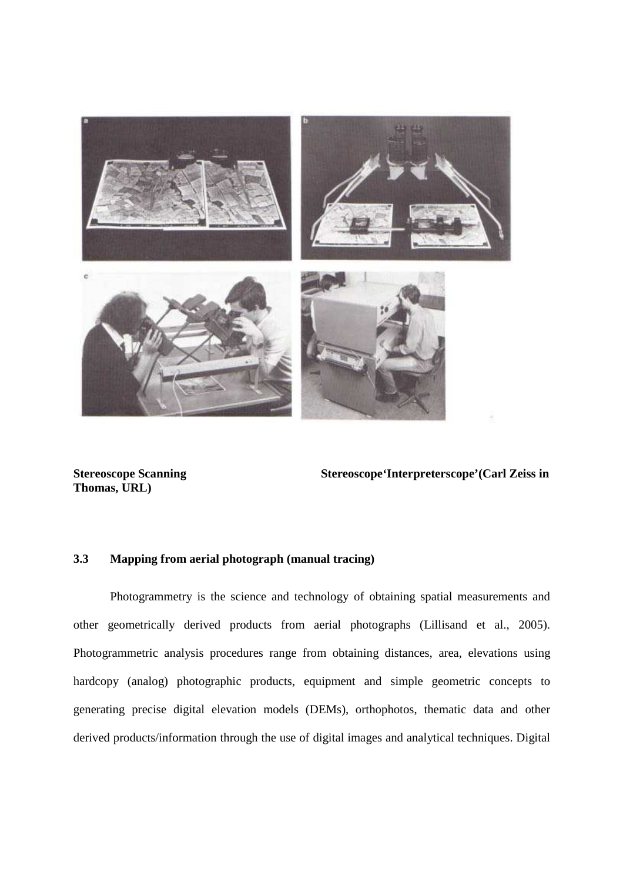

**Thomas, URL)** 

**Stereoscope Scanning Stereoscope'Interpreterscope'(Carl Zeiss in**  $\blacksquare$ 

# **3.3 Mapping from aerial photograph (manual tracing)**

Photogrammetry is the science and technology of obtaining spatial measurements and other geometrically derived products from aerial photographs (Lillisand et al., 2005). Photogrammetric analysis procedures range from obtaining distances, area, elevations using hardcopy (analog) photographic products, equipment and simple geometric concepts to generating precise digital elevation models (DEMs), orthophotos, thematic data and other derived products/information through the use of digital images and analytical techniques. Digital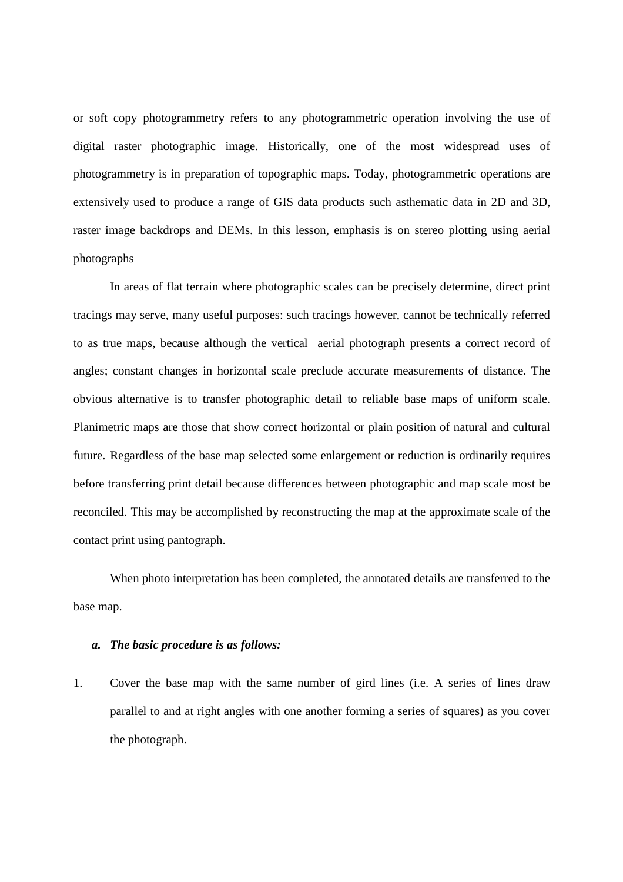or soft copy photogrammetry refers to any photogrammetric operation involving the use of digital raster photographic image. Historically, one of the most widespread uses of photogrammetry is in preparation of topographic maps. Today, photogrammetric operations are extensively used to produce a range of GIS data products such asthematic data in 2D and 3D, raster image backdrops and DEMs. In this lesson, emphasis is on stereo plotting using aerial photographs

 In areas of flat terrain where photographic scales can be precisely determine, direct print tracings may serve, many useful purposes: such tracings however, cannot be technically referred to as true maps, because although the vertical aerial photograph presents a correct record of angles; constant changes in horizontal scale preclude accurate measurements of distance. The obvious alternative is to transfer photographic detail to reliable base maps of uniform scale. Planimetric maps are those that show correct horizontal or plain position of natural and cultural future. Regardless of the base map selected some enlargement or reduction is ordinarily requires before transferring print detail because differences between photographic and map scale most be reconciled. This may be accomplished by reconstructing the map at the approximate scale of the contact print using pantograph.

 When photo interpretation has been completed, the annotated details are transferred to the base map.

#### *a. The basic procedure is as follows:*

1. Cover the base map with the same number of gird lines (i.e. A series of lines draw parallel to and at right angles with one another forming a series of squares) as you cover the photograph.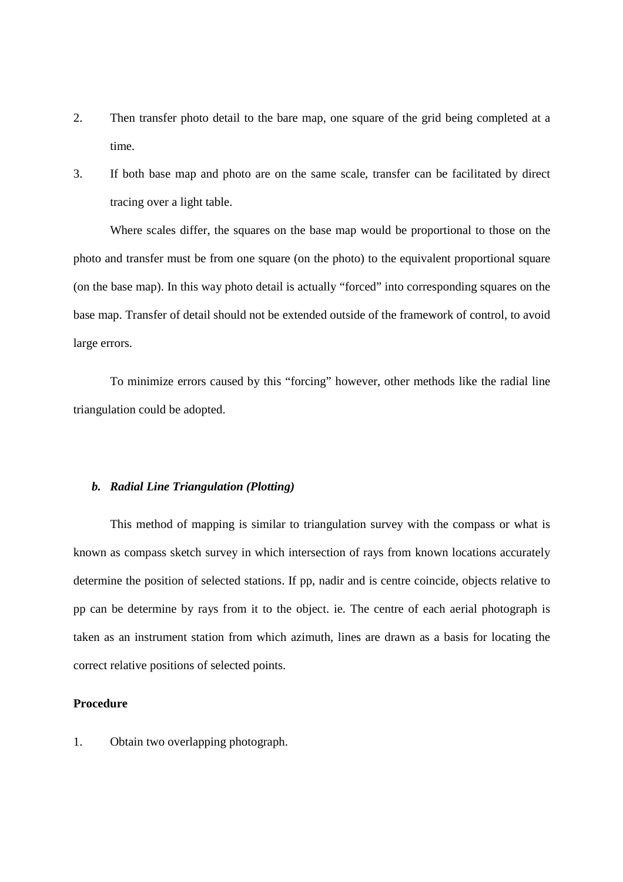- 2. Then transfer photo detail to the bare map, one square of the grid being completed at a time.
- 3. If both base map and photo are on the same scale, transfer can be facilitated by direct tracing over a light table.

Where scales differ, the squares on the base map would be proportional to those on the photo and transfer must be from one square (on the photo) to the equivalent proportional square (on the base map). In this way photo detail is actually "forced" into corresponding squares on the base map. Transfer of detail should not be extended outside of the framework of control, to avoid large errors.

To minimize errors caused by this "forcing" however, other methods like the radial line triangulation could be adopted.

## *b. Radial Line Triangulation (Plotting)*

 This method of mapping is similar to triangulation survey with the compass or what is known as compass sketch survey in which intersection of rays from known locations accurately determine the position of selected stations. If pp, nadir and is centre coincide, objects relative to pp can be determine by rays from it to the object. ie. The centre of each aerial photograph is taken as an instrument station from which azimuth, lines are drawn as a basis for locating the correct relative positions of selected points.

#### **Procedure**

1. Obtain two overlapping photograph.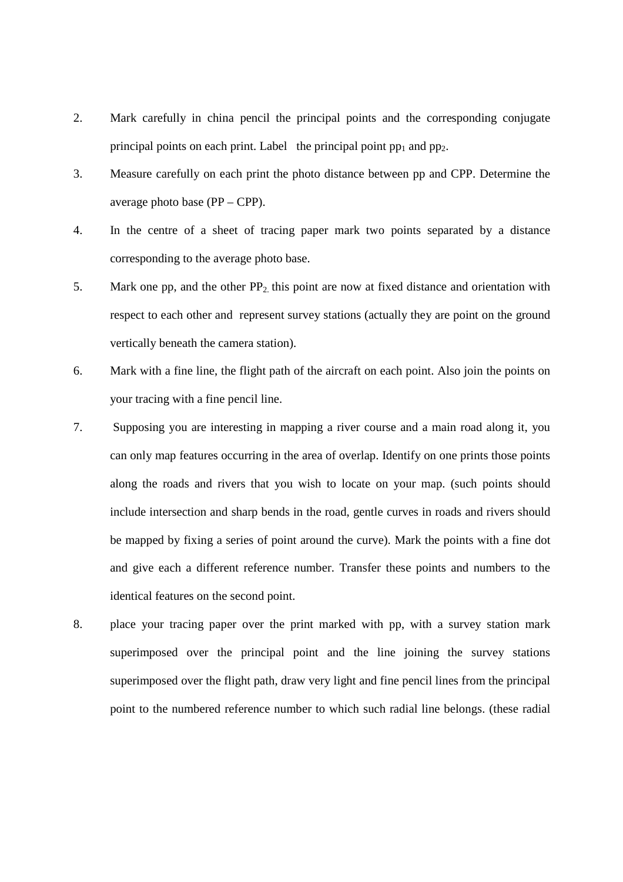- 2. Mark carefully in china pencil the principal points and the corresponding conjugate principal points on each print. Label the principal point  $pp_1$  and  $pp_2$ .
- 3. Measure carefully on each print the photo distance between pp and CPP. Determine the average photo base (PP – CPP).
- 4. In the centre of a sheet of tracing paper mark two points separated by a distance corresponding to the average photo base.
- 5. Mark one pp, and the other  $PP_2$  this point are now at fixed distance and orientation with respect to each other and represent survey stations (actually they are point on the ground vertically beneath the camera station).
- 6. Mark with a fine line, the flight path of the aircraft on each point. Also join the points on your tracing with a fine pencil line.
- 7. Supposing you are interesting in mapping a river course and a main road along it, you can only map features occurring in the area of overlap. Identify on one prints those points along the roads and rivers that you wish to locate on your map. (such points should include intersection and sharp bends in the road, gentle curves in roads and rivers should be mapped by fixing a series of point around the curve). Mark the points with a fine dot and give each a different reference number. Transfer these points and numbers to the identical features on the second point.
- 8. place your tracing paper over the print marked with pp, with a survey station mark superimposed over the principal point and the line joining the survey stations superimposed over the flight path, draw very light and fine pencil lines from the principal point to the numbered reference number to which such radial line belongs. (these radial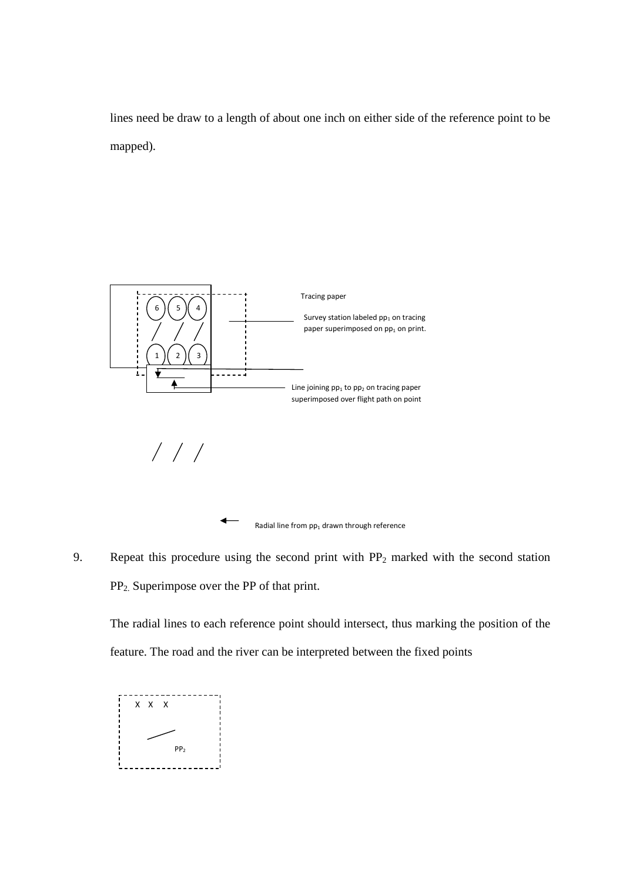lines need be draw to a length of about one inch on either side of the reference point to be mapped).



9. Repeat this procedure using the second print with  $PP_2$  marked with the second station PP2. Superimpose over the PP of that print.

The radial lines to each reference point should intersect, thus marking the position of the feature. The road and the river can be interpreted between the fixed points

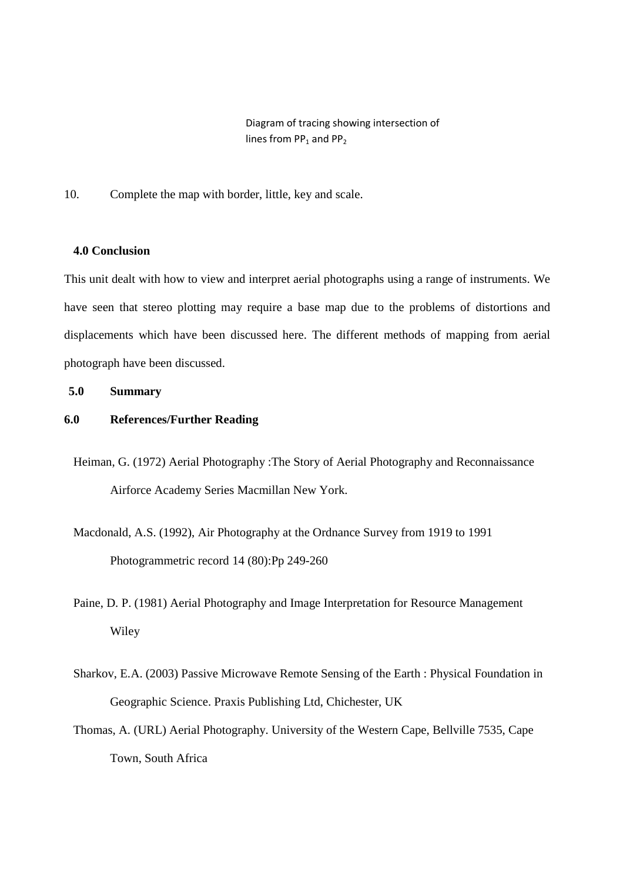Diagram of tracing showing intersection of lines from  $PP_1$  and  $PP_2$ 

10. Complete the map with border, little, key and scale.

# **4.0 Conclusion**

This unit dealt with how to view and interpret aerial photographs using a range of instruments. We have seen that stereo plotting may require a base map due to the problems of distortions and displacements which have been discussed here. The different methods of mapping from aerial photograph have been discussed.

# **5.0 Summary**

# **6.0 References/Further Reading**

- Heiman, G. (1972) Aerial Photography :The Story of Aerial Photography and Reconnaissance Airforce Academy Series Macmillan New York.
- Macdonald, A.S. (1992), Air Photography at the Ordnance Survey from 1919 to 1991 Photogrammetric record 14 (80):Pp 249-260
- Paine, D. P. (1981) Aerial Photography and Image Interpretation for Resource Management Wiley
- Sharkov, E.A. (2003) Passive Microwave Remote Sensing of the Earth : Physical Foundation in Geographic Science. Praxis Publishing Ltd, Chichester, UK
- Thomas, A. (URL) Aerial Photography. University of the Western Cape, Bellville 7535, Cape Town, South Africa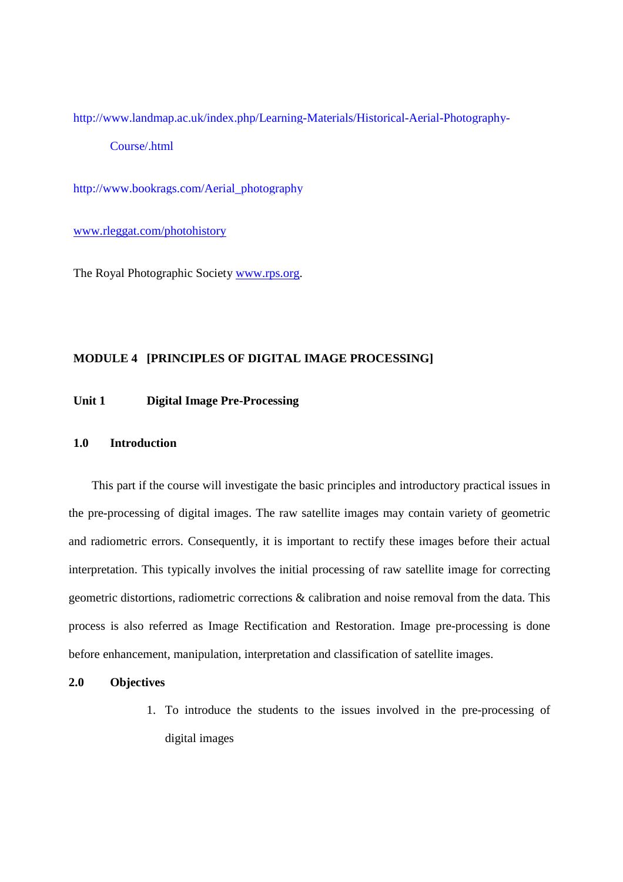http://www.landmap.ac.uk/index.php/Learning-Materials/Historical-Aerial-Photography-Course/.html

http://www.bookrags.com/Aerial\_photography

www.rleggat.com/photohistory

The Royal Photographic Society www.rps.org.

# **MODULE 4 [PRINCIPLES OF DIGITAL IMAGE PROCESSING]**

# **Unit 1 Digital Image Pre-Processing**

### **1.0 Introduction**

This part if the course will investigate the basic principles and introductory practical issues in the pre-processing of digital images. The raw satellite images may contain variety of geometric and radiometric errors. Consequently, it is important to rectify these images before their actual interpretation. This typically involves the initial processing of raw satellite image for correcting geometric distortions, radiometric corrections & calibration and noise removal from the data. This process is also referred as Image Rectification and Restoration. Image pre-processing is done before enhancement, manipulation, interpretation and classification of satellite images.

# **2.0 Objectives**

1. To introduce the students to the issues involved in the pre-processing of digital images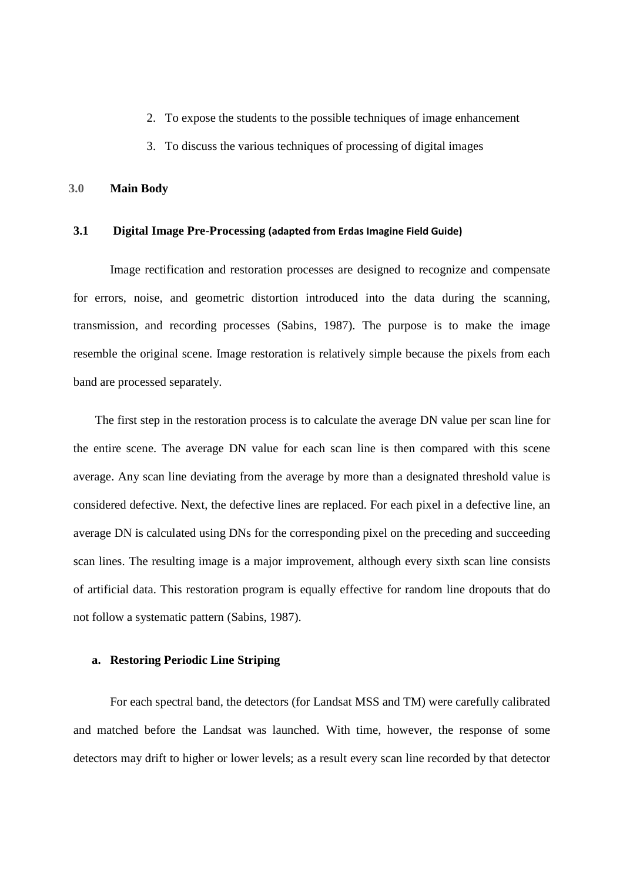- 2. To expose the students to the possible techniques of image enhancement
- 3. To discuss the various techniques of processing of digital images

#### **3.0 Main Body**

#### **3.1 Digital Image Pre-Processing (adapted from Erdas Imagine Field Guide)**

 Image rectification and restoration processes are designed to recognize and compensate for errors, noise, and geometric distortion introduced into the data during the scanning, transmission, and recording processes (Sabins, 1987). The purpose is to make the image resemble the original scene. Image restoration is relatively simple because the pixels from each band are processed separately.

The first step in the restoration process is to calculate the average DN value per scan line for the entire scene. The average DN value for each scan line is then compared with this scene average. Any scan line deviating from the average by more than a designated threshold value is considered defective. Next, the defective lines are replaced. For each pixel in a defective line, an average DN is calculated using DNs for the corresponding pixel on the preceding and succeeding scan lines. The resulting image is a major improvement, although every sixth scan line consists of artificial data. This restoration program is equally effective for random line dropouts that do not follow a systematic pattern (Sabins, 1987).

# **a. Restoring Periodic Line Striping**

For each spectral band, the detectors (for Landsat MSS and TM) were carefully calibrated and matched before the Landsat was launched. With time, however, the response of some detectors may drift to higher or lower levels; as a result every scan line recorded by that detector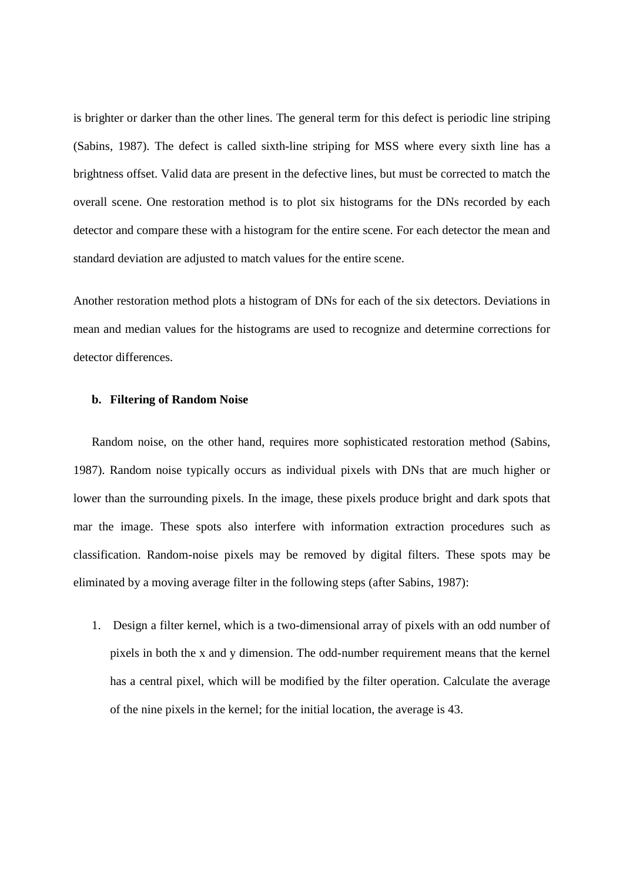is brighter or darker than the other lines. The general term for this defect is periodic line striping (Sabins, 1987). The defect is called sixth-line striping for MSS where every sixth line has a brightness offset. Valid data are present in the defective lines, but must be corrected to match the overall scene. One restoration method is to plot six histograms for the DNs recorded by each detector and compare these with a histogram for the entire scene. For each detector the mean and standard deviation are adjusted to match values for the entire scene.

Another restoration method plots a histogram of DNs for each of the six detectors. Deviations in mean and median values for the histograms are used to recognize and determine corrections for detector differences.

### **b. Filtering of Random Noise**

Random noise, on the other hand, requires more sophisticated restoration method (Sabins, 1987). Random noise typically occurs as individual pixels with DNs that are much higher or lower than the surrounding pixels. In the image, these pixels produce bright and dark spots that mar the image. These spots also interfere with information extraction procedures such as classification. Random-noise pixels may be removed by digital filters. These spots may be eliminated by a moving average filter in the following steps (after Sabins, 1987):

1. Design a filter kernel, which is a two-dimensional array of pixels with an odd number of pixels in both the x and y dimension. The odd-number requirement means that the kernel has a central pixel, which will be modified by the filter operation. Calculate the average of the nine pixels in the kernel; for the initial location, the average is 43.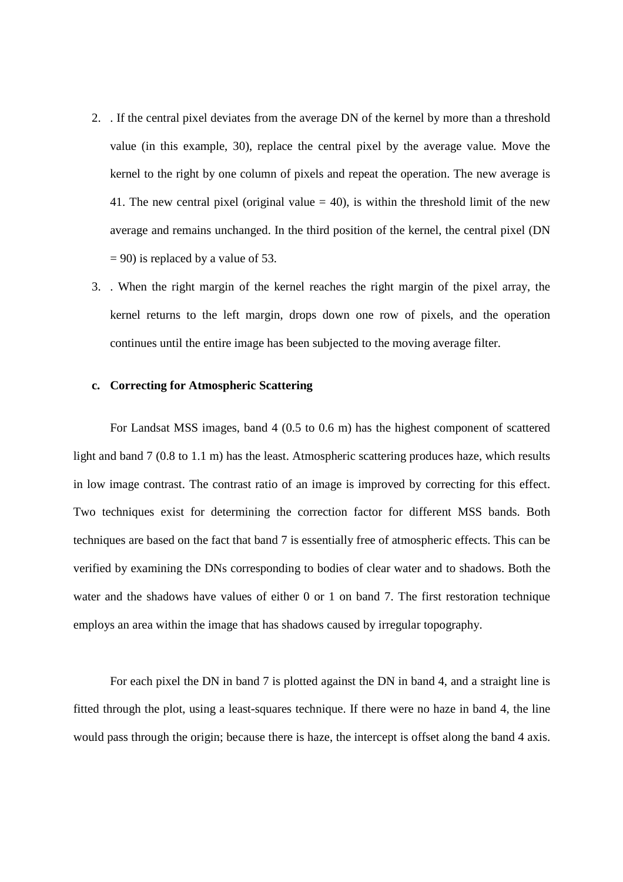- 2. . If the central pixel deviates from the average DN of the kernel by more than a threshold value (in this example, 30), replace the central pixel by the average value. Move the kernel to the right by one column of pixels and repeat the operation. The new average is 41. The new central pixel (original value  $= 40$ ), is within the threshold limit of the new average and remains unchanged. In the third position of the kernel, the central pixel (DN  $= 90$ ) is replaced by a value of 53.
- 3. . When the right margin of the kernel reaches the right margin of the pixel array, the kernel returns to the left margin, drops down one row of pixels, and the operation continues until the entire image has been subjected to the moving average filter.

#### **c. Correcting for Atmospheric Scattering**

 For Landsat MSS images, band 4 (0.5 to 0.6 m) has the highest component of scattered light and band 7 (0.8 to 1.1 m) has the least. Atmospheric scattering produces haze, which results in low image contrast. The contrast ratio of an image is improved by correcting for this effect. Two techniques exist for determining the correction factor for different MSS bands. Both techniques are based on the fact that band 7 is essentially free of atmospheric effects. This can be verified by examining the DNs corresponding to bodies of clear water and to shadows. Both the water and the shadows have values of either 0 or 1 on band 7. The first restoration technique employs an area within the image that has shadows caused by irregular topography.

 For each pixel the DN in band 7 is plotted against the DN in band 4, and a straight line is fitted through the plot, using a least-squares technique. If there were no haze in band 4, the line would pass through the origin; because there is haze, the intercept is offset along the band 4 axis.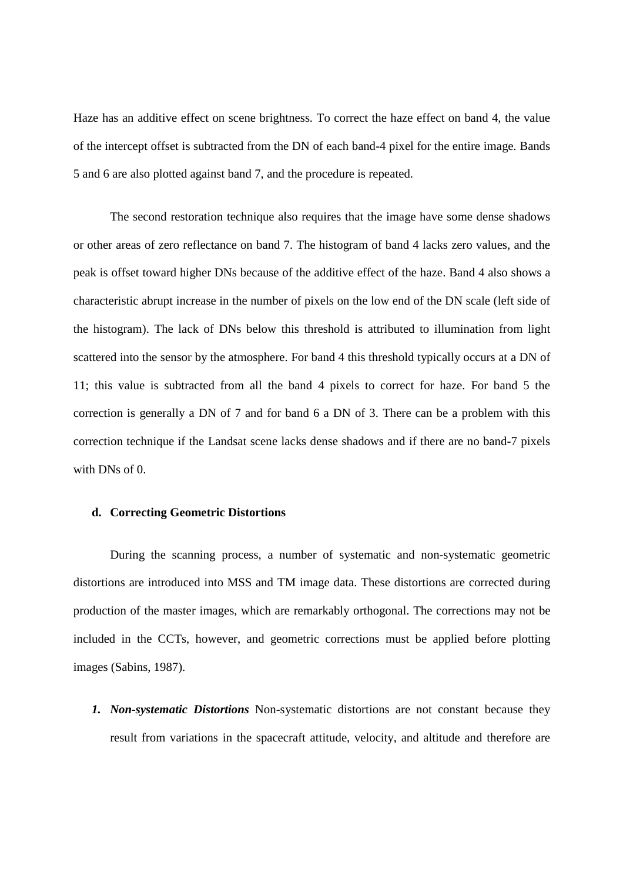Haze has an additive effect on scene brightness. To correct the haze effect on band 4, the value of the intercept offset is subtracted from the DN of each band-4 pixel for the entire image. Bands 5 and 6 are also plotted against band 7, and the procedure is repeated.

The second restoration technique also requires that the image have some dense shadows or other areas of zero reflectance on band 7. The histogram of band 4 lacks zero values, and the peak is offset toward higher DNs because of the additive effect of the haze. Band 4 also shows a characteristic abrupt increase in the number of pixels on the low end of the DN scale (left side of the histogram). The lack of DNs below this threshold is attributed to illumination from light scattered into the sensor by the atmosphere. For band 4 this threshold typically occurs at a DN of 11; this value is subtracted from all the band 4 pixels to correct for haze. For band 5 the correction is generally a DN of 7 and for band 6 a DN of 3. There can be a problem with this correction technique if the Landsat scene lacks dense shadows and if there are no band-7 pixels with DNs of 0.

### **d. Correcting Geometric Distortions**

During the scanning process, a number of systematic and non-systematic geometric distortions are introduced into MSS and TM image data. These distortions are corrected during production of the master images, which are remarkably orthogonal. The corrections may not be included in the CCTs, however, and geometric corrections must be applied before plotting images (Sabins, 1987).

*1. Non-systematic Distortions* Non-systematic distortions are not constant because they result from variations in the spacecraft attitude, velocity, and altitude and therefore are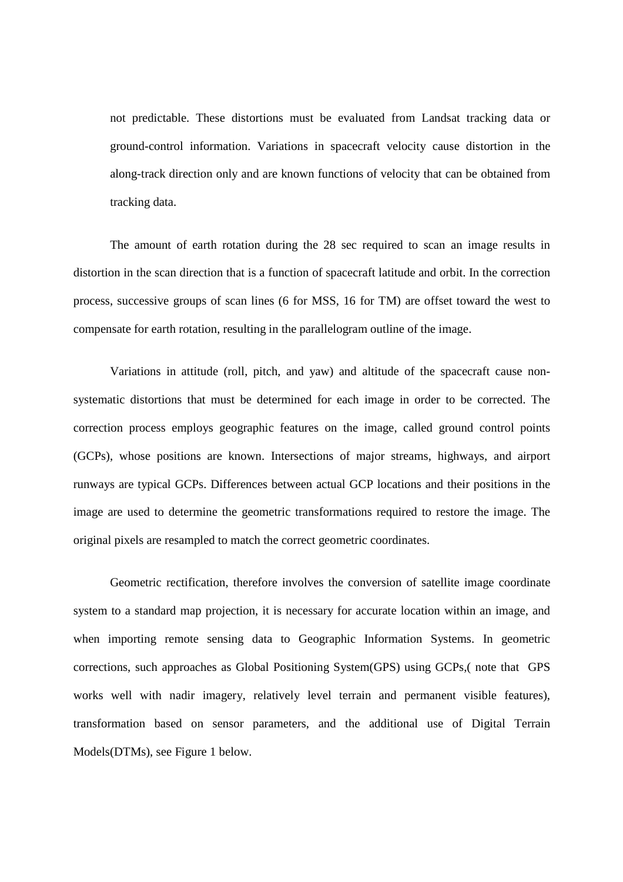not predictable. These distortions must be evaluated from Landsat tracking data or ground-control information. Variations in spacecraft velocity cause distortion in the along-track direction only and are known functions of velocity that can be obtained from tracking data.

The amount of earth rotation during the 28 sec required to scan an image results in distortion in the scan direction that is a function of spacecraft latitude and orbit. In the correction process, successive groups of scan lines (6 for MSS, 16 for TM) are offset toward the west to compensate for earth rotation, resulting in the parallelogram outline of the image.

Variations in attitude (roll, pitch, and yaw) and altitude of the spacecraft cause nonsystematic distortions that must be determined for each image in order to be corrected. The correction process employs geographic features on the image, called ground control points (GCPs), whose positions are known. Intersections of major streams, highways, and airport runways are typical GCPs. Differences between actual GCP locations and their positions in the image are used to determine the geometric transformations required to restore the image. The original pixels are resampled to match the correct geometric coordinates.

Geometric rectification, therefore involves the conversion of satellite image coordinate system to a standard map projection, it is necessary for accurate location within an image, and when importing remote sensing data to Geographic Information Systems. In geometric corrections, such approaches as Global Positioning System(GPS) using GCPs,( note that GPS works well with nadir imagery, relatively level terrain and permanent visible features), transformation based on sensor parameters, and the additional use of Digital Terrain Models(DTMs), see Figure 1 below.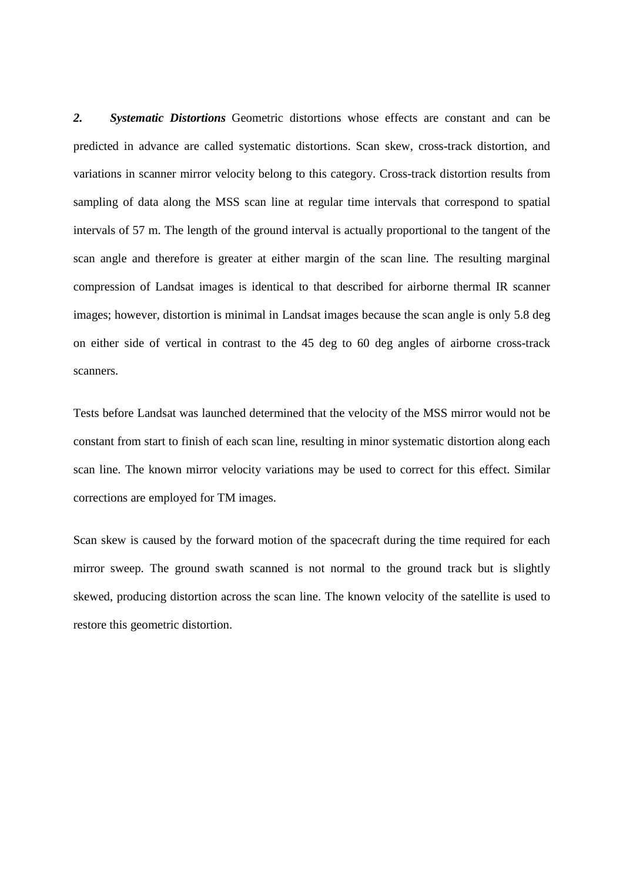*2. Systematic Distortions* Geometric distortions whose effects are constant and can be predicted in advance are called systematic distortions. Scan skew, cross-track distortion, and variations in scanner mirror velocity belong to this category. Cross-track distortion results from sampling of data along the MSS scan line at regular time intervals that correspond to spatial intervals of 57 m. The length of the ground interval is actually proportional to the tangent of the scan angle and therefore is greater at either margin of the scan line. The resulting marginal compression of Landsat images is identical to that described for airborne thermal IR scanner images; however, distortion is minimal in Landsat images because the scan angle is only 5.8 deg on either side of vertical in contrast to the 45 deg to 60 deg angles of airborne cross-track scanners.

Tests before Landsat was launched determined that the velocity of the MSS mirror would not be constant from start to finish of each scan line, resulting in minor systematic distortion along each scan line. The known mirror velocity variations may be used to correct for this effect. Similar corrections are employed for TM images.

Scan skew is caused by the forward motion of the spacecraft during the time required for each mirror sweep. The ground swath scanned is not normal to the ground track but is slightly skewed, producing distortion across the scan line. The known velocity of the satellite is used to restore this geometric distortion.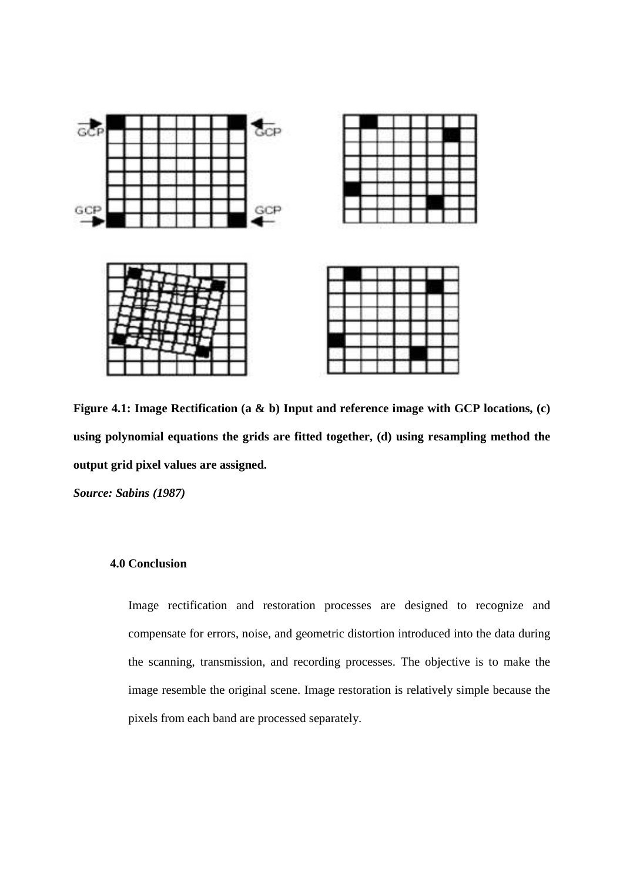

**Figure 4.1: Image Rectification (a & b) Input and reference image with GCP locations, (c) using polynomial equations the grids are fitted together, (d) using resampling method the output grid pixel values are assigned.** 

*Source: Sabins (1987)* 

# **4.0 Conclusion**

Image rectification and restoration processes are designed to recognize and compensate for errors, noise, and geometric distortion introduced into the data during the scanning, transmission, and recording processes. The objective is to make the image resemble the original scene. Image restoration is relatively simple because the pixels from each band are processed separately.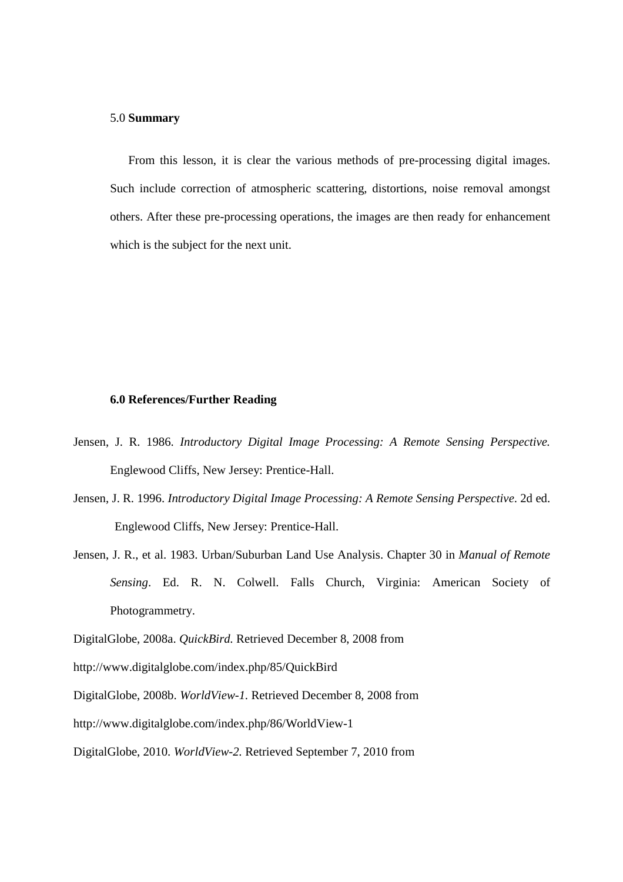### 5.0 **Summary**

From this lesson, it is clear the various methods of pre-processing digital images. Such include correction of atmospheric scattering, distortions, noise removal amongst others. After these pre-processing operations, the images are then ready for enhancement which is the subject for the next unit.

### **6.0 References/Further Reading**

- Jensen, J. R. 1986. *Introductory Digital Image Processing: A Remote Sensing Perspective.*  Englewood Cliffs, New Jersey: Prentice-Hall.
- Jensen, J. R. 1996. *Introductory Digital Image Processing: A Remote Sensing Perspective*. 2d ed. Englewood Cliffs, New Jersey: Prentice-Hall.
- Jensen, J. R., et al. 1983. Urban/Suburban Land Use Analysis. Chapter 30 in *Manual of Remote Sensing*. Ed. R. N. Colwell. Falls Church, Virginia: American Society of Photogrammetry.

DigitalGlobe, 2008b. *WorldView-1.* Retrieved December 8, 2008 from

http://www.digitalglobe.com/index.php/86/WorldView-1

DigitalGlobe, 2010. *WorldView-2.* Retrieved September 7, 2010 from

DigitalGlobe, 2008a. *QuickBird.* Retrieved December 8, 2008 from

http://www.digitalglobe.com/index.php/85/QuickBird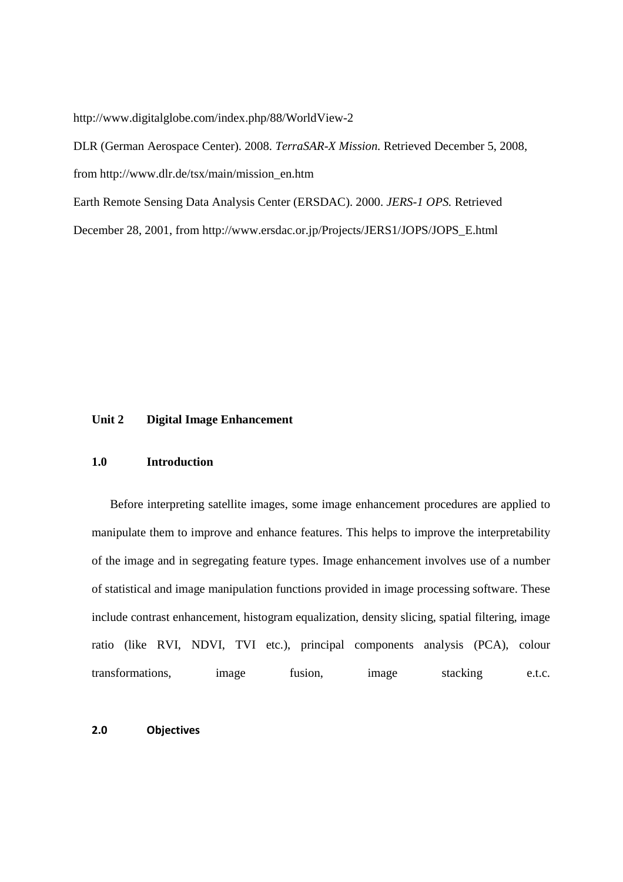http://www.digitalglobe.com/index.php/88/WorldView-2

DLR (German Aerospace Center). 2008. *TerraSAR-X Mission.* Retrieved December 5, 2008, from http://www.dlr.de/tsx/main/mission\_en.htm

Earth Remote Sensing Data Analysis Center (ERSDAC). 2000. *JERS-1 OPS.* Retrieved

December 28, 2001, from http://www.ersdac.or.jp/Projects/JERS1/JOPS/JOPS\_E.html

# **Unit 2 Digital Image Enhancement**

#### **1.0 Introduction**

Before interpreting satellite images, some image enhancement procedures are applied to manipulate them to improve and enhance features. This helps to improve the interpretability of the image and in segregating feature types. Image enhancement involves use of a number of statistical and image manipulation functions provided in image processing software. These include contrast enhancement, histogram equalization, density slicing, spatial filtering, image ratio (like RVI, NDVI, TVI etc.), principal components analysis (PCA), colour transformations, image fusion, image stacking e.t.c.

### **2.0 Objectives**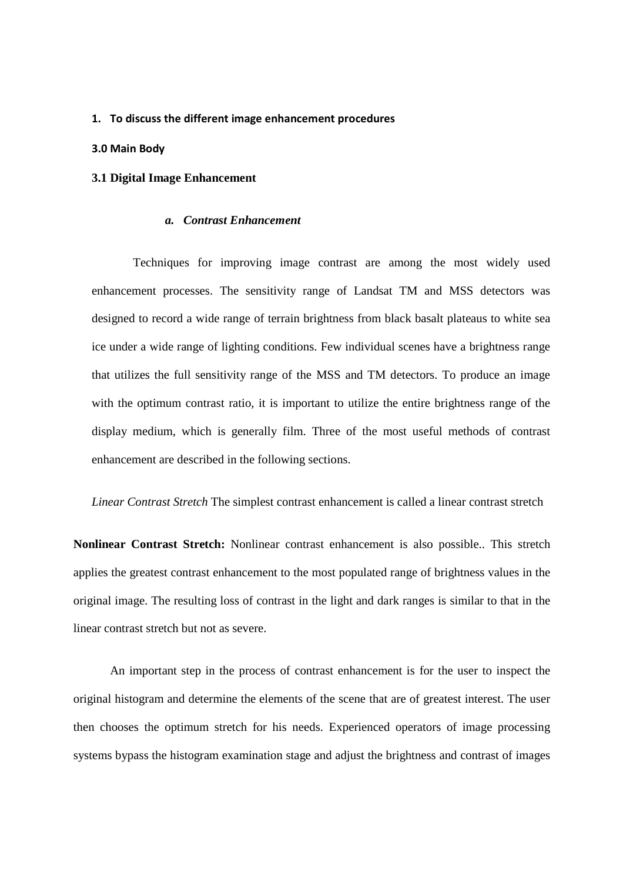#### **1. To discuss the different image enhancement procedures**

### **3.0 Main Body**

### **3.1 Digital Image Enhancement**

#### *a. Contrast Enhancement*

Techniques for improving image contrast are among the most widely used enhancement processes. The sensitivity range of Landsat TM and MSS detectors was designed to record a wide range of terrain brightness from black basalt plateaus to white sea ice under a wide range of lighting conditions. Few individual scenes have a brightness range that utilizes the full sensitivity range of the MSS and TM detectors. To produce an image with the optimum contrast ratio, it is important to utilize the entire brightness range of the display medium, which is generally film. Three of the most useful methods of contrast enhancement are described in the following sections.

*Linear Contrast Stretch* The simplest contrast enhancement is called a linear contrast stretch

**Nonlinear Contrast Stretch:** Nonlinear contrast enhancement is also possible.. This stretch applies the greatest contrast enhancement to the most populated range of brightness values in the original image. The resulting loss of contrast in the light and dark ranges is similar to that in the linear contrast stretch but not as severe.

An important step in the process of contrast enhancement is for the user to inspect the original histogram and determine the elements of the scene that are of greatest interest. The user then chooses the optimum stretch for his needs. Experienced operators of image processing systems bypass the histogram examination stage and adjust the brightness and contrast of images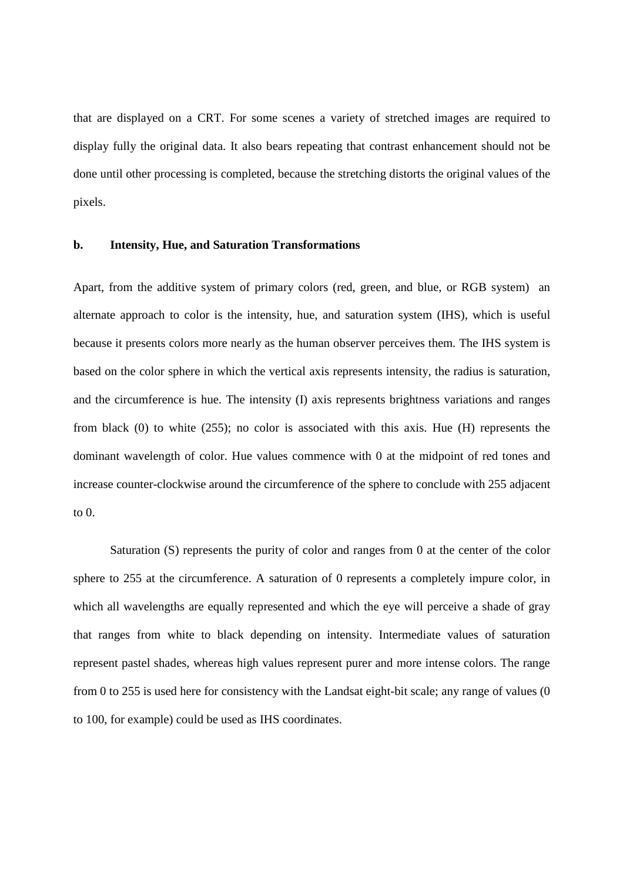that are displayed on a CRT. For some scenes a variety of stretched images are required to display fully the original data. It also bears repeating that contrast enhancement should not be done until other processing is completed, because the stretching distorts the original values of the pixels.

#### **b. Intensity, Hue, and Saturation Transformations**

Apart, from the additive system of primary colors (red, green, and blue, or RGB system) an alternate approach to color is the intensity, hue, and saturation system (IHS), which is useful because it presents colors more nearly as the human observer perceives them. The IHS system is based on the color sphere in which the vertical axis represents intensity, the radius is saturation, and the circumference is hue. The intensity (I) axis represents brightness variations and ranges from black (0) to white (255); no color is associated with this axis. Hue (H) represents the dominant wavelength of color. Hue values commence with 0 at the midpoint of red tones and increase counter-clockwise around the circumference of the sphere to conclude with 255 adjacent to  $0$ .

Saturation (S) represents the purity of color and ranges from 0 at the center of the color sphere to 255 at the circumference. A saturation of 0 represents a completely impure color, in which all wavelengths are equally represented and which the eye will perceive a shade of gray that ranges from white to black depending on intensity. Intermediate values of saturation represent pastel shades, whereas high values represent purer and more intense colors. The range from 0 to 255 is used here for consistency with the Landsat eight-bit scale; any range of values (0 to 100, for example) could be used as IHS coordinates.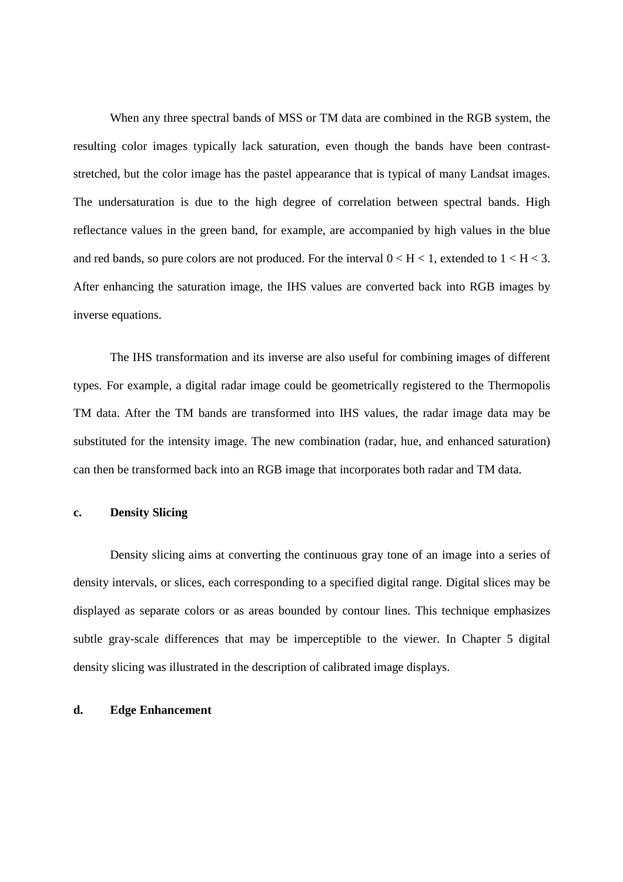When any three spectral bands of MSS or TM data are combined in the RGB system, the resulting color images typically lack saturation, even though the bands have been contraststretched, but the color image has the pastel appearance that is typical of many Landsat images. The undersaturation is due to the high degree of correlation between spectral bands. High reflectance values in the green band, for example, are accompanied by high values in the blue and red bands, so pure colors are not produced. For the interval  $0 < H < 1$ , extended to  $1 < H < 3$ . After enhancing the saturation image, the IHS values are converted back into RGB images by inverse equations.

The IHS transformation and its inverse are also useful for combining images of different types. For example, a digital radar image could be geometrically registered to the Thermopolis TM data. After the TM bands are transformed into IHS values, the radar image data may be substituted for the intensity image. The new combination (radar, hue, and enhanced saturation) can then be transformed back into an RGB image that incorporates both radar and TM data.

### **c. Density Slicing**

Density slicing aims at converting the continuous gray tone of an image into a series of density intervals, or slices, each corresponding to a specified digital range. Digital slices may be displayed as separate colors or as areas bounded by contour lines. This technique emphasizes subtle gray-scale differences that may be imperceptible to the viewer. In Chapter 5 digital density slicing was illustrated in the description of calibrated image displays.

### **d. Edge Enhancement**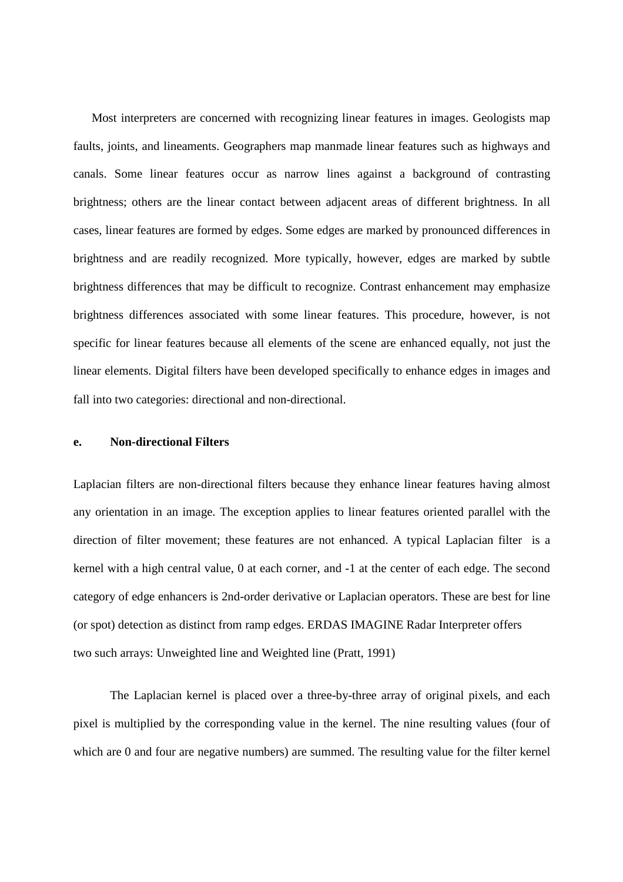Most interpreters are concerned with recognizing linear features in images. Geologists map faults, joints, and lineaments. Geographers map manmade linear features such as highways and canals. Some linear features occur as narrow lines against a background of contrasting brightness; others are the linear contact between adjacent areas of different brightness. In all cases, linear features are formed by edges. Some edges are marked by pronounced differences in brightness and are readily recognized. More typically, however, edges are marked by subtle brightness differences that may be difficult to recognize. Contrast enhancement may emphasize brightness differences associated with some linear features. This procedure, however, is not specific for linear features because all elements of the scene are enhanced equally, not just the linear elements. Digital filters have been developed specifically to enhance edges in images and fall into two categories: directional and non-directional.

# **e. Non-directional Filters**

Laplacian filters are non-directional filters because they enhance linear features having almost any orientation in an image. The exception applies to linear features oriented parallel with the direction of filter movement; these features are not enhanced. A typical Laplacian filter is a kernel with a high central value, 0 at each corner, and -1 at the center of each edge. The second category of edge enhancers is 2nd-order derivative or Laplacian operators. These are best for line (or spot) detection as distinct from ramp edges. ERDAS IMAGINE Radar Interpreter offers two such arrays: Unweighted line and Weighted line (Pratt, 1991)

The Laplacian kernel is placed over a three-by-three array of original pixels, and each pixel is multiplied by the corresponding value in the kernel. The nine resulting values (four of which are 0 and four are negative numbers) are summed. The resulting value for the filter kernel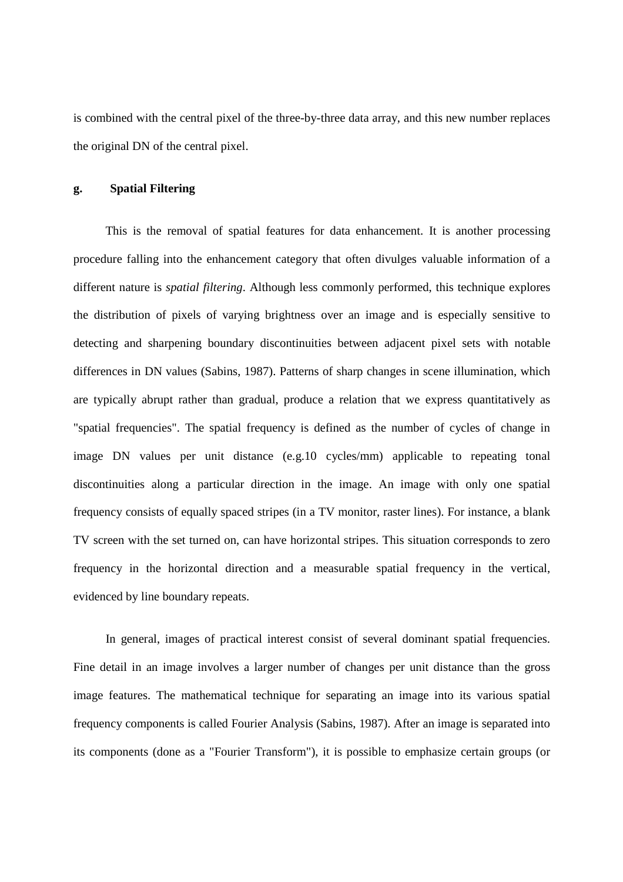is combined with the central pixel of the three-by-three data array, and this new number replaces the original DN of the central pixel.

# **g. Spatial Filtering**

This is the removal of spatial features for data enhancement. It is another processing procedure falling into the enhancement category that often divulges valuable information of a different nature is *spatial filtering*. Although less commonly performed, this technique explores the distribution of pixels of varying brightness over an image and is especially sensitive to detecting and sharpening boundary discontinuities between adjacent pixel sets with notable differences in DN values (Sabins, 1987). Patterns of sharp changes in scene illumination, which are typically abrupt rather than gradual, produce a relation that we express quantitatively as "spatial frequencies". The spatial frequency is defined as the number of cycles of change in image DN values per unit distance (e.g.10 cycles/mm) applicable to repeating tonal discontinuities along a particular direction in the image. An image with only one spatial frequency consists of equally spaced stripes (in a TV monitor, raster lines). For instance, a blank TV screen with the set turned on, can have horizontal stripes. This situation corresponds to zero frequency in the horizontal direction and a measurable spatial frequency in the vertical, evidenced by line boundary repeats.

In general, images of practical interest consist of several dominant spatial frequencies. Fine detail in an image involves a larger number of changes per unit distance than the gross image features. The mathematical technique for separating an image into its various spatial frequency components is called Fourier Analysis (Sabins, 1987). After an image is separated into its components (done as a "Fourier Transform"), it is possible to emphasize certain groups (or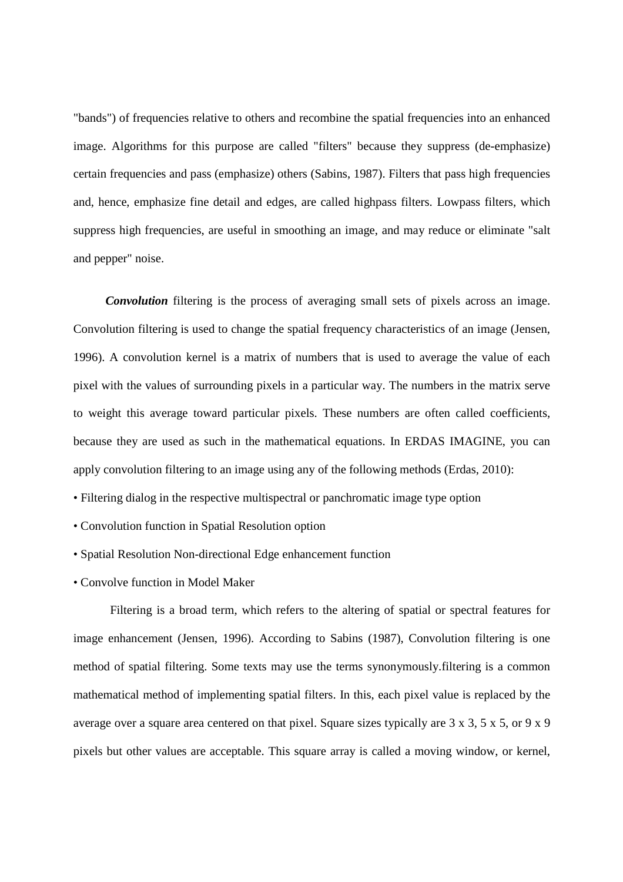"bands") of frequencies relative to others and recombine the spatial frequencies into an enhanced image. Algorithms for this purpose are called "filters" because they suppress (de-emphasize) certain frequencies and pass (emphasize) others (Sabins, 1987). Filters that pass high frequencies and, hence, emphasize fine detail and edges, are called highpass filters. Lowpass filters, which suppress high frequencies, are useful in smoothing an image, and may reduce or eliminate "salt and pepper" noise.

*Convolution* filtering is the process of averaging small sets of pixels across an image. Convolution filtering is used to change the spatial frequency characteristics of an image (Jensen, 1996). A convolution kernel is a matrix of numbers that is used to average the value of each pixel with the values of surrounding pixels in a particular way. The numbers in the matrix serve to weight this average toward particular pixels. These numbers are often called coefficients, because they are used as such in the mathematical equations. In ERDAS IMAGINE, you can apply convolution filtering to an image using any of the following methods (Erdas, 2010):

- Filtering dialog in the respective multispectral or panchromatic image type option
- Convolution function in Spatial Resolution option
- Spatial Resolution Non-directional Edge enhancement function
- Convolve function in Model Maker

Filtering is a broad term, which refers to the altering of spatial or spectral features for image enhancement (Jensen, 1996). According to Sabins (1987), Convolution filtering is one method of spatial filtering. Some texts may use the terms synonymously.filtering is a common mathematical method of implementing spatial filters. In this, each pixel value is replaced by the average over a square area centered on that pixel. Square sizes typically are 3 x 3, 5 x 5, or 9 x 9 pixels but other values are acceptable. This square array is called a moving window, or kernel,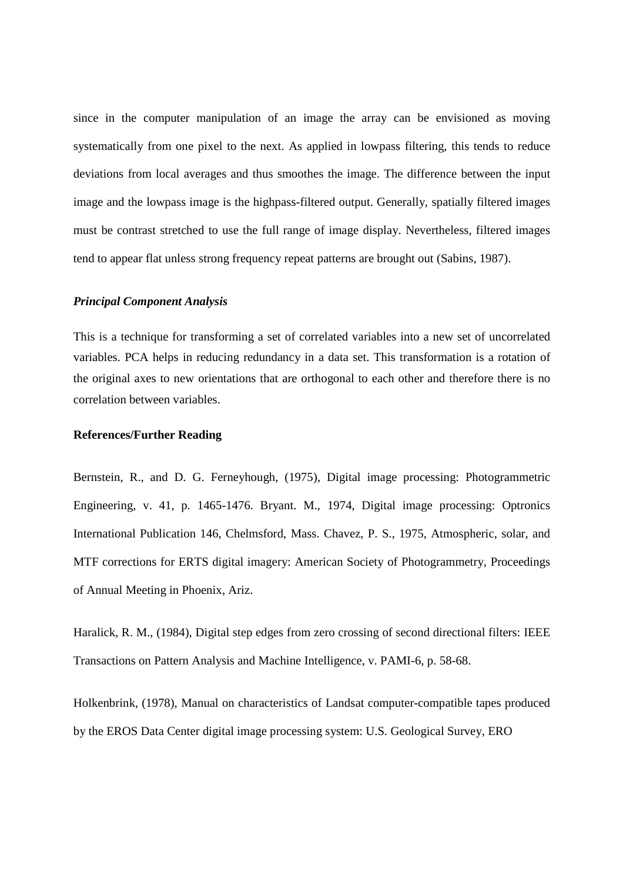since in the computer manipulation of an image the array can be envisioned as moving systematically from one pixel to the next. As applied in lowpass filtering, this tends to reduce deviations from local averages and thus smoothes the image. The difference between the input image and the lowpass image is the highpass-filtered output. Generally, spatially filtered images must be contrast stretched to use the full range of image display. Nevertheless, filtered images tend to appear flat unless strong frequency repeat patterns are brought out (Sabins, 1987).

#### *Principal Component Analysis*

This is a technique for transforming a set of correlated variables into a new set of uncorrelated variables. PCA helps in reducing redundancy in a data set. This transformation is a rotation of the original axes to new orientations that are orthogonal to each other and therefore there is no correlation between variables.

#### **References/Further Reading**

Bernstein, R., and D. G. Ferneyhough, (1975), Digital image processing: Photogrammetric Engineering, v. 41, p. 1465-1476. Bryant. M., 1974, Digital image processing: Optronics International Publication 146, Chelmsford, Mass. Chavez, P. S., 1975, Atmospheric, solar, and MTF corrections for ERTS digital imagery: American Society of Photogrammetry, Proceedings of Annual Meeting in Phoenix, Ariz.

Haralick, R. M., (1984), Digital step edges from zero crossing of second directional filters: IEEE Transactions on Pattern Analysis and Machine Intelligence, v. PAMI-6, p. 58-68.

Holkenbrink, (1978), Manual on characteristics of Landsat computer-compatible tapes produced by the EROS Data Center digital image processing system: U.S. Geological Survey, ERO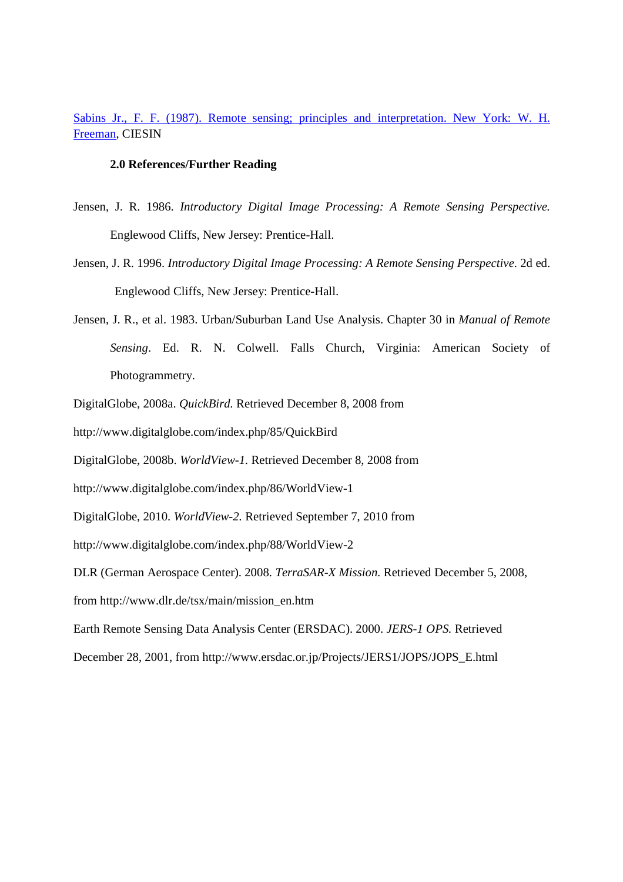# Sabins Jr., F. F. (1987). Remote sensing; principles and interpretation. New York: W. H. Freeman, CIESIN

#### **2.0 References/Further Reading**

- Jensen, J. R. 1986. *Introductory Digital Image Processing: A Remote Sensing Perspective.*  Englewood Cliffs, New Jersey: Prentice-Hall.
- Jensen, J. R. 1996. *Introductory Digital Image Processing: A Remote Sensing Perspective*. 2d ed. Englewood Cliffs, New Jersey: Prentice-Hall.
- Jensen, J. R., et al. 1983. Urban/Suburban Land Use Analysis. Chapter 30 in *Manual of Remote Sensing*. Ed. R. N. Colwell. Falls Church, Virginia: American Society of Photogrammetry.
- DigitalGlobe, 2008a. *QuickBird.* Retrieved December 8, 2008 from
- http://www.digitalglobe.com/index.php/85/QuickBird
- DigitalGlobe, 2008b. *WorldView-1.* Retrieved December 8, 2008 from
- http://www.digitalglobe.com/index.php/86/WorldView-1
- DigitalGlobe, 2010. *WorldView-2.* Retrieved September 7, 2010 from
- http://www.digitalglobe.com/index.php/88/WorldView-2
- DLR (German Aerospace Center). 2008. *TerraSAR-X Mission.* Retrieved December 5, 2008,
- from http://www.dlr.de/tsx/main/mission\_en.htm
- Earth Remote Sensing Data Analysis Center (ERSDAC). 2000. *JERS-1 OPS.* Retrieved
- December 28, 2001, from http://www.ersdac.or.jp/Projects/JERS1/JOPS/JOPS\_E.html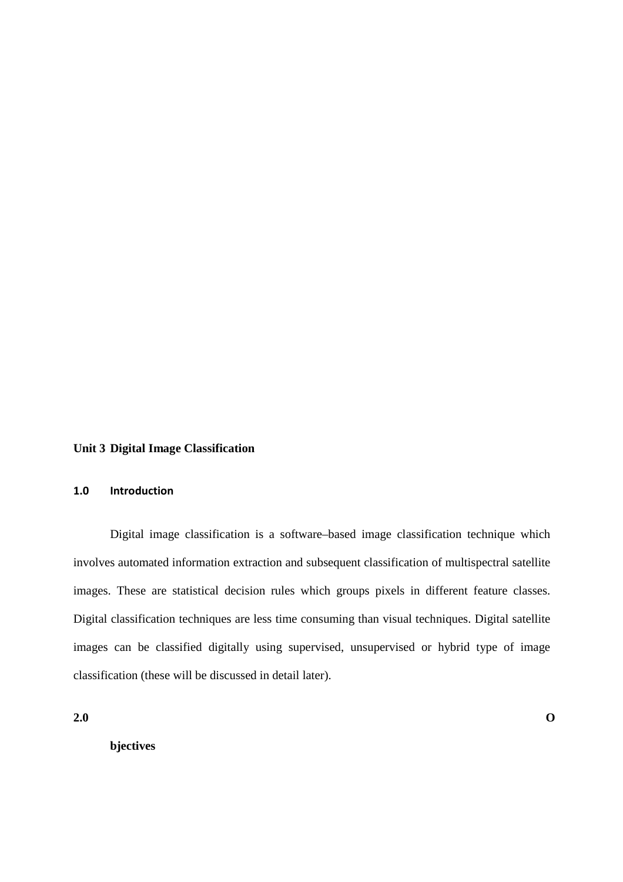# **Unit 3 Digital Image Classification**

## **1.0 Introduction**

Digital image classification is a software–based image classification technique which involves automated information extraction and subsequent classification of multispectral satellite images. These are statistical decision rules which groups pixels in different feature classes. Digital classification techniques are less time consuming than visual techniques. Digital satellite images can be classified digitally using supervised, unsupervised or hybrid type of image classification (these will be discussed in detail later).

**2.0 O**

**bjectives**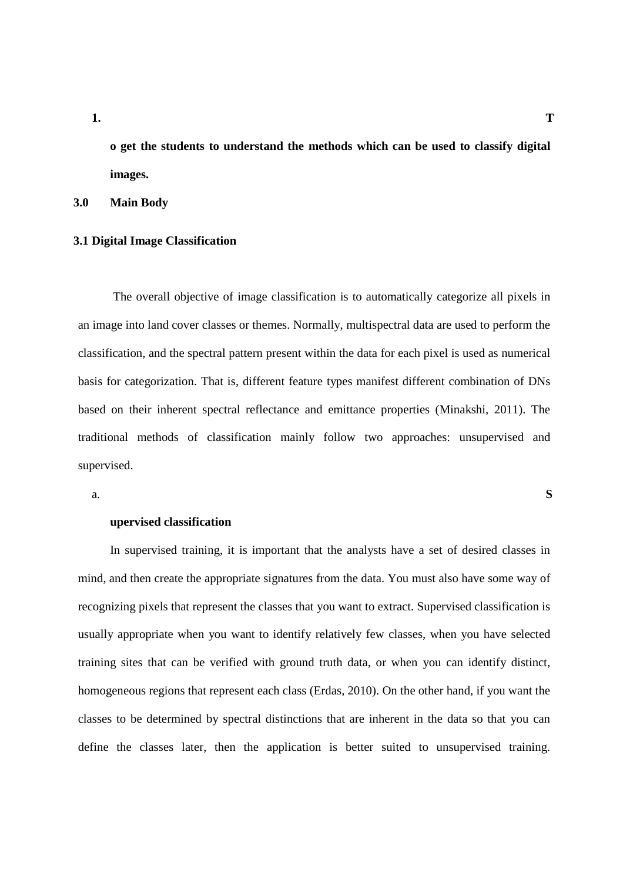**1. T**

**o get the students to understand the methods which can be used to classify digital images.** 

**3.0 Main Body** 

#### **3.1 Digital Image Classification**

 The overall objective of image classification is to automatically categorize all pixels in an image into land cover classes or themes. Normally, multispectral data are used to perform the classification, and the spectral pattern present within the data for each pixel is used as numerical basis for categorization. That is, different feature types manifest different combination of DNs based on their inherent spectral reflectance and emittance properties (Minakshi, 2011). The traditional methods of classification mainly follow two approaches: unsupervised and supervised.

a. **S**

# **upervised classification**

In supervised training, it is important that the analysts have a set of desired classes in mind, and then create the appropriate signatures from the data. You must also have some way of recognizing pixels that represent the classes that you want to extract. Supervised classification is usually appropriate when you want to identify relatively few classes, when you have selected training sites that can be verified with ground truth data, or when you can identify distinct, homogeneous regions that represent each class (Erdas, 2010). On the other hand, if you want the classes to be determined by spectral distinctions that are inherent in the data so that you can define the classes later, then the application is better suited to unsupervised training.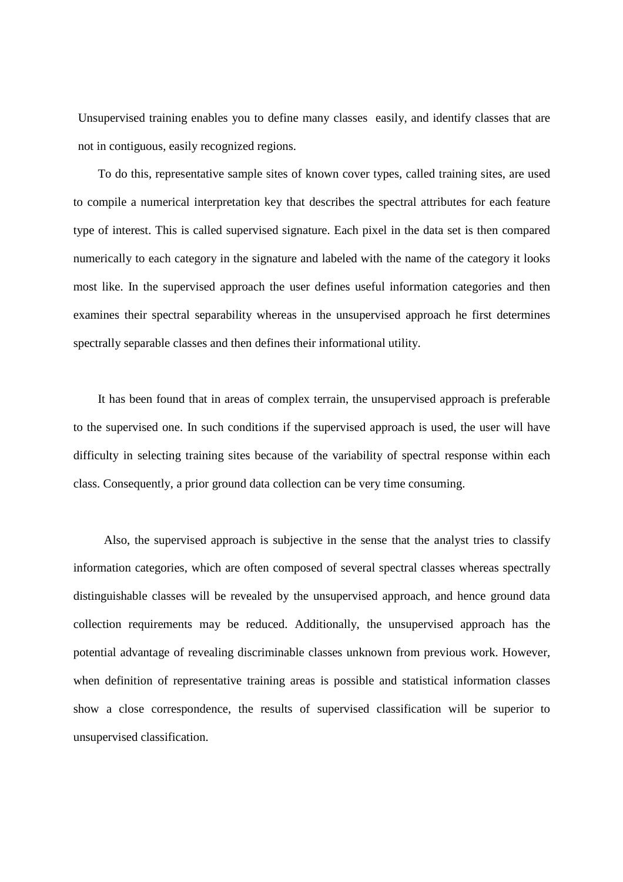Unsupervised training enables you to define many classes easily, and identify classes that are not in contiguous, easily recognized regions.

 To do this, representative sample sites of known cover types, called training sites, are used to compile a numerical interpretation key that describes the spectral attributes for each feature type of interest. This is called supervised signature. Each pixel in the data set is then compared numerically to each category in the signature and labeled with the name of the category it looks most like. In the supervised approach the user defines useful information categories and then examines their spectral separability whereas in the unsupervised approach he first determines spectrally separable classes and then defines their informational utility.

 It has been found that in areas of complex terrain, the unsupervised approach is preferable to the supervised one. In such conditions if the supervised approach is used, the user will have difficulty in selecting training sites because of the variability of spectral response within each class. Consequently, a prior ground data collection can be very time consuming.

 Also, the supervised approach is subjective in the sense that the analyst tries to classify information categories, which are often composed of several spectral classes whereas spectrally distinguishable classes will be revealed by the unsupervised approach, and hence ground data collection requirements may be reduced. Additionally, the unsupervised approach has the potential advantage of revealing discriminable classes unknown from previous work. However, when definition of representative training areas is possible and statistical information classes show a close correspondence, the results of supervised classification will be superior to unsupervised classification.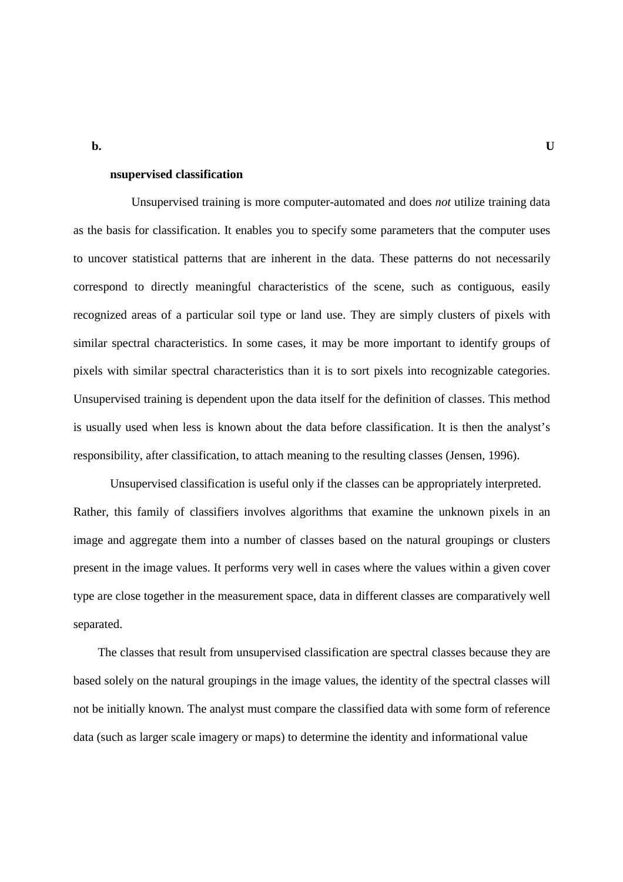**nsupervised classification** 

 Unsupervised training is more computer-automated and does *not* utilize training data as the basis for classification. It enables you to specify some parameters that the computer uses to uncover statistical patterns that are inherent in the data. These patterns do not necessarily correspond to directly meaningful characteristics of the scene, such as contiguous, easily recognized areas of a particular soil type or land use. They are simply clusters of pixels with similar spectral characteristics. In some cases, it may be more important to identify groups of pixels with similar spectral characteristics than it is to sort pixels into recognizable categories. Unsupervised training is dependent upon the data itself for the definition of classes. This method is usually used when less is known about the data before classification. It is then the analyst's responsibility, after classification, to attach meaning to the resulting classes (Jensen, 1996).

Unsupervised classification is useful only if the classes can be appropriately interpreted. Rather, this family of classifiers involves algorithms that examine the unknown pixels in an image and aggregate them into a number of classes based on the natural groupings or clusters present in the image values. It performs very well in cases where the values within a given cover type are close together in the measurement space, data in different classes are comparatively well separated.

 The classes that result from unsupervised classification are spectral classes because they are based solely on the natural groupings in the image values, the identity of the spectral classes will not be initially known. The analyst must compare the classified data with some form of reference data (such as larger scale imagery or maps) to determine the identity and informational value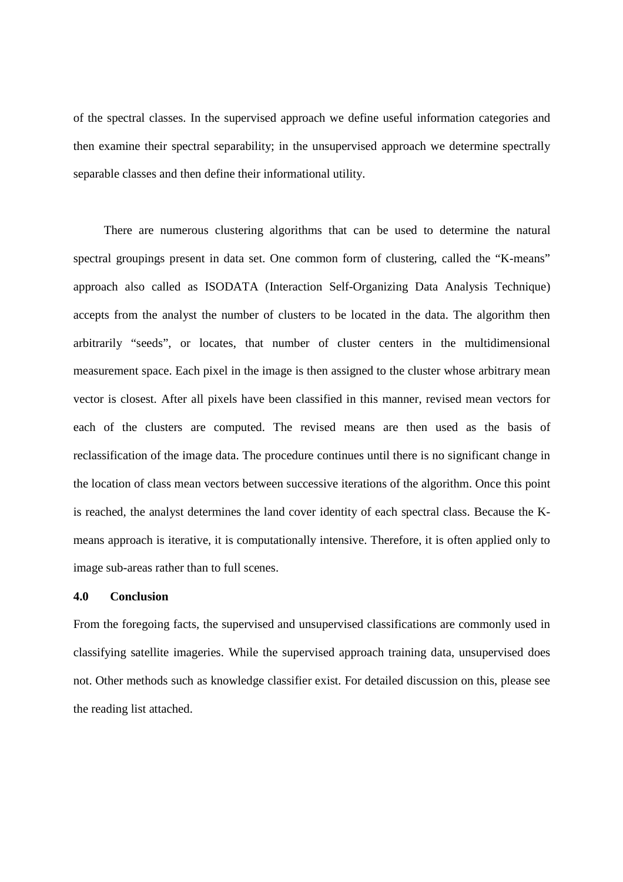of the spectral classes. In the supervised approach we define useful information categories and then examine their spectral separability; in the unsupervised approach we determine spectrally separable classes and then define their informational utility.

 There are numerous clustering algorithms that can be used to determine the natural spectral groupings present in data set. One common form of clustering, called the "K-means" approach also called as ISODATA (Interaction Self-Organizing Data Analysis Technique) accepts from the analyst the number of clusters to be located in the data. The algorithm then arbitrarily "seeds", or locates, that number of cluster centers in the multidimensional measurement space. Each pixel in the image is then assigned to the cluster whose arbitrary mean vector is closest. After all pixels have been classified in this manner, revised mean vectors for each of the clusters are computed. The revised means are then used as the basis of reclassification of the image data. The procedure continues until there is no significant change in the location of class mean vectors between successive iterations of the algorithm. Once this point is reached, the analyst determines the land cover identity of each spectral class. Because the Kmeans approach is iterative, it is computationally intensive. Therefore, it is often applied only to image sub-areas rather than to full scenes.

#### **4.0 Conclusion**

From the foregoing facts, the supervised and unsupervised classifications are commonly used in classifying satellite imageries. While the supervised approach training data, unsupervised does not. Other methods such as knowledge classifier exist. For detailed discussion on this, please see the reading list attached.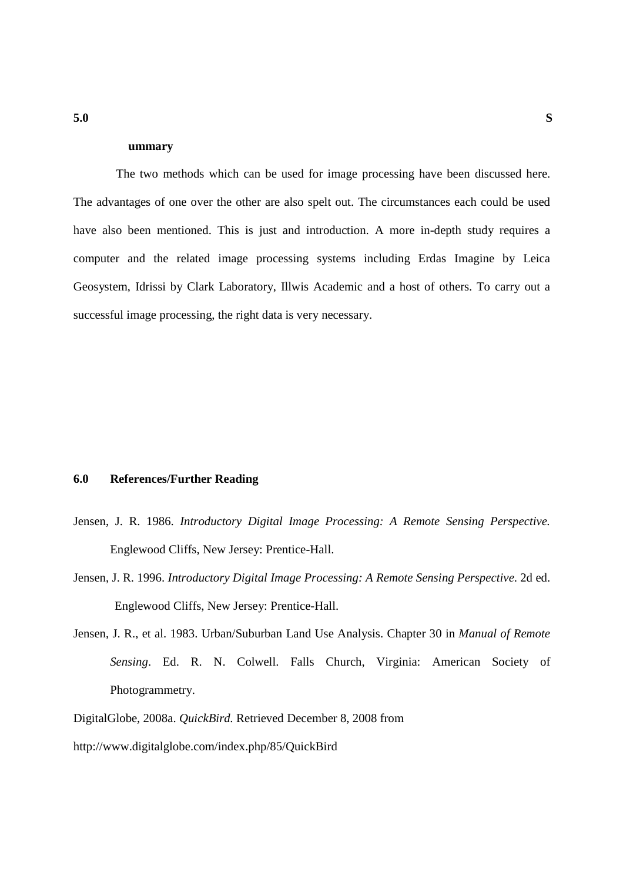#### **ummary**

 The two methods which can be used for image processing have been discussed here. The advantages of one over the other are also spelt out. The circumstances each could be used have also been mentioned. This is just and introduction. A more in-depth study requires a computer and the related image processing systems including Erdas Imagine by Leica Geosystem, Idrissi by Clark Laboratory, Illwis Academic and a host of others. To carry out a successful image processing, the right data is very necessary.

# **6.0 References/Further Reading**

- Jensen, J. R. 1986. *Introductory Digital Image Processing: A Remote Sensing Perspective.*  Englewood Cliffs, New Jersey: Prentice-Hall.
- Jensen, J. R. 1996. *Introductory Digital Image Processing: A Remote Sensing Perspective*. 2d ed. Englewood Cliffs, New Jersey: Prentice-Hall.
- Jensen, J. R., et al. 1983. Urban/Suburban Land Use Analysis. Chapter 30 in *Manual of Remote Sensing*. Ed. R. N. Colwell. Falls Church, Virginia: American Society of Photogrammetry.
- DigitalGlobe, 2008a. *QuickBird.* Retrieved December 8, 2008 from
- http://www.digitalglobe.com/index.php/85/QuickBird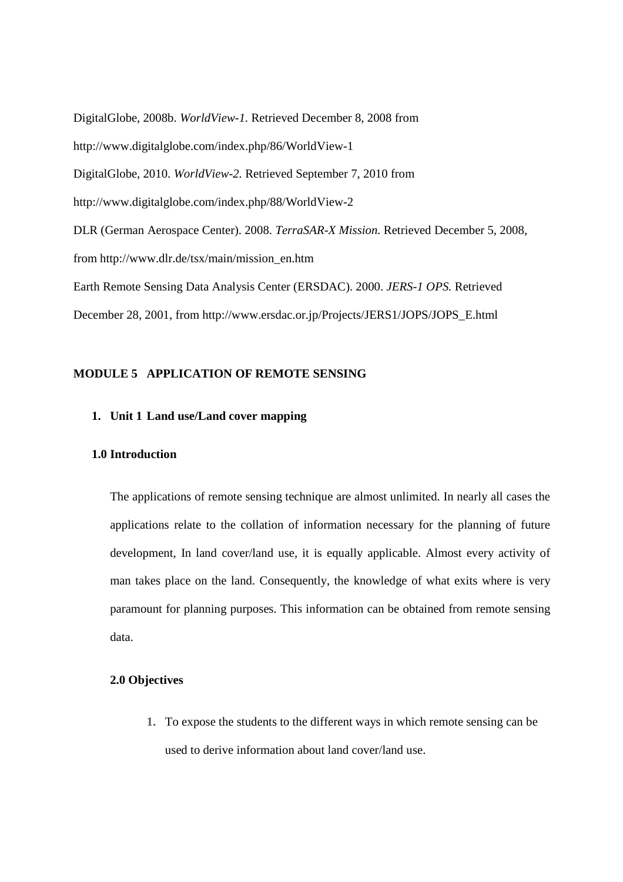DigitalGlobe, 2008b. *WorldView-1.* Retrieved December 8, 2008 from http://www.digitalglobe.com/index.php/86/WorldView-1 DigitalGlobe, 2010. *WorldView-2.* Retrieved September 7, 2010 from http://www.digitalglobe.com/index.php/88/WorldView-2 DLR (German Aerospace Center). 2008. *TerraSAR-X Mission.* Retrieved December 5, 2008, from http://www.dlr.de/tsx/main/mission\_en.htm Earth Remote Sensing Data Analysis Center (ERSDAC). 2000. *JERS-1 OPS.* Retrieved December 28, 2001, from http://www.ersdac.or.jp/Projects/JERS1/JOPS/JOPS\_E.html

#### **MODULE 5 APPLICATION OF REMOTE SENSING**

# **1. Unit 1 Land use/Land cover mapping**

#### **1.0 Introduction**

The applications of remote sensing technique are almost unlimited. In nearly all cases the applications relate to the collation of information necessary for the planning of future development, In land cover/land use, it is equally applicable. Almost every activity of man takes place on the land. Consequently, the knowledge of what exits where is very paramount for planning purposes. This information can be obtained from remote sensing data.

#### **2.0 Objectives**

**1.** To expose the students to the different ways in which remote sensing can be used to derive information about land cover/land use.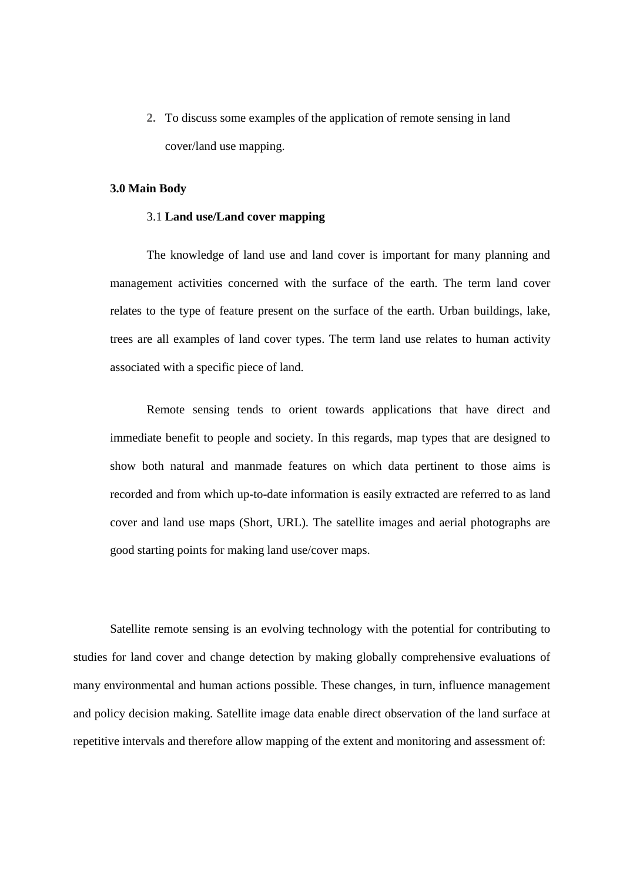**2.** To discuss some examples of the application of remote sensing in land cover/land use mapping.

#### **3.0 Main Body**

#### 3.1 **Land use/Land cover mapping**

The knowledge of land use and land cover is important for many planning and management activities concerned with the surface of the earth. The term land cover relates to the type of feature present on the surface of the earth. Urban buildings, lake, trees are all examples of land cover types. The term land use relates to human activity associated with a specific piece of land.

 Remote sensing tends to orient towards applications that have direct and immediate benefit to people and society. In this regards, map types that are designed to show both natural and manmade features on which data pertinent to those aims is recorded and from which up-to-date information is easily extracted are referred to as land cover and land use maps (Short, URL). The satellite images and aerial photographs are good starting points for making land use/cover maps.

Satellite remote sensing is an evolving technology with the potential for contributing to studies for land cover and change detection by making globally comprehensive evaluations of many environmental and human actions possible. These changes, in turn, influence management and policy decision making. Satellite image data enable direct observation of the land surface at repetitive intervals and therefore allow mapping of the extent and monitoring and assessment of: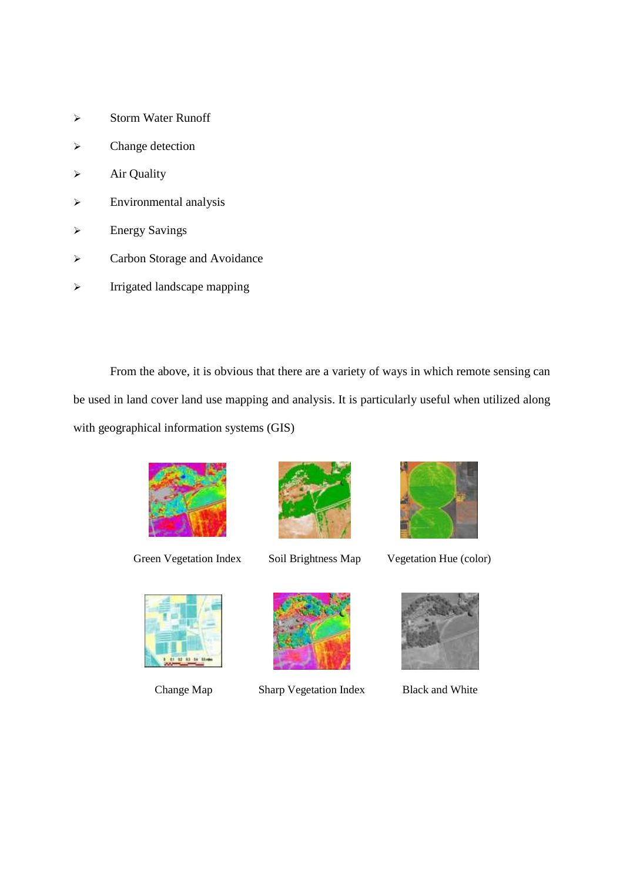- $\triangleright$  Storm Water Runoff
- > Change detection
- $\triangleright$  Air Quality
- Environmental analysis
- Energy Savings
- > Carbon Storage and Avoidance
- $\triangleright$  Irrigated landscape mapping

From the above, it is obvious that there are a variety of ways in which remote sensing can be used in land cover land use mapping and analysis. It is particularly useful when utilized along with geographical information systems (GIS)



Green Vegetation Index Soil Brightness Map Vegetation Hue (color)







Change Map Sharp Vegetation Index Black and White



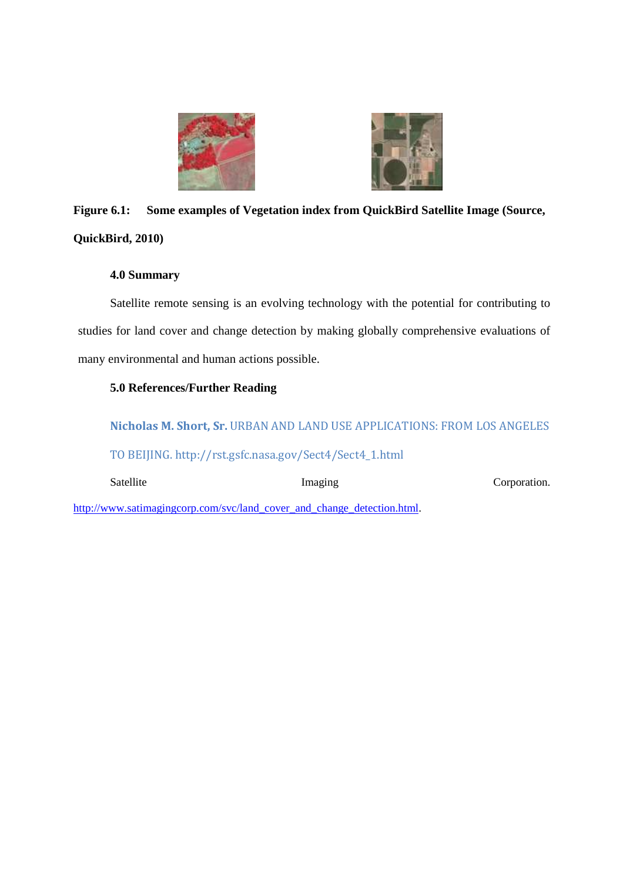



# **Figure 6.1: Some examples of Vegetation index from QuickBird Satellite Image (Source, QuickBird, 2010)**

# **4.0 Summary**

Satellite remote sensing is an evolving technology with the potential for contributing to studies for land cover and change detection by making globally comprehensive evaluations of many environmental and human actions possible.

# **5.0 References/Further Reading**

**Nicholas M. Short, Sr.** URBAN AND LAND USE APPLICATIONS: FROM LOS ANGELES TO BEIJING. http://rst.gsfc.nasa.gov/Sect4/Sect4\_1.html

Satellite Imaging Corporation.

http://www.satimagingcorp.com/svc/land\_cover\_and\_change\_detection.html.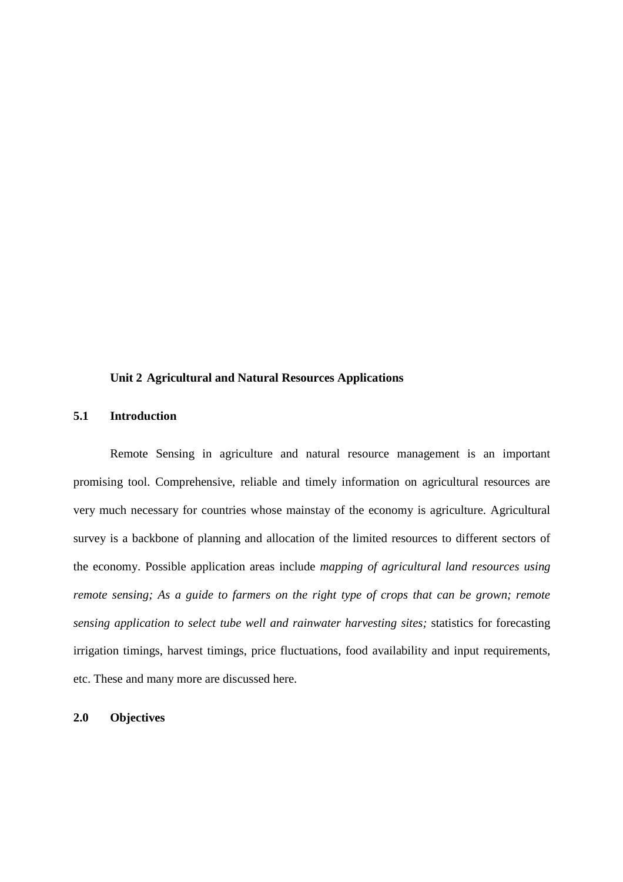#### **Unit 2 Agricultural and Natural Resources Applications**

# **5.1 Introduction**

Remote Sensing in agriculture and natural resource management is an important promising tool. Comprehensive, reliable and timely information on agricultural resources are very much necessary for countries whose mainstay of the economy is agriculture. Agricultural survey is a backbone of planning and allocation of the limited resources to different sectors of the economy. Possible application areas include *mapping of agricultural land resources using remote sensing; As a guide to farmers on the right type of crops that can be grown; remote sensing application to select tube well and rainwater harvesting sites;* statistics for forecasting irrigation timings, harvest timings, price fluctuations, food availability and input requirements, etc. These and many more are discussed here.

# **2.0 Objectives**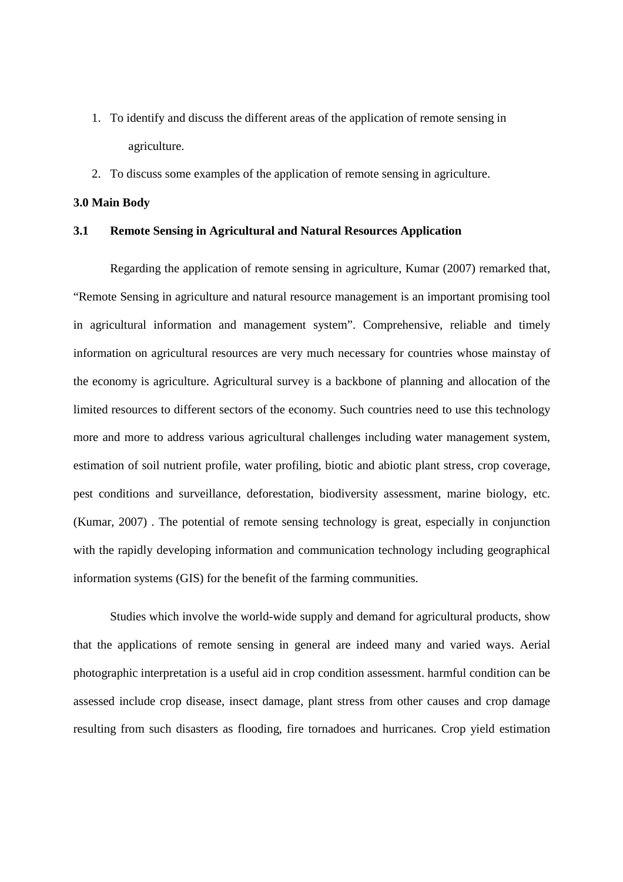- 1. To identify and discuss the different areas of the application of remote sensing in agriculture.
- 2. To discuss some examples of the application of remote sensing in agriculture.

#### **3.0 Main Body**

#### **3.1 Remote Sensing in Agricultural and Natural Resources Application**

Regarding the application of remote sensing in agriculture, Kumar (2007) remarked that, "Remote Sensing in agriculture and natural resource management is an important promising tool in agricultural information and management system". Comprehensive, reliable and timely information on agricultural resources are very much necessary for countries whose mainstay of the economy is agriculture. Agricultural survey is a backbone of planning and allocation of the limited resources to different sectors of the economy. Such countries need to use this technology more and more to address various agricultural challenges including water management system, estimation of soil nutrient profile, water profiling, biotic and abiotic plant stress, crop coverage, pest conditions and surveillance, deforestation, biodiversity assessment, marine biology, etc. (Kumar, 2007) . The potential of remote sensing technology is great, especially in conjunction with the rapidly developing information and communication technology including geographical information systems (GIS) for the benefit of the farming communities.

Studies which involve the world-wide supply and demand for agricultural products, show that the applications of remote sensing in general are indeed many and varied ways. Aerial photographic interpretation is a useful aid in crop condition assessment. harmful condition can be assessed include crop disease, insect damage, plant stress from other causes and crop damage resulting from such disasters as flooding, fire tornadoes and hurricanes. Crop yield estimation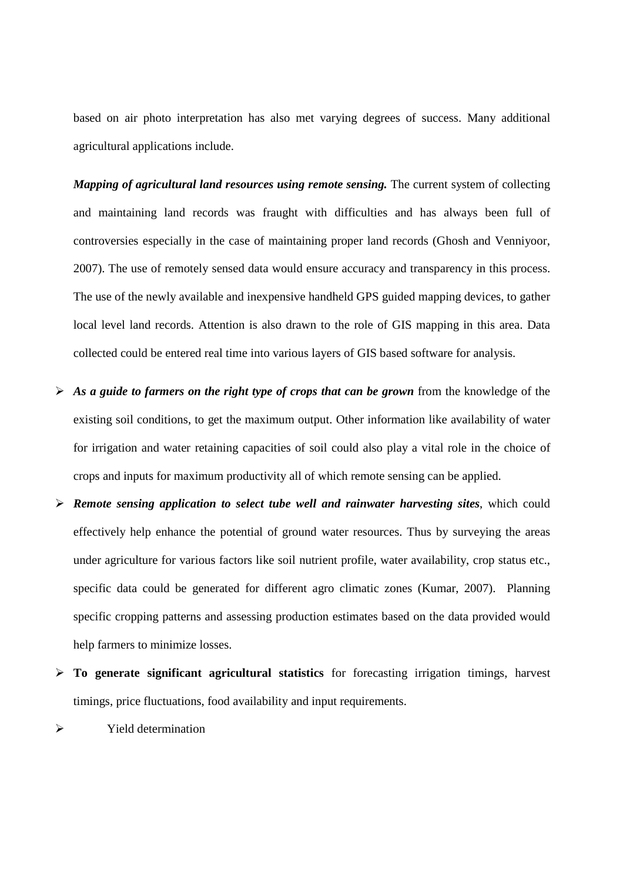based on air photo interpretation has also met varying degrees of success. Many additional agricultural applications include.

*Mapping of agricultural land resources using remote sensing.* The current system of collecting and maintaining land records was fraught with difficulties and has always been full of controversies especially in the case of maintaining proper land records (Ghosh and Venniyoor, 2007). The use of remotely sensed data would ensure accuracy and transparency in this process. The use of the newly available and inexpensive handheld GPS guided mapping devices, to gather local level land records. Attention is also drawn to the role of GIS mapping in this area. Data collected could be entered real time into various layers of GIS based software for analysis.

- *As a guide to farmers on the right type of crops that can be grown* from the knowledge of the existing soil conditions, to get the maximum output. Other information like availability of water for irrigation and water retaining capacities of soil could also play a vital role in the choice of crops and inputs for maximum productivity all of which remote sensing can be applied.
- *Remote sensing application to select tube well and rainwater harvesting sites*, which could effectively help enhance the potential of ground water resources. Thus by surveying the areas under agriculture for various factors like soil nutrient profile, water availability, crop status etc., specific data could be generated for different agro climatic zones (Kumar, 2007). Planning specific cropping patterns and assessing production estimates based on the data provided would help farmers to minimize losses.
- **To generate significant agricultural statistics** for forecasting irrigation timings, harvest timings, price fluctuations, food availability and input requirements.

 $\triangleright$  Yield determination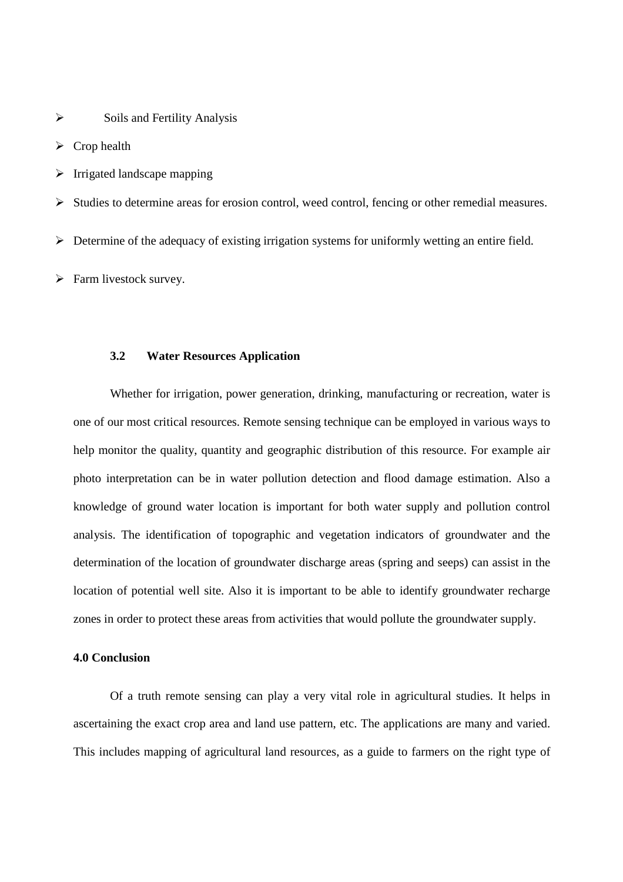$\triangleright$  Soils and Fertility Analysis

 $\triangleright$  Crop health

 $\triangleright$  Irrigated landscape mapping

 $\triangleright$  Studies to determine areas for erosion control, weed control, fencing or other remedial measures.

Determine of the adequacy of existing irrigation systems for uniformly wetting an entire field.

 $\triangleright$  Farm livestock survey.

#### **3.2 Water Resources Application**

Whether for irrigation, power generation, drinking, manufacturing or recreation, water is one of our most critical resources. Remote sensing technique can be employed in various ways to help monitor the quality, quantity and geographic distribution of this resource. For example air photo interpretation can be in water pollution detection and flood damage estimation. Also a knowledge of ground water location is important for both water supply and pollution control analysis. The identification of topographic and vegetation indicators of groundwater and the determination of the location of groundwater discharge areas (spring and seeps) can assist in the location of potential well site. Also it is important to be able to identify groundwater recharge zones in order to protect these areas from activities that would pollute the groundwater supply.

#### **4.0 Conclusion**

Of a truth remote sensing can play a very vital role in agricultural studies. It helps in ascertaining the exact crop area and land use pattern, etc. The applications are many and varied. This includes mapping of agricultural land resources, as a guide to farmers on the right type of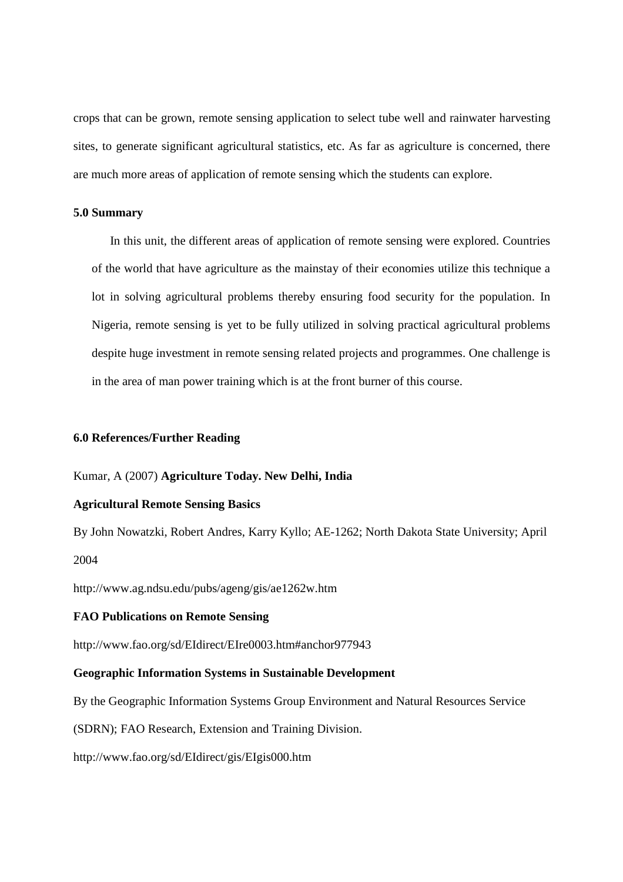crops that can be grown, remote sensing application to select tube well and rainwater harvesting sites, to generate significant agricultural statistics, etc. As far as agriculture is concerned, there are much more areas of application of remote sensing which the students can explore.

# **5.0 Summary**

In this unit, the different areas of application of remote sensing were explored. Countries of the world that have agriculture as the mainstay of their economies utilize this technique a lot in solving agricultural problems thereby ensuring food security for the population. In Nigeria, remote sensing is yet to be fully utilized in solving practical agricultural problems despite huge investment in remote sensing related projects and programmes. One challenge is in the area of man power training which is at the front burner of this course.

#### **6.0 References/Further Reading**

#### Kumar, A (2007) **Agriculture Today. New Delhi, India**

#### **Agricultural Remote Sensing Basics**

By John Nowatzki, Robert Andres, Karry Kyllo; AE-1262; North Dakota State University; April 2004

http://www.ag.ndsu.edu/pubs/ageng/gis/ae1262w.htm

#### **FAO Publications on Remote Sensing**

http://www.fao.org/sd/EIdirect/EIre0003.htm#anchor977943

#### **Geographic Information Systems in Sustainable Development**

By the Geographic Information Systems Group Environment and Natural Resources Service

(SDRN); FAO Research, Extension and Training Division.

http://www.fao.org/sd/EIdirect/gis/EIgis000.htm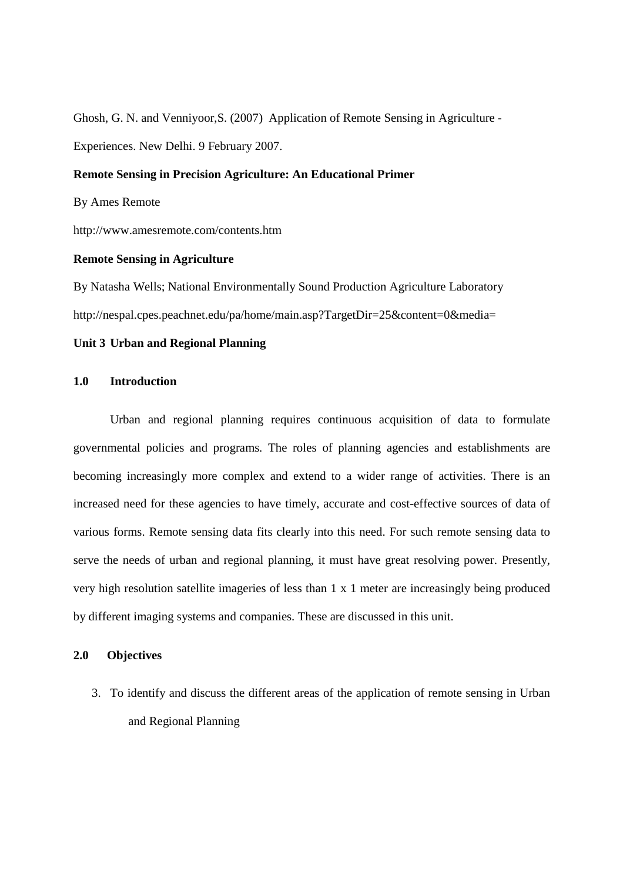Ghosh, G. N. and Venniyoor,S. (2007) Application of Remote Sensing in Agriculture - Experiences. New Delhi. 9 February 2007.

#### **Remote Sensing in Precision Agriculture: An Educational Primer**

By Ames Remote

http://www.amesremote.com/contents.htm

#### **Remote Sensing in Agriculture**

By Natasha Wells; National Environmentally Sound Production Agriculture Laboratory http://nespal.cpes.peachnet.edu/pa/home/main.asp?TargetDir=25&content=0&media=

## **Unit 3 Urban and Regional Planning**

#### **1.0 Introduction**

Urban and regional planning requires continuous acquisition of data to formulate governmental policies and programs. The roles of planning agencies and establishments are becoming increasingly more complex and extend to a wider range of activities. There is an increased need for these agencies to have timely, accurate and cost-effective sources of data of various forms. Remote sensing data fits clearly into this need. For such remote sensing data to serve the needs of urban and regional planning, it must have great resolving power. Presently, very high resolution satellite imageries of less than 1 x 1 meter are increasingly being produced by different imaging systems and companies. These are discussed in this unit.

#### **2.0 Objectives**

3. To identify and discuss the different areas of the application of remote sensing in Urban and Regional Planning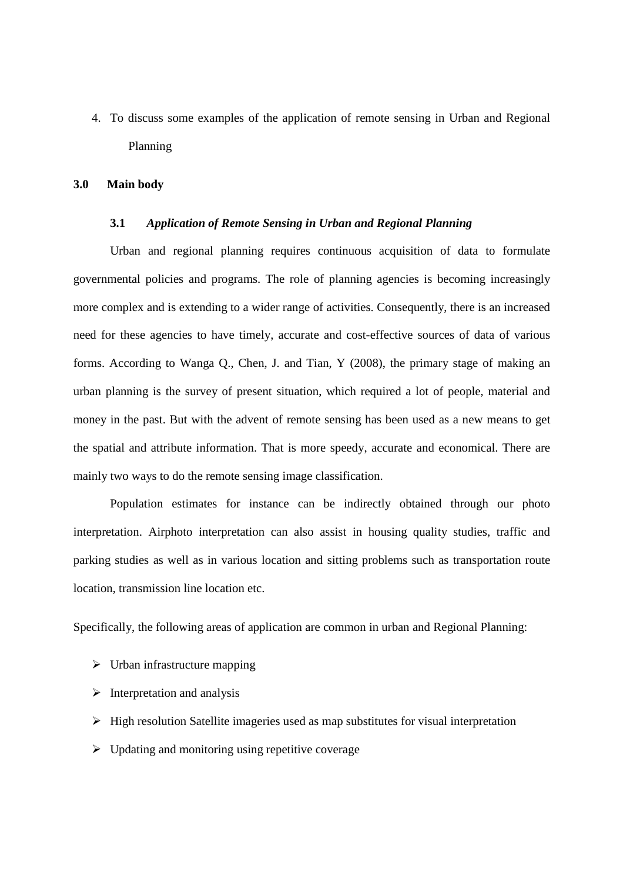4. To discuss some examples of the application of remote sensing in Urban and Regional Planning

#### **3.0 Main body**

#### **3.1** *Application of Remote Sensing in Urban and Regional Planning*

Urban and regional planning requires continuous acquisition of data to formulate governmental policies and programs. The role of planning agencies is becoming increasingly more complex and is extending to a wider range of activities. Consequently, there is an increased need for these agencies to have timely, accurate and cost-effective sources of data of various forms. According to Wanga Q., Chen, J. and Tian, Y (2008), the primary stage of making an urban planning is the survey of present situation, which required a lot of people, material and money in the past. But with the advent of remote sensing has been used as a new means to get the spatial and attribute information. That is more speedy, accurate and economical. There are mainly two ways to do the remote sensing image classification.

Population estimates for instance can be indirectly obtained through our photo interpretation. Airphoto interpretation can also assist in housing quality studies, traffic and parking studies as well as in various location and sitting problems such as transportation route location, transmission line location etc.

Specifically, the following areas of application are common in urban and Regional Planning:

- $\triangleright$  Urban infrastructure mapping
- $\triangleright$  Interpretation and analysis
- $\triangleright$  High resolution Satellite imageries used as map substitutes for visual interpretation
- $\triangleright$  Updating and monitoring using repetitive coverage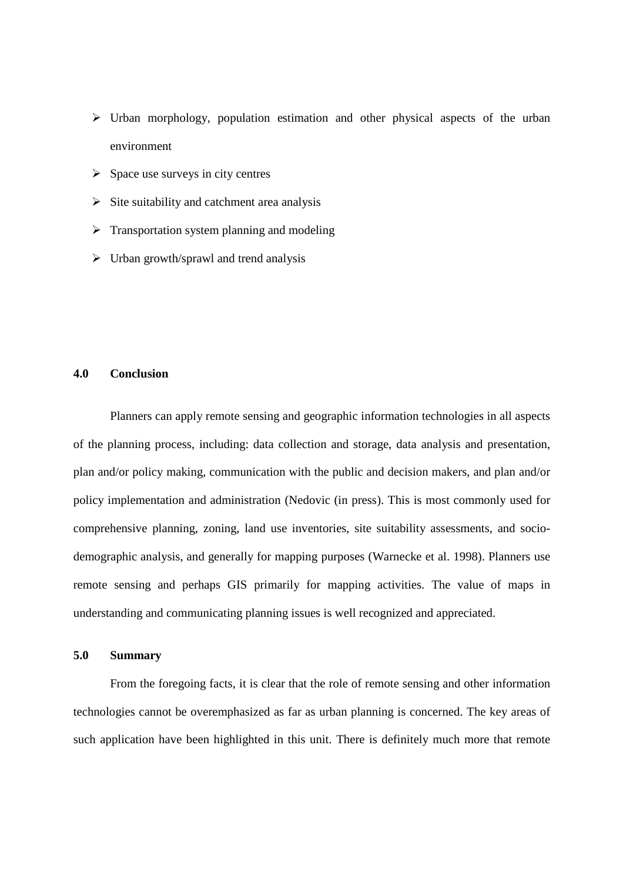- $\triangleright$  Urban morphology, population estimation and other physical aspects of the urban environment
- $\triangleright$  Space use surveys in city centres
- $\triangleright$  Site suitability and catchment area analysis
- $\triangleright$  Transportation system planning and modeling
- $\triangleright$  Urban growth/sprawl and trend analysis

# **4.0 Conclusion**

Planners can apply remote sensing and geographic information technologies in all aspects of the planning process, including: data collection and storage, data analysis and presentation, plan and/or policy making, communication with the public and decision makers, and plan and/or policy implementation and administration (Nedovic (in press). This is most commonly used for comprehensive planning, zoning, land use inventories, site suitability assessments, and sociodemographic analysis, and generally for mapping purposes (Warnecke et al. 1998). Planners use remote sensing and perhaps GIS primarily for mapping activities. The value of maps in understanding and communicating planning issues is well recognized and appreciated.

#### **5.0 Summary**

From the foregoing facts, it is clear that the role of remote sensing and other information technologies cannot be overemphasized as far as urban planning is concerned. The key areas of such application have been highlighted in this unit. There is definitely much more that remote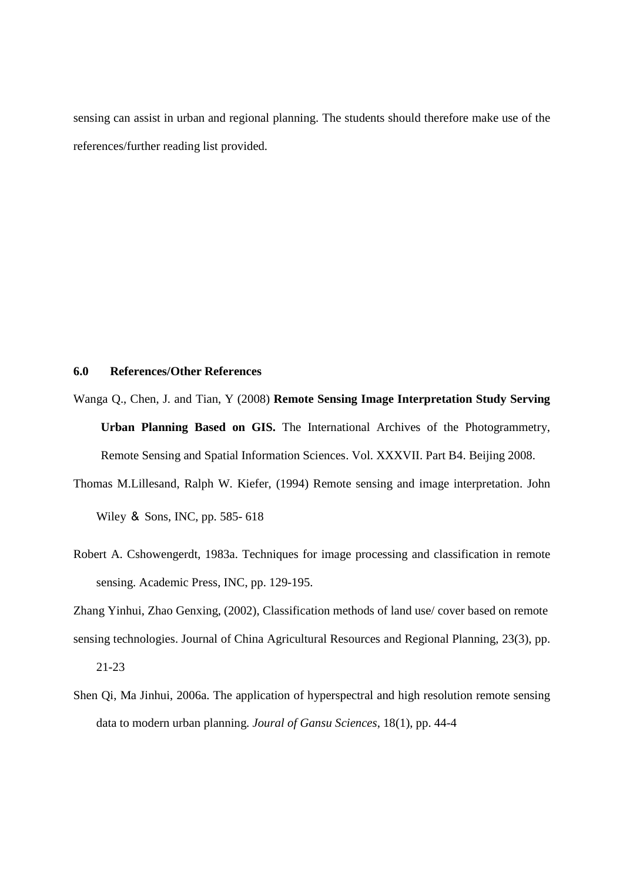sensing can assist in urban and regional planning. The students should therefore make use of the references/further reading list provided.

#### **6.0 References/Other References**

- Wanga Q., Chen, J. and Tian, Y (2008) **Remote Sensing Image Interpretation Study Serving Urban Planning Based on GIS.** The International Archives of the Photogrammetry, Remote Sensing and Spatial Information Sciences. Vol. XXXVII. Part B4. Beijing 2008.
- Thomas M.Lillesand, Ralph W. Kiefer, (1994) Remote sensing and image interpretation. John Wiley & Sons, INC, pp. 585- 618
- Robert A. Cshowengerdt, 1983a. Techniques for image processing and classification in remote sensing. Academic Press, INC, pp. 129-195.

Zhang Yinhui, Zhao Genxing, (2002), Classification methods of land use/ cover based on remote sensing technologies. Journal of China Agricultural Resources and Regional Planning, 23(3), pp.

21-23

Shen Qi, Ma Jinhui, 2006a. The application of hyperspectral and high resolution remote sensing data to modern urban planning. *Joural of Gansu Sciences*, 18(1), pp. 44-4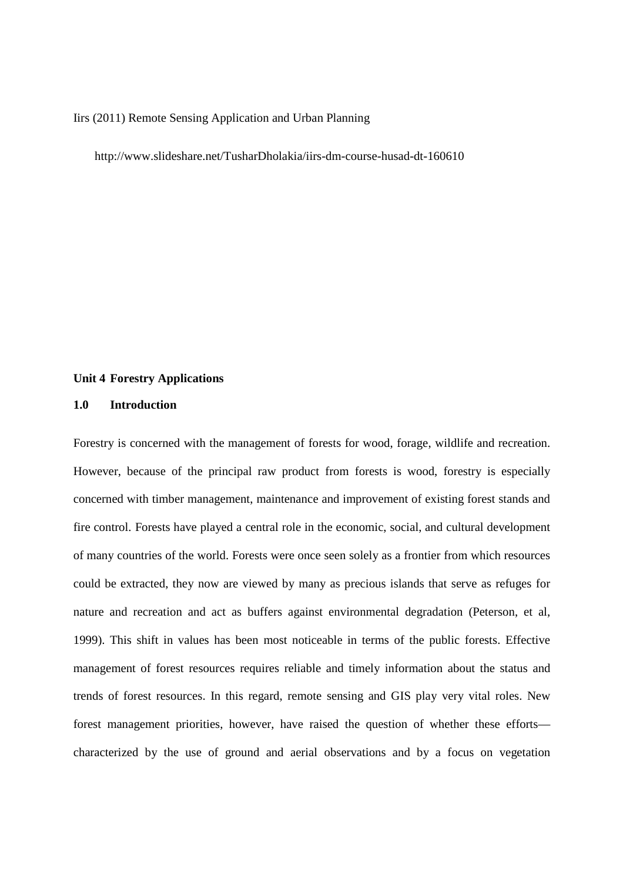#### Iirs (2011) Remote Sensing Application and Urban Planning

http://www.slideshare.net/TusharDholakia/iirs-dm-course-husad-dt-160610

#### **Unit 4 Forestry Applications**

## **1.0 Introduction**

Forestry is concerned with the management of forests for wood, forage, wildlife and recreation. However, because of the principal raw product from forests is wood, forestry is especially concerned with timber management, maintenance and improvement of existing forest stands and fire control. Forests have played a central role in the economic, social, and cultural development of many countries of the world. Forests were once seen solely as a frontier from which resources could be extracted, they now are viewed by many as precious islands that serve as refuges for nature and recreation and act as buffers against environmental degradation (Peterson, et al, 1999). This shift in values has been most noticeable in terms of the public forests. Effective management of forest resources requires reliable and timely information about the status and trends of forest resources. In this regard, remote sensing and GIS play very vital roles. New forest management priorities, however, have raised the question of whether these efforts characterized by the use of ground and aerial observations and by a focus on vegetation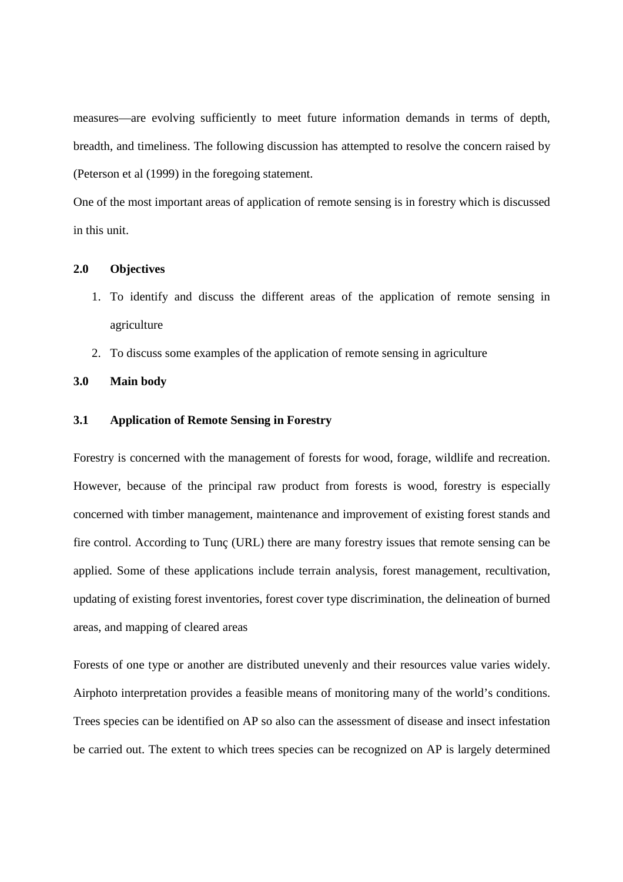measures—are evolving sufficiently to meet future information demands in terms of depth, breadth, and timeliness. The following discussion has attempted to resolve the concern raised by (Peterson et al (1999) in the foregoing statement.

One of the most important areas of application of remote sensing is in forestry which is discussed in this unit.

# **2.0 Objectives**

- 1. To identify and discuss the different areas of the application of remote sensing in agriculture
- 2. To discuss some examples of the application of remote sensing in agriculture

#### **3.0 Main body**

## **3.1 Application of Remote Sensing in Forestry**

Forestry is concerned with the management of forests for wood, forage, wildlife and recreation. However, because of the principal raw product from forests is wood, forestry is especially concerned with timber management, maintenance and improvement of existing forest stands and fire control. According to Tunç (URL) there are many forestry issues that remote sensing can be applied. Some of these applications include terrain analysis, forest management, recultivation, updating of existing forest inventories, forest cover type discrimination, the delineation of burned areas, and mapping of cleared areas

Forests of one type or another are distributed unevenly and their resources value varies widely. Airphoto interpretation provides a feasible means of monitoring many of the world's conditions. Trees species can be identified on AP so also can the assessment of disease and insect infestation be carried out. The extent to which trees species can be recognized on AP is largely determined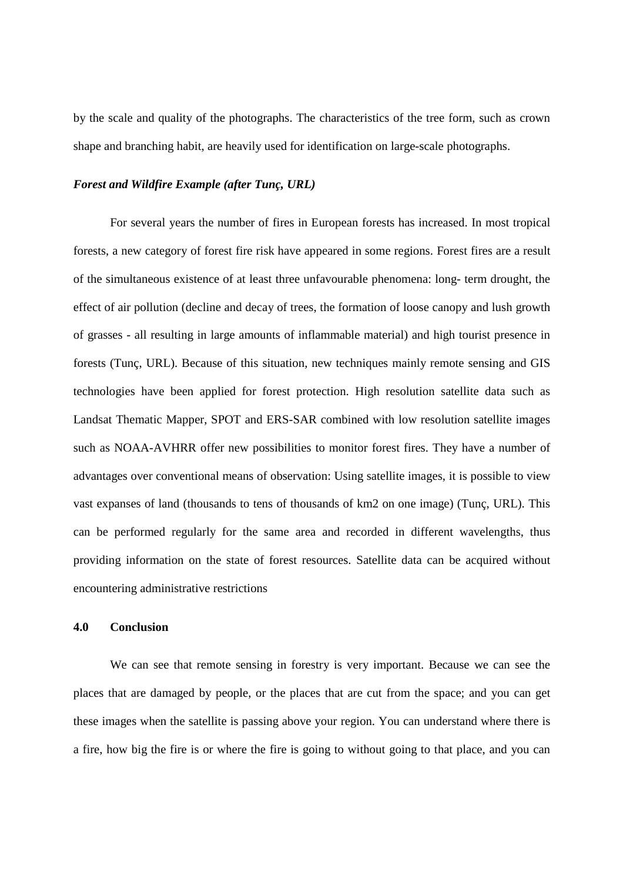by the scale and quality of the photographs. The characteristics of the tree form, such as crown shape and branching habit, are heavily used for identification on large-scale photographs.

#### *Forest and Wildfire Example (after Tunç, URL)*

For several years the number of fires in European forests has increased. In most tropical forests, a new category of forest fire risk have appeared in some regions. Forest fires are a result of the simultaneous existence of at least three unfavourable phenomena: long- term drought, the effect of air pollution (decline and decay of trees, the formation of loose canopy and lush growth of grasses - all resulting in large amounts of inflammable material) and high tourist presence in forests (Tunç, URL). Because of this situation, new techniques mainly remote sensing and GIS technologies have been applied for forest protection. High resolution satellite data such as Landsat Thematic Mapper, SPOT and ERS-SAR combined with low resolution satellite images such as NOAA-AVHRR offer new possibilities to monitor forest fires. They have a number of advantages over conventional means of observation: Using satellite images, it is possible to view vast expanses of land (thousands to tens of thousands of km2 on one image) (Tunç, URL). This can be performed regularly for the same area and recorded in different wavelengths, thus providing information on the state of forest resources. Satellite data can be acquired without encountering administrative restrictions

# **4.0 Conclusion**

We can see that remote sensing in forestry is very important. Because we can see the places that are damaged by people, or the places that are cut from the space; and you can get these images when the satellite is passing above your region. You can understand where there is a fire, how big the fire is or where the fire is going to without going to that place, and you can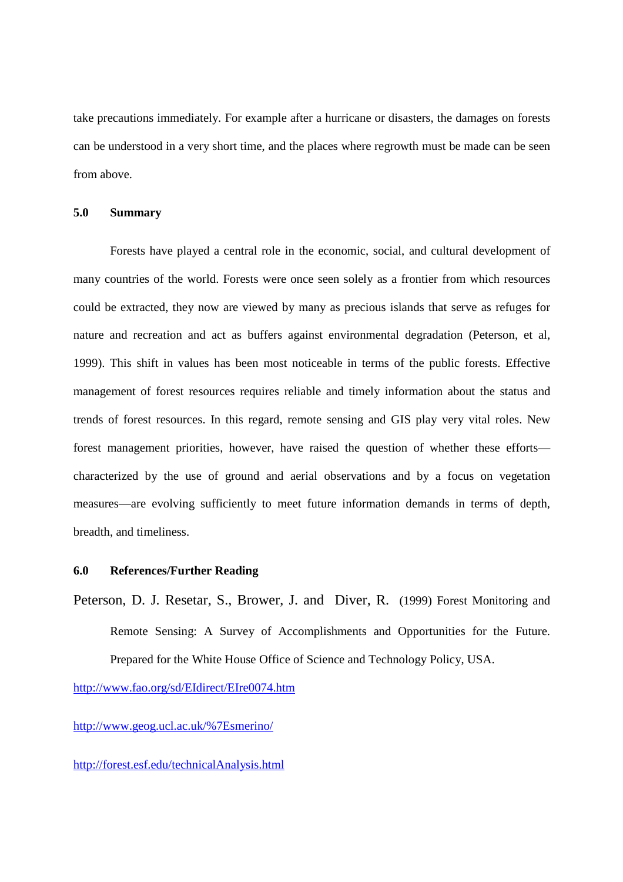take precautions immediately. For example after a hurricane or disasters, the damages on forests can be understood in a very short time, and the places where regrowth must be made can be seen from above.

# **5.0 Summary**

Forests have played a central role in the economic, social, and cultural development of many countries of the world. Forests were once seen solely as a frontier from which resources could be extracted, they now are viewed by many as precious islands that serve as refuges for nature and recreation and act as buffers against environmental degradation (Peterson, et al, 1999). This shift in values has been most noticeable in terms of the public forests. Effective management of forest resources requires reliable and timely information about the status and trends of forest resources. In this regard, remote sensing and GIS play very vital roles. New forest management priorities, however, have raised the question of whether these efforts characterized by the use of ground and aerial observations and by a focus on vegetation measures—are evolving sufficiently to meet future information demands in terms of depth, breadth, and timeliness.

# **6.0 References/Further Reading**

Peterson, D. J. Resetar, S., Brower, J. and Diver, R. (1999) Forest Monitoring and Remote Sensing: A Survey of Accomplishments and Opportunities for the Future. Prepared for the White House Office of Science and Technology Policy, USA.

http://www.fao.org/sd/EIdirect/EIre0074.htm

http://www.geog.ucl.ac.uk/%7Esmerino/

#### http://forest.esf.edu/technicalAnalysis.html